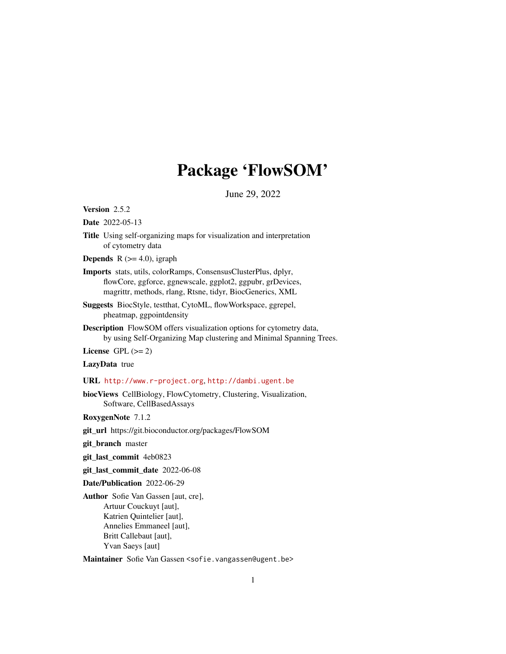# Package 'FlowSOM'

June 29, 2022

<span id="page-0-0"></span>Version 2.5.2

Date 2022-05-13

Title Using self-organizing maps for visualization and interpretation of cytometry data

**Depends** R  $(>= 4.0)$ , igraph

- Imports stats, utils, colorRamps, ConsensusClusterPlus, dplyr, flowCore, ggforce, ggnewscale, ggplot2, ggpubr, grDevices, magrittr, methods, rlang, Rtsne, tidyr, BiocGenerics, XML
- Suggests BiocStyle, testthat, CytoML, flowWorkspace, ggrepel, pheatmap, ggpointdensity
- Description FlowSOM offers visualization options for cytometry data, by using Self-Organizing Map clustering and Minimal Spanning Trees.

License GPL  $(>= 2)$ 

# LazyData true

URL <http://www.r-project.org>, <http://dambi.ugent.be>

biocViews CellBiology, FlowCytometry, Clustering, Visualization, Software, CellBasedAssays

RoxygenNote 7.1.2

git\_url https://git.bioconductor.org/packages/FlowSOM

git\_branch master

git\_last\_commit 4eb0823

git\_last\_commit\_date 2022-06-08

Date/Publication 2022-06-29

Author Sofie Van Gassen [aut, cre], Artuur Couckuyt [aut], Katrien Quintelier [aut], Annelies Emmaneel [aut], Britt Callebaut [aut], Yvan Saeys [aut]

Maintainer Sofie Van Gassen <sofie.vangassen@ugent.be>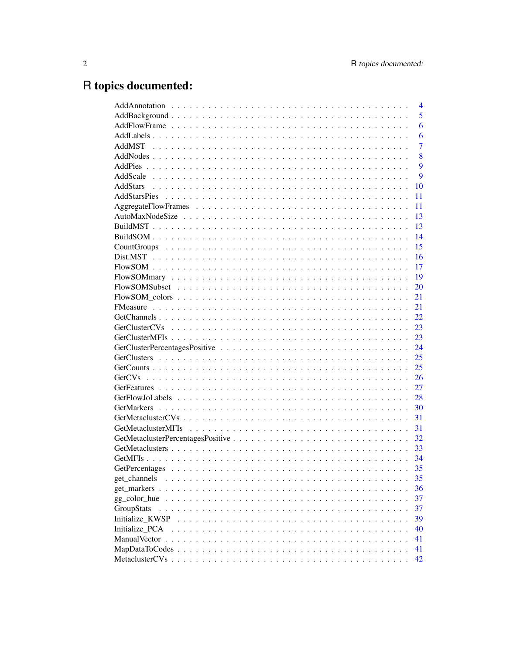# R topics documented:

|                                                                                                              | $\overline{4}$ |
|--------------------------------------------------------------------------------------------------------------|----------------|
|                                                                                                              | 5              |
|                                                                                                              | 6              |
|                                                                                                              | 6              |
|                                                                                                              | 7              |
|                                                                                                              | 8              |
|                                                                                                              | 9              |
|                                                                                                              | 9              |
|                                                                                                              | 10             |
|                                                                                                              | 11             |
|                                                                                                              | 11             |
|                                                                                                              | 13             |
|                                                                                                              | 13             |
|                                                                                                              | 14             |
|                                                                                                              | 15             |
|                                                                                                              | 16             |
|                                                                                                              | 17             |
|                                                                                                              | 19             |
|                                                                                                              | 20             |
| $Flow SOM\_colors \dots \dots \dots \dots \dots \dots \dots \dots \dots \dots \dots \dots \dots \dots \dots$ | 21             |
|                                                                                                              | 21             |
|                                                                                                              | 22             |
|                                                                                                              | 23             |
|                                                                                                              | 23             |
|                                                                                                              | 24             |
|                                                                                                              | 25             |
|                                                                                                              | 25             |
|                                                                                                              | 26             |
|                                                                                                              | 27             |
|                                                                                                              | 28             |
|                                                                                                              | 30             |
|                                                                                                              | 31             |
|                                                                                                              | 31             |
|                                                                                                              | 32             |
|                                                                                                              | 33             |
|                                                                                                              | 34             |
|                                                                                                              | 35             |
| get channels                                                                                                 | 35             |
| get markers                                                                                                  | 36             |
| gg_color_hue                                                                                                 | 37             |
| GroupStats                                                                                                   | 37             |
| Initialize KWSP                                                                                              | 39             |
| Initialize PCA                                                                                               | 40             |
| <b>ManualVector</b>                                                                                          | 41             |
|                                                                                                              | 41             |
|                                                                                                              | 42             |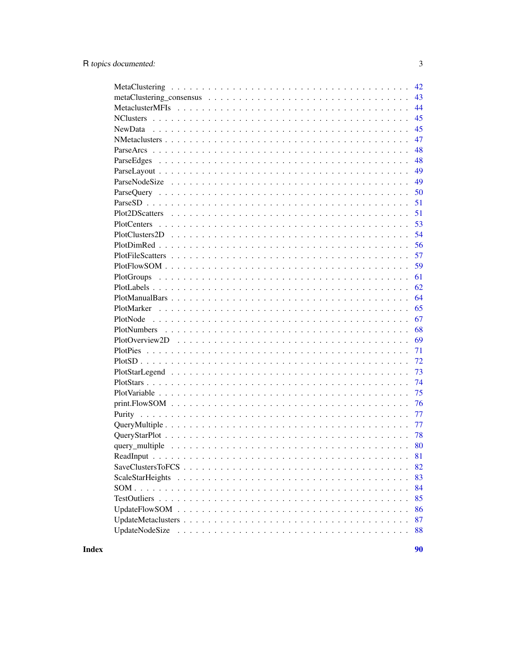| 42                   |
|----------------------|
| 43                   |
| 44                   |
| 45                   |
| 45                   |
| 47                   |
| 48                   |
| 48                   |
| 49                   |
| 49                   |
| 50                   |
| 51                   |
| 51                   |
| 53                   |
| 54                   |
| 56                   |
| 57                   |
| 59                   |
| 61                   |
| 62                   |
| 64                   |
| 65                   |
| 67                   |
| 68                   |
| 69                   |
| 71                   |
| 72                   |
| 73                   |
| 74                   |
| 75                   |
| 76                   |
| 77                   |
| 77                   |
| 78                   |
| 80                   |
| 81                   |
| 82                   |
| 83                   |
| 84                   |
| 85                   |
| 86                   |
| 87                   |
| UpdateNodeSize<br>88 |
|                      |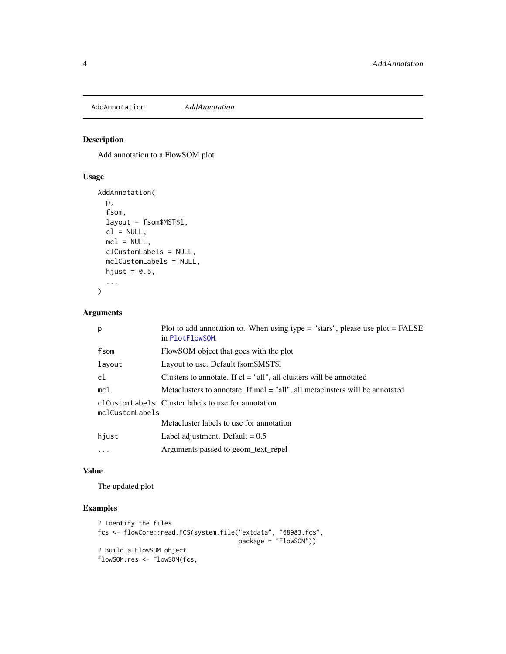<span id="page-3-0"></span>AddAnnotation *AddAnnotation*

# Description

Add annotation to a FlowSOM plot

# Usage

```
AddAnnotation(
 p,
 fsom,
  layout = fsom$MST$l,
 cl = NULL,mcl = NULL,clCustomLabels = NULL,
 mclCustomLabels = NULL,
 hjust = 0.5,
  ...
\mathcal{L}
```
# Arguments

| p               | Plot to add annotation to. When using type $=$ "stars", please use plot $=$ FALSE<br>in PlotFlowSOM. |
|-----------------|------------------------------------------------------------------------------------------------------|
| fsom            | FlowSOM object that goes with the plot                                                               |
| layout          | Layout to use. Default fsom \$MST\$1                                                                 |
| c1              | Clusters to annotate. If $cl = "all", all clusters will be annotated$                                |
| mc1             | Metaclusters to annotate. If $mcl = "all", all metaclusters will be annotated$                       |
| mclCustomLabels | clCustomLabels Cluster labels to use for annotation                                                  |
|                 | Metacluster labels to use for annotation                                                             |
| hjust           | Label adjustment. Default = $0.5$                                                                    |
| $\ddots$ .      | Arguments passed to geom text repel                                                                  |

#### Value

The updated plot

```
# Identify the files
fcs <- flowCore::read.FCS(system.file("extdata", "68983.fcs",
                                     package = "FlowSOM"))
# Build a FlowSOM object
flowSOM.res <- FlowSOM(fcs,
```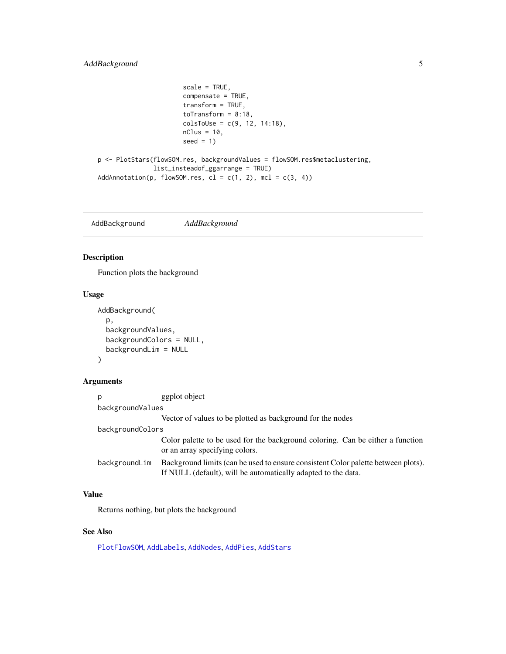# <span id="page-4-0"></span>AddBackground 5

```
scale = TRUE,
                       compensate = TRUE,
                       transform = TRUE,
                       toTransform = 8:18,
                       colsToUse = c(9, 12, 14:18),
                       nClus = 10,
                       seed = 1p <- PlotStars(flowSOM.res, backgroundValues = flowSOM.res$metaclustering,
               list_insteadof_ggarrange = TRUE)
AddAnnotation(p, flowSOM.res, cl = c(1, 2), mcl = c(3, 4))
```
<span id="page-4-1"></span>AddBackground *AddBackground*

# Description

Function plots the background

# Usage

```
AddBackground(
  p,
 backgroundValues,
  backgroundColors = NULL,
  backgroundLim = NULL
)
```
# Arguments

| p                | ggplot object                                                                                                                                      |  |
|------------------|----------------------------------------------------------------------------------------------------------------------------------------------------|--|
| backgroundValues |                                                                                                                                                    |  |
|                  | Vector of values to be plotted as background for the nodes                                                                                         |  |
| backgroundColors |                                                                                                                                                    |  |
|                  | Color palette to be used for the background coloring. Can be either a function<br>or an array specifying colors.                                   |  |
| backgroundLim    | Background limits (can be used to ensure consistent Color palette between plots).<br>If NULL (default), will be automatically adapted to the data. |  |

# Value

Returns nothing, but plots the background

# See Also

[PlotFlowSOM](#page-58-1), [AddLabels](#page-5-1), [AddNodes](#page-7-1), [AddPies](#page-8-1), [AddStars](#page-9-1)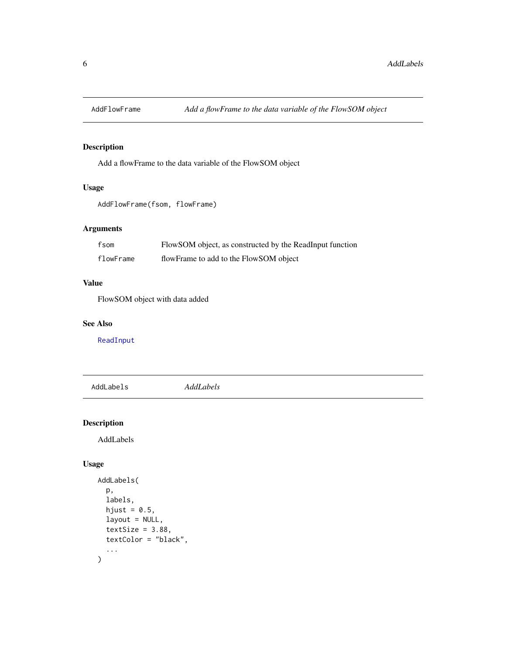<span id="page-5-0"></span>

# Description

Add a flowFrame to the data variable of the FlowSOM object

# Usage

```
AddFlowFrame(fsom, flowFrame)
```
### Arguments

| fsom      | FlowSOM object, as constructed by the ReadInput function |
|-----------|----------------------------------------------------------|
| flowFrame | flowFrame to add to the FlowSOM object                   |

# Value

FlowSOM object with data added

# See Also

[ReadInput](#page-80-1)

<span id="page-5-1"></span>AddLabels *AddLabels*

# Description

AddLabels

# Usage

```
AddLabels(
  p,
  labels,
  hjust = 0.5,
  layout = NULL,
  textSize = 3.88,textColor = "black",
  ...
\mathcal{L}
```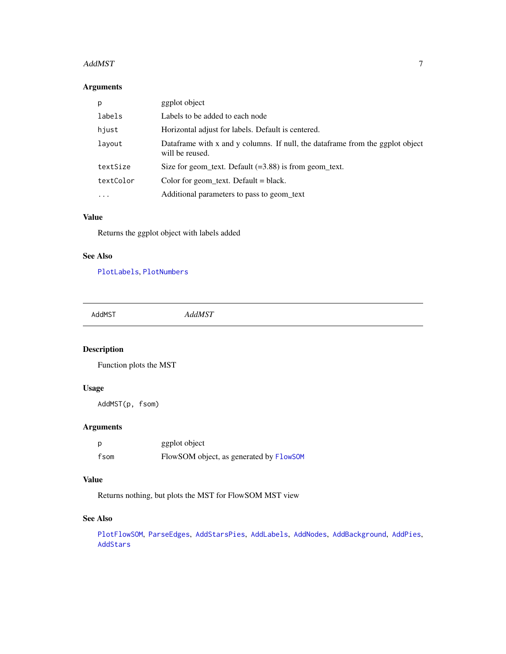#### <span id="page-6-0"></span>AddMST 7

# Arguments

| p         | ggplot object                                                                                    |
|-----------|--------------------------------------------------------------------------------------------------|
| labels    | Labels to be added to each node                                                                  |
| hjust     | Horizontal adjust for labels. Default is centered.                                               |
| layout    | Dataframe with x and y columns. If null, the dataframe from the ggplot object<br>will be reused. |
| textSize  | Size for geom_text. Default $(=3.88)$ is from geom_text.                                         |
| textColor | Color for geom_text. Default = black.                                                            |
| $\ddotsc$ | Additional parameters to pass to geom text                                                       |

# Value

Returns the ggplot object with labels added

# See Also

[PlotLabels](#page-61-1), [PlotNumbers](#page-67-1)

AddMST *AddMST*

# Description

Function plots the MST

# Usage

AddMST(p, fsom)

# Arguments

| p    | ggplot object                           |
|------|-----------------------------------------|
| fsom | FlowSOM object, as generated by FlowSOM |

# Value

Returns nothing, but plots the MST for FlowSOM MST view

### See Also

[PlotFlowSOM](#page-58-1), [ParseEdges](#page-47-1), [AddStarsPies](#page-10-1), [AddLabels](#page-5-1), [AddNodes](#page-7-1), [AddBackground](#page-4-1), [AddPies](#page-8-1), [AddStars](#page-9-1)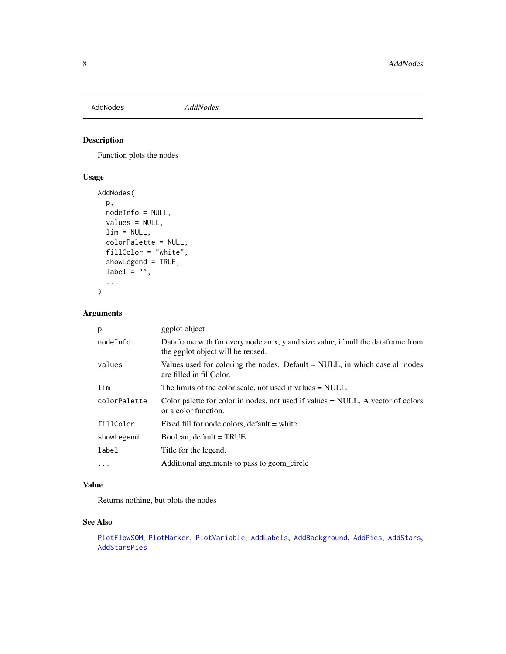<span id="page-7-1"></span><span id="page-7-0"></span>

# Description

Function plots the nodes

# Usage

```
AddNodes(
  p,
 nodeInfo = NULL,
  values = NULL,
 \lim = NULL,
 colorPalette = NULL,
  fillColor = "white",
  showLegend = TRUE,
  label = "",...
)
```
# Arguments

| p            | ggplot object                                                                                                         |
|--------------|-----------------------------------------------------------------------------------------------------------------------|
| nodeInfo     | Dataframe with for every node an x, y and size value, if null the dataframe from<br>the ggplot object will be reused. |
| values       | Values used for coloring the nodes. Default $=$ NULL, in which case all nodes<br>are filled in fillColor.             |
| lim          | The limits of the color scale, not used if values = NULL.                                                             |
| colorPalette | Color palette for color in nodes, not used if values $=$ NULL. A vector of colors<br>or a color function.             |
| fillColor    | Fixed fill for node colors, default = white.                                                                          |
| showLegend   | Boolean, default = TRUE.                                                                                              |
| label        | Title for the legend.                                                                                                 |
| $\cdots$     | Additional arguments to pass to geom circle                                                                           |

### Value

Returns nothing, but plots the nodes

# See Also

[PlotFlowSOM](#page-58-1), [PlotMarker](#page-64-1), [PlotVariable](#page-74-1), [AddLabels](#page-5-1), [AddBackground](#page-4-1), [AddPies](#page-8-1), [AddStars](#page-9-1), [AddStarsPies](#page-10-1)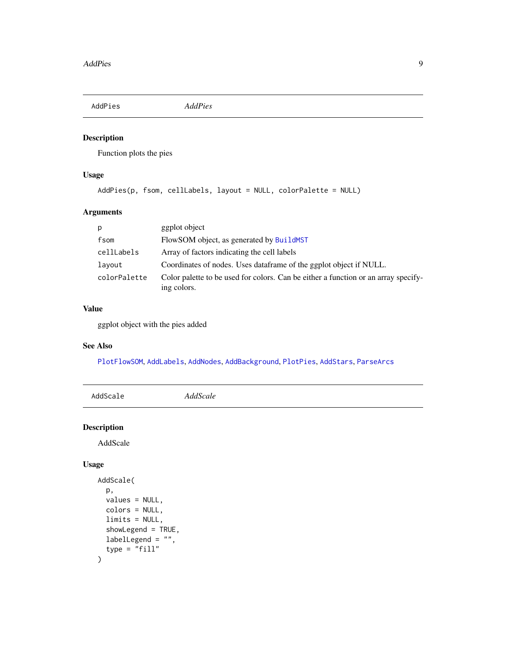<span id="page-8-1"></span><span id="page-8-0"></span>AddPies *AddPies*

# Description

Function plots the pies

# Usage

```
AddPies(p, fsom, cellLabels, layout = NULL, colorPalette = NULL)
```
# Arguments

| p            | ggplot object                                                                                     |
|--------------|---------------------------------------------------------------------------------------------------|
| fsom         | FlowSOM object, as generated by BuildMST                                                          |
| cellLabels   | Array of factors indicating the cell labels                                                       |
| lavout       | Coordinates of nodes. Uses dataframe of the ggplot object if NULL.                                |
| colorPalette | Color palette to be used for colors. Can be either a function or an array specify-<br>ing colors. |

# Value

ggplot object with the pies added

# See Also

[PlotFlowSOM](#page-58-1), [AddLabels](#page-5-1), [AddNodes](#page-7-1), [AddBackground](#page-4-1), [PlotPies](#page-70-1), [AddStars](#page-9-1), [ParseArcs](#page-47-2)

| AddScale           | AddScale |
|--------------------|----------|
| <b>Description</b> |          |

AddScale

# Usage

```
AddScale(
  p,
  values = NULL,
  colors = NULL,
  limits = NULL,
  showLegend = TRUE,
  labelLegend = "",
  type = "fill"\mathcal{L}
```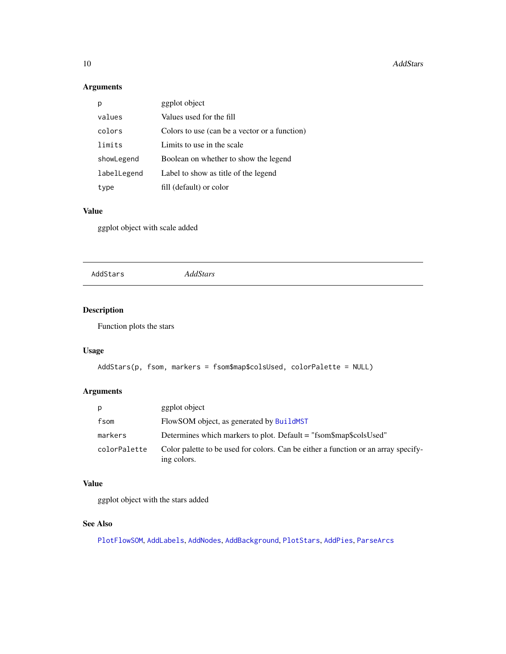#### <span id="page-9-0"></span>10 AddStars **AddStars AddStars**

# Arguments

|             | ggplot object                                 |
|-------------|-----------------------------------------------|
| values      | Values used for the fill                      |
| colors      | Colors to use (can be a vector or a function) |
| limits      | Limits to use in the scale                    |
| showLegend  | Boolean on whether to show the legend         |
| labelLegend | Label to show as title of the legend          |
| type        | fill (default) or color                       |

### Value

ggplot object with scale added

<span id="page-9-1"></span>AddStars *AddStars*

# Description

Function plots the stars

# Usage

```
AddStars(p, fsom, markers = fsom$map$colsUsed, colorPalette = NULL)
```
# Arguments

| p            | ggplot object                                                                                     |
|--------------|---------------------------------------------------------------------------------------------------|
| fsom         | FlowSOM object, as generated by BuildMST                                                          |
| markers      | Determines which markers to plot. Default = "fsom\$map\$colsUsed"                                 |
| colorPalette | Color palette to be used for colors. Can be either a function or an array specify-<br>ing colors. |

# Value

ggplot object with the stars added

# See Also

[PlotFlowSOM](#page-58-1), [AddLabels](#page-5-1), [AddNodes](#page-7-1), [AddBackground](#page-4-1), [PlotStars](#page-73-1), [AddPies](#page-8-1), [ParseArcs](#page-47-2)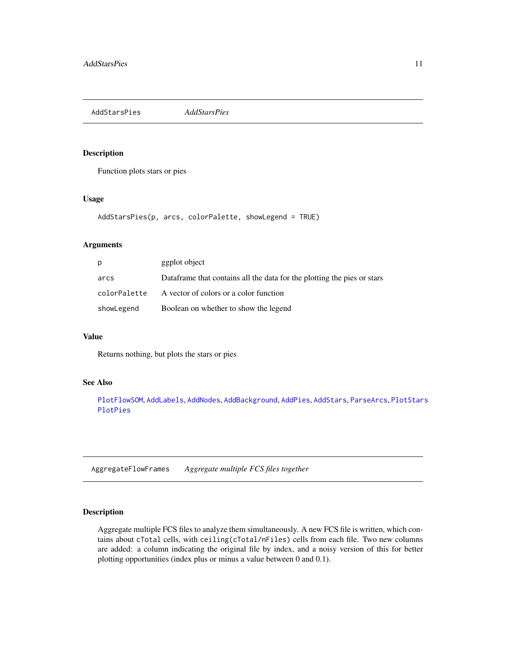<span id="page-10-1"></span><span id="page-10-0"></span>AddStarsPies *AddStarsPies*

# Description

Function plots stars or pies

# Usage

```
AddStarsPies(p, arcs, colorPalette, showLegend = TRUE)
```
# Arguments

| p            | ggplot object                                                           |
|--------------|-------------------------------------------------------------------------|
| arcs         | Dataframe that contains all the data for the plotting the pies or stars |
| colorPalette | A vector of colors or a color function                                  |
| showLegend   | Boolean on whether to show the legend                                   |

# Value

Returns nothing, but plots the stars or pies

### See Also

[PlotFlowSOM](#page-58-1), [AddLabels](#page-5-1), [AddNodes](#page-7-1), [AddBackground](#page-4-1), [AddPies](#page-8-1), [AddStars](#page-9-1), [ParseArcs](#page-47-2), [PlotStars](#page-73-1) [PlotPies](#page-70-1)

AggregateFlowFrames *Aggregate multiple FCS files together*

#### Description

Aggregate multiple FCS files to analyze them simultaneously. A new FCS file is written, which contains about cTotal cells, with ceiling(cTotal/nFiles) cells from each file. Two new columns are added: a column indicating the original file by index, and a noisy version of this for better plotting opportunities (index plus or minus a value between 0 and 0.1).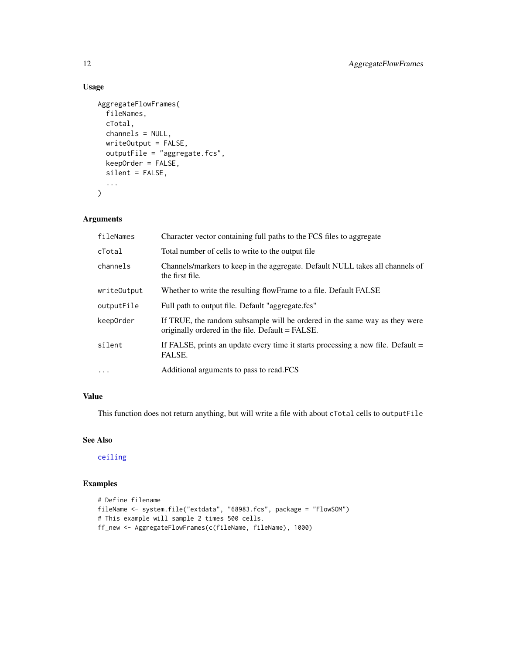# Usage

```
AggregateFlowFrames(
  fileNames,
 cTotal,
 channels = NULL,
  writeOutput = FALSE,
  outputFile = "aggregate.fcs",
  keepOrder = FALSE,
  silent = FALSE,
  ...
\mathcal{L}
```
# Arguments

| fileNames   | Character vector containing full paths to the FCS files to aggregate                                                           |
|-------------|--------------------------------------------------------------------------------------------------------------------------------|
| cTotal      | Total number of cells to write to the output file.                                                                             |
| channels    | Channels/markers to keep in the aggregate. Default NULL takes all channels of<br>the first file.                               |
| writeOutput | Whether to write the resulting flowFrame to a file. Default FALSE                                                              |
| outputFile  | Full path to output file. Default "aggregate.fcs"                                                                              |
| keep0rder   | If TRUE, the random subsample will be ordered in the same way as they were<br>originally ordered in the file. Default = FALSE. |
| silent      | If FALSE, prints an update every time it starts processing a new file. Default $=$<br>FALSE.                                   |
| $\cdot$     | Additional arguments to pass to read. FCS                                                                                      |

### Value

This function does not return anything, but will write a file with about cTotal cells to outputFile

# See Also

[ceiling](#page-0-0)

```
# Define filename
fileName <- system.file("extdata", "68983.fcs", package = "FlowSOM")
# This example will sample 2 times 500 cells.
ff_new <- AggregateFlowFrames(c(fileName, fileName), 1000)
```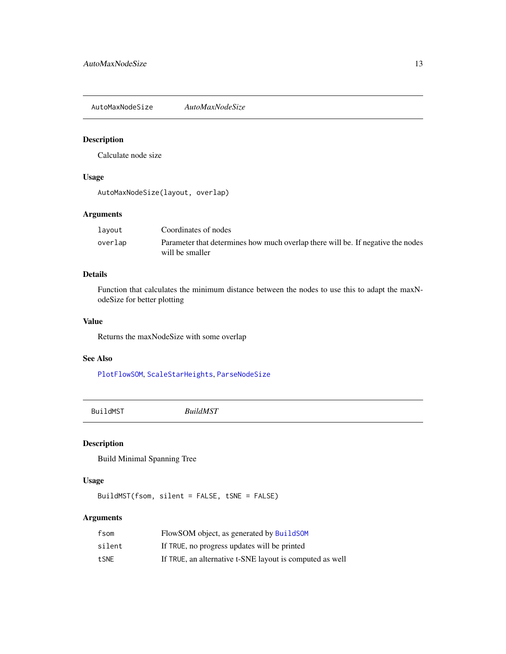<span id="page-12-0"></span>AutoMaxNodeSize *AutoMaxNodeSize*

# Description

Calculate node size

# Usage

AutoMaxNodeSize(layout, overlap)

# Arguments

| layout  | Coordinates of nodes                                                                               |
|---------|----------------------------------------------------------------------------------------------------|
| overlap | Parameter that determines how much overlap there will be. If negative the nodes<br>will be smaller |

### Details

Function that calculates the minimum distance between the nodes to use this to adapt the maxNodeSize for better plotting

### Value

Returns the maxNodeSize with some overlap

### See Also

[PlotFlowSOM](#page-58-1), [ScaleStarHeights](#page-82-1), [ParseNodeSize](#page-48-1)

<span id="page-12-1"></span>BuildMST *BuildMST*

# Description

Build Minimal Spanning Tree

# Usage

BuildMST(fsom, silent = FALSE, tSNE = FALSE)

# Arguments

| fsom   | FlowSOM object, as generated by BuildSOM                 |
|--------|----------------------------------------------------------|
| silent | If TRUE, no progress updates will be printed             |
| tSNE   | If TRUE, an alternative t-SNE layout is computed as well |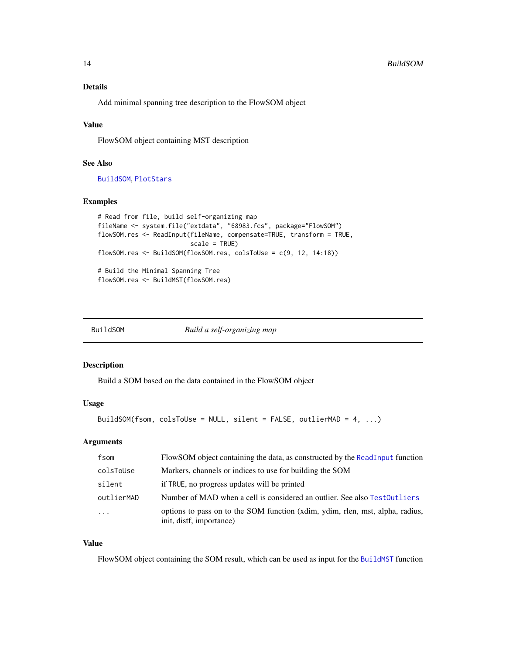# <span id="page-13-0"></span>Details

Add minimal spanning tree description to the FlowSOM object

# Value

FlowSOM object containing MST description

# See Also

[BuildSOM](#page-13-1), [PlotStars](#page-73-1)

# Examples

```
# Read from file, build self-organizing map
fileName <- system.file("extdata", "68983.fcs", package="FlowSOM")
flowSOM.res <- ReadInput(fileName, compensate=TRUE, transform = TRUE,
                         scale = TRUE)
flowSOM.res <- BuildSOM(flowSOM.res, colsToUse = c(9, 12, 14:18))
# Build the Minimal Spanning Tree
flowSOM.res <- BuildMST(flowSOM.res)
```
<span id="page-13-1"></span>

| BuildSOM | Build a self-organizing map |
|----------|-----------------------------|
|----------|-----------------------------|

#### Description

Build a SOM based on the data contained in the FlowSOM object

# Usage

```
BuildSOM(fsom, colsToUse = NULL, silent = FALSE, outlierMAD = 4, ...)
```
# Arguments

| fsom                    | FlowSOM object containing the data, as constructed by the ReadInput function                              |
|-------------------------|-----------------------------------------------------------------------------------------------------------|
| colsToUse               | Markers, channels or indices to use for building the SOM                                                  |
| silent                  | if TRUE, no progress updates will be printed                                                              |
| outlierMAD              | Number of MAD when a cell is considered an outlier. See also TestOutliers                                 |
| $\cdot$ $\cdot$ $\cdot$ | options to pass on to the SOM function (xdim, ydim, rlen, mst, alpha, radius,<br>init, distf, importance) |

# Value

FlowSOM object containing the SOM result, which can be used as input for the [BuildMST](#page-12-1) function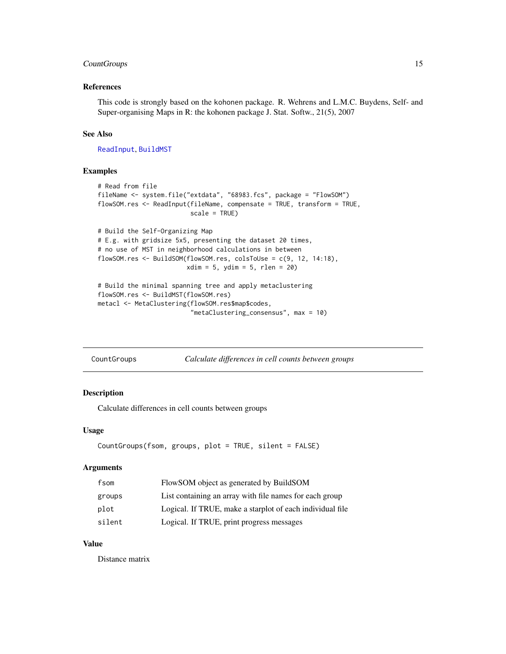# <span id="page-14-0"></span>CountGroups 15

# References

This code is strongly based on the kohonen package. R. Wehrens and L.M.C. Buydens, Self- and Super-organising Maps in R: the kohonen package J. Stat. Softw., 21(5), 2007

### See Also

[ReadInput](#page-80-1), [BuildMST](#page-12-1)

#### Examples

```
# Read from file
fileName <- system.file("extdata", "68983.fcs", package = "FlowSOM")
flowSOM.res <- ReadInput(fileName, compensate = TRUE, transform = TRUE,
                         scale = TRUE)
# Build the Self-Organizing Map
# E.g. with gridsize 5x5, presenting the dataset 20 times,
# no use of MST in neighborhood calculations in between
flowSOM.res <- BuildSOM(flowSOM.res, colsToUse = c(9, 12, 14:18),
                        xdim = 5, ydim = 5, rlen = 20# Build the minimal spanning tree and apply metaclustering
flowSOM.res <- BuildMST(flowSOM.res)
metacl <- MetaClustering(flowSOM.res$map$codes,
```
"metaClustering\_consensus", max = 10)

| CountGroups | Calculate differences in cell counts between groups |  |
|-------------|-----------------------------------------------------|--|
|             |                                                     |  |

### Description

Calculate differences in cell counts between groups

#### Usage

```
CountGroups(fsom, groups, plot = TRUE, silent = FALSE)
```
### Arguments

| fsom   | FlowSOM object as generated by BuildSOM                   |
|--------|-----------------------------------------------------------|
| groups | List containing an array with file names for each group   |
| plot   | Logical. If TRUE, make a starplot of each individual file |
| silent | Logical. If TRUE, print progress messages                 |

# Value

Distance matrix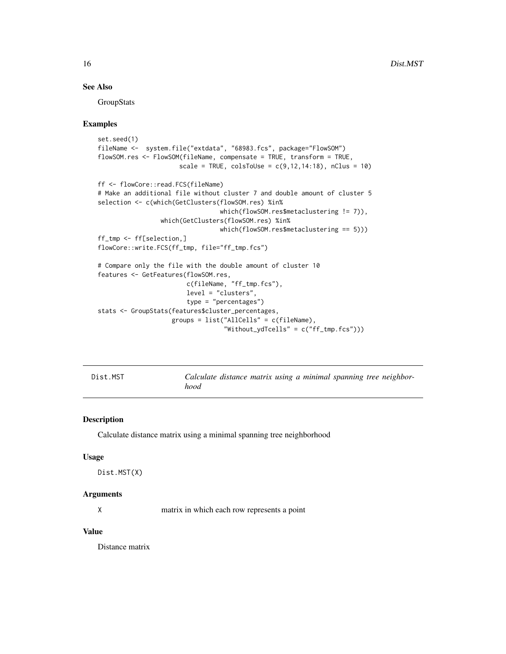# <span id="page-15-0"></span>See Also

**GroupStats** 

#### Examples

```
set.seed(1)
fileName <- system.file("extdata", "68983.fcs", package="FlowSOM")
flowSOM.res <- FlowSOM(fileName, compensate = TRUE, transform = TRUE,
                      scale = TRUE, colsToUse = c(9, 12, 14:18), nClus = 10)
ff <- flowCore::read.FCS(fileName)
# Make an additional file without cluster 7 and double amount of cluster 5
selection <- c(which(GetClusters(flowSOM.res) %in%
                                 which(flowSOM.res$metaclustering != 7)),
                 which(GetClusters(flowSOM.res) %in%
                                 which(flowSOM.res$metaclustering == 5)))
ff_tmp <- ff[selection,]
flowCore::write.FCS(ff_tmp, file="ff_tmp.fcs")
# Compare only the file with the double amount of cluster 10
features <- GetFeatures(flowSOM.res,
                        c(fileName, "ff_tmp.fcs"),
                        level = "clusters",
                        type = "percentages")
stats <- GroupStats(features$cluster_percentages,
                    groups = list("AllCells" = c(fileName),
                                  "Without_ydTcells" = c("ff_-tmp.fcs"))
```

| Dist.MST |  |
|----------|--|
|----------|--|

Calculate distance matrix using a minimal spanning tree neighbor*hood*

#### Description

Calculate distance matrix using a minimal spanning tree neighborhood

#### Usage

```
Dist.MST(X)
```
#### Arguments

X matrix in which each row represents a point

#### Value

Distance matrix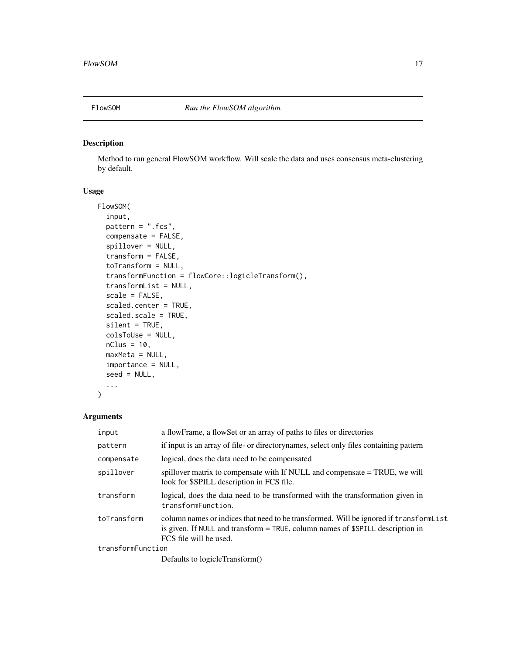<span id="page-16-1"></span><span id="page-16-0"></span>

# Description

Method to run general FlowSOM workflow. Will scale the data and uses consensus meta-clustering by default.

# Usage

```
FlowSOM(
  input,
  pattern = ".fcs",
  compensate = FALSE,
  spillover = NULL,
  transform = FALSE,
  toTransform = NULL,
  transformFunction = flowCore::logicleTransform(),
  transformList = NULL,
  scale = FALSE,
  scaled.center = TRUE,
  scaled.scale = TRUE,
  silent = TRUE,
  colsToUse = NULL,
 nClus = 10,
 maxMeta = NULL,
  importance = NULL,
  seed = NULL,...
)
```
# Arguments

| input             | a flowFrame, a flowSet or an array of paths to files or directories                                                                                                                                  |
|-------------------|------------------------------------------------------------------------------------------------------------------------------------------------------------------------------------------------------|
| pattern           | if input is an array of file- or directorynames, select only files containing pattern                                                                                                                |
| compensate        | logical, does the data need to be compensated                                                                                                                                                        |
| spillover         | spillover matrix to compensate with If NULL and compensate = TRUE, we will<br>look for \$SPILL description in FCS file.                                                                              |
| transform         | logical, does the data need to be transformed with the transformation given in<br>transformFunction.                                                                                                 |
| toTransform       | column names or indices that need to be transformed. Will be ignored if transform List<br>is given. If NULL and transform $=$ TRUE, column names of \$SPILL description in<br>FCS file will be used. |
| transformFunction |                                                                                                                                                                                                      |
|                   | Defaults to logicleTransform()                                                                                                                                                                       |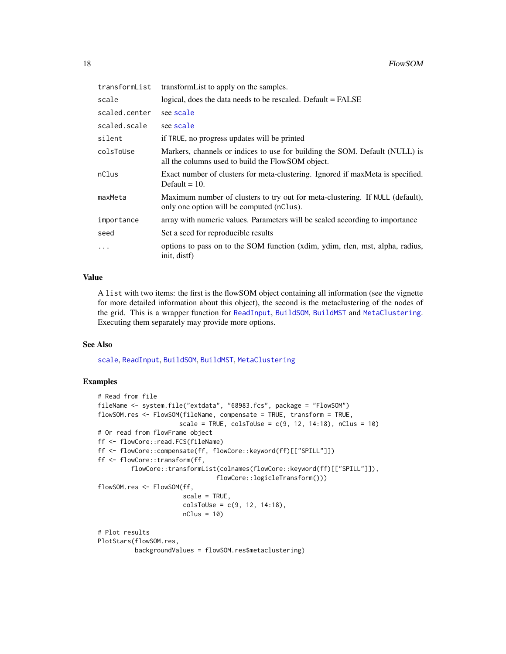| transformList | transform List to apply on the samples.                                                                                          |
|---------------|----------------------------------------------------------------------------------------------------------------------------------|
| scale         | logical, does the data needs to be rescaled. Default = FALSE                                                                     |
| scaled.center | see scale                                                                                                                        |
| scaled.scale  | see scale                                                                                                                        |
| silent        | if TRUE, no progress updates will be printed                                                                                     |
| colsToUse     | Markers, channels or indices to use for building the SOM. Default (NULL) is<br>all the columns used to build the FlowSOM object. |
| nClus         | Exact number of clusters for meta-clustering. Ignored if maxMeta is specified.<br>Default $= 10$ .                               |
| maxMeta       | Maximum number of clusters to try out for meta-clustering. If NULL (default),<br>only one option will be computed (nClus).       |
| importance    | array with numeric values. Parameters will be scaled according to importance                                                     |
| seed          | Set a seed for reproducible results                                                                                              |
| .             | options to pass on to the SOM function (xdim, ydim, rlen, mst, alpha, radius,<br>init, distf)                                    |

# Value

A list with two items: the first is the flowSOM object containing all information (see the vignette for more detailed information about this object), the second is the metaclustering of the nodes of the grid. This is a wrapper function for [ReadInput](#page-80-1), [BuildSOM](#page-13-1), [BuildMST](#page-12-1) and [MetaClustering](#page-41-1). Executing them separately may provide more options.

### See Also

[scale](#page-0-0), [ReadInput](#page-80-1), [BuildSOM](#page-13-1), [BuildMST](#page-12-1), [MetaClustering](#page-41-1)

```
# Read from file
fileName <- system.file("extdata", "68983.fcs", package = "FlowSOM")
flowSOM.res <- FlowSOM(fileName, compensate = TRUE, transform = TRUE,
                      scale = TRUE, colsToUse = c(9, 12, 14:18), nClus = 10)
# Or read from flowFrame object
ff <- flowCore::read.FCS(fileName)
ff <- flowCore::compensate(ff, flowCore::keyword(ff)[["SPILL"]])
ff <- flowCore::transform(ff,
         flowCore::transformList(colnames(flowCore::keyword(ff)[["SPILL"]]),
                                flowCore::logicleTransform()))
flowSOM.res <- FlowSOM(ff,
                       scale = TRUE,
                       colsToUse = c(9, 12, 14:18),
                       nClus = 10)
# Plot results
PlotStars(flowSOM.res,
         backgroundValues = flowSOM.res$metaclustering)
```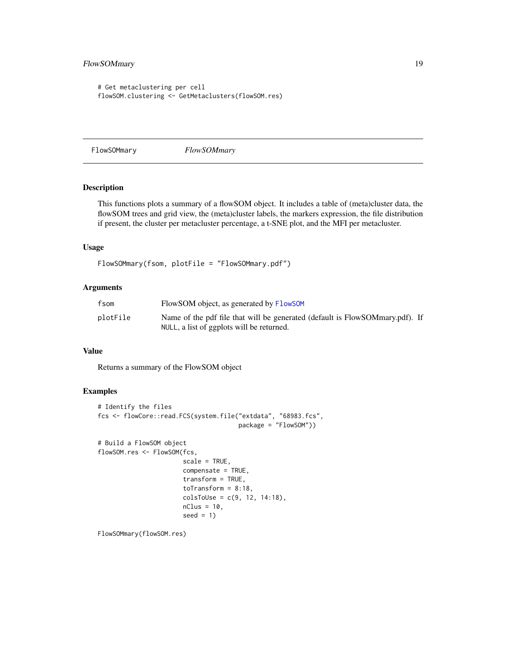# <span id="page-18-0"></span>FlowSOMmary 19

```
# Get metaclustering per cell
flowSOM.clustering <- GetMetaclusters(flowSOM.res)
```
FlowSOMmary *FlowSOMmary*

# Description

This functions plots a summary of a flowSOM object. It includes a table of (meta)cluster data, the flowSOM trees and grid view, the (meta)cluster labels, the markers expression, the file distribution if present, the cluster per metacluster percentage, a t-SNE plot, and the MFI per metacluster.

#### Usage

```
FlowSOMmary(fsom, plotFile = "FlowSOMmary.pdf")
```
# Arguments

| fsom     | FlowSOM object, as generated by FlowSOM                                      |
|----------|------------------------------------------------------------------------------|
| plotFile | Name of the pdf file that will be generated (default is FlowSOMmary.pdf). If |
|          | NULL, a list of ggplots will be returned.                                    |

### Value

Returns a summary of the FlowSOM object

# Examples

```
# Identify the files
fcs <- flowCore::read.FCS(system.file("extdata", "68983.fcs",
                                      package = "FlowSOM"))
# Build a FlowSOM object
flowSOM.res <- FlowSOM(fcs,
                       scale = TRUE,
                       compensate = TRUE,
                       transform = TRUE,
                       toTransform = 8:18,
                       colsToUse = c(9, 12, 14:18),
                       nClus = 10,
                       seed = 1)
```
FlowSOMmary(flowSOM.res)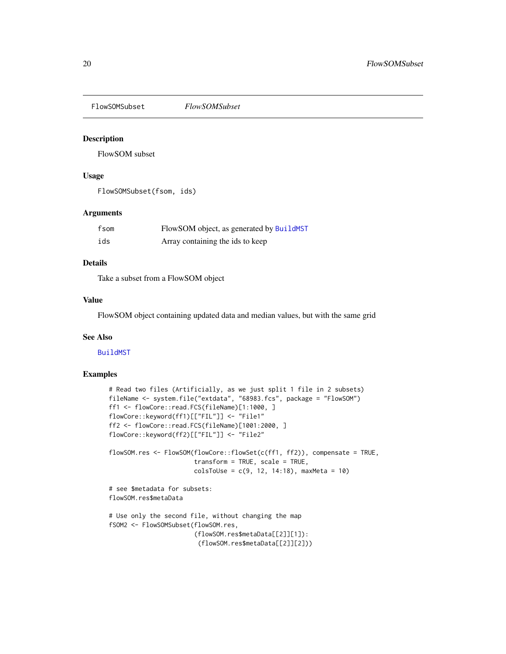<span id="page-19-0"></span>FlowSOMSubset *FlowSOMSubset*

### Description

FlowSOM subset

### Usage

FlowSOMSubset(fsom, ids)

### Arguments

| fsom | FlowSOM object, as generated by BuildMST |
|------|------------------------------------------|
| ids  | Array containing the ids to keep         |

# Details

Take a subset from a FlowSOM object

### Value

FlowSOM object containing updated data and median values, but with the same grid

# See Also

[BuildMST](#page-12-1)

```
# Read two files (Artificially, as we just split 1 file in 2 subsets)
fileName <- system.file("extdata", "68983.fcs", package = "FlowSOM")
ff1 <- flowCore::read.FCS(fileName)[1:1000, ]
flowCore::keyword(ff1)[["FIL"]] <- "File1"
ff2 <- flowCore::read.FCS(fileName)[1001:2000, ]
flowCore::keyword(ff2)[["FIL"]] <- "File2"
flowSOM.res <- FlowSOM(flowCore::flowSet(c(ff1, ff2)), compensate = TRUE,
                       transform = TRUE, scale = TRUE,
                       colsToUse = c(9, 12, 14:18), maxMeta = 10)
# see $metadata for subsets:
flowSOM.res$metaData
# Use only the second file, without changing the map
fSOM2 <- FlowSOMSubset(flowSOM.res,
                       (flowSOM.res$metaData[[2]][1]):
                        (flowSOM.res$metaData[[2]][2]))
```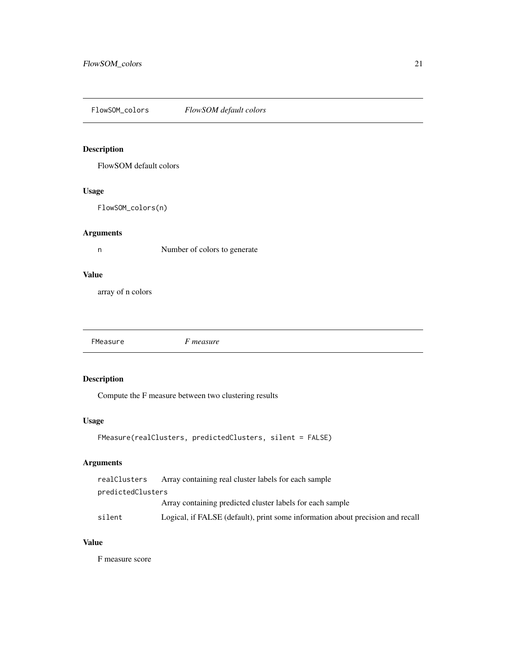<span id="page-20-0"></span>FlowSOM\_colors *FlowSOM default colors*

# Description

FlowSOM default colors

# Usage

FlowSOM\_colors(n)

# Arguments

n Number of colors to generate

### Value

array of n colors

FMeasure *F measure*

# Description

Compute the F measure between two clustering results

# Usage

```
FMeasure(realClusters, predictedClusters, silent = FALSE)
```
# Arguments

| realClusters      | Array containing real cluster labels for each sample                           |
|-------------------|--------------------------------------------------------------------------------|
| predictedClusters |                                                                                |
|                   | Array containing predicted cluster labels for each sample                      |
| silent            | Logical, if FALSE (default), print some information about precision and recall |

# Value

F measure score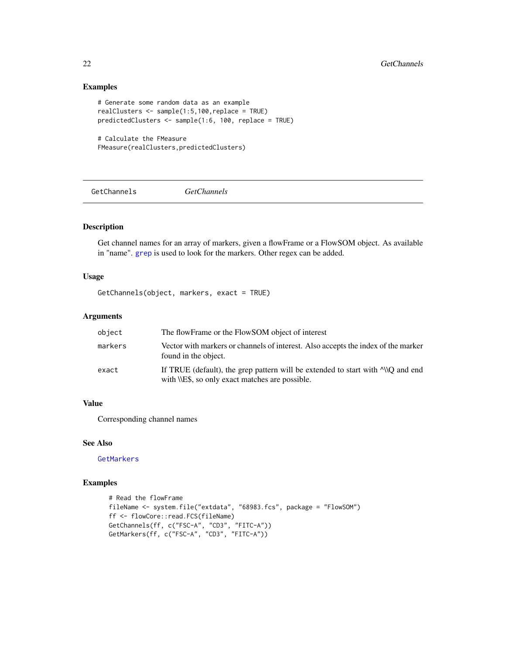# Examples

```
# Generate some random data as an example
realClusters <- sample(1:5,100,replace = TRUE)
predictedClusters <- sample(1:6, 100, replace = TRUE)
```

```
# Calculate the FMeasure
FMeasure(realClusters,predictedClusters)
```
<span id="page-21-1"></span>GetChannels *GetChannels*

# Description

Get channel names for an array of markers, given a flowFrame or a FlowSOM object. As available in "name". [grep](#page-0-0) is used to look for the markers. Other regex can be added.

### Usage

```
GetChannels(object, markers, exact = TRUE)
```
#### Arguments

| object  | The flowFrame or the FlowSOM object of interest                                                                                        |
|---------|----------------------------------------------------------------------------------------------------------------------------------------|
| markers | Vector with markers or channels of interest. Also accepts the index of the marker<br>found in the object.                              |
| exact   | If TRUE (default), the grep pattern will be extended to start with $\sim$ 0 and end<br>with \\E\$, so only exact matches are possible. |

### Value

Corresponding channel names

# See Also

[GetMarkers](#page-29-1)

```
# Read the flowFrame
fileName <- system.file("extdata", "68983.fcs", package = "FlowSOM")
ff <- flowCore::read.FCS(fileName)
GetChannels(ff, c("FSC-A", "CD3", "FITC-A"))
GetMarkers(ff, c("FSC-A", "CD3", "FITC-A"))
```
<span id="page-21-0"></span>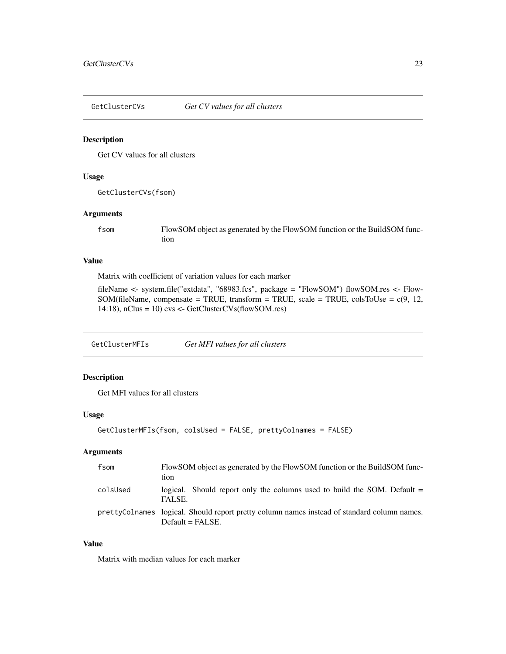<span id="page-22-0"></span>GetClusterCVs *Get CV values for all clusters*

#### Description

Get CV values for all clusters

# Usage

GetClusterCVs(fsom)

# Arguments

fsom FlowSOM object as generated by the FlowSOM function or the BuildSOM function

### Value

Matrix with coefficient of variation values for each marker

fileName <- system.file("extdata", "68983.fcs", package = "FlowSOM") flowSOM.res <- Flow-SOM(fileName, compensate = TRUE, transform = TRUE, scale = TRUE, colsToUse =  $c(9, 12, 12)$ 14:18), nClus = 10) cvs <- GetClusterCVs(flowSOM.res)

GetClusterMFIs *Get MFI values for all clusters*

# Description

Get MFI values for all clusters

### Usage

```
GetClusterMFIs(fsom, colsUsed = FALSE, prettyColnames = FALSE)
```
# Arguments

| fsom     | FlowSOM object as generated by the FlowSOM function or the BuildSOM func-<br>tion                                  |
|----------|--------------------------------------------------------------------------------------------------------------------|
| colsUsed | logical. Should report only the columns used to build the SOM. Default $=$<br>FALSE.                               |
|          | pretty Colnames logical. Should report pretty column names instead of standard column names.<br>$Default = FALSE.$ |

# Value

Matrix with median values for each marker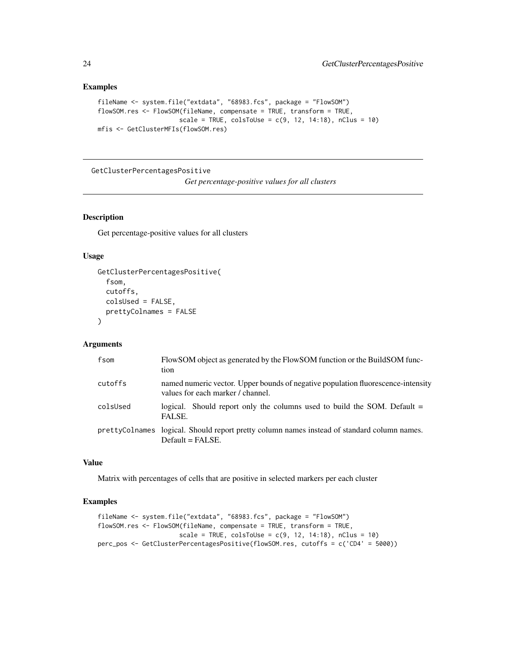# Examples

```
fileName <- system.file("extdata", "68983.fcs", package = "FlowSOM")
flowSOM.res <- FlowSOM(fileName, compensate = TRUE, transform = TRUE,
                      scale = TRUE, colsToUse = c(9, 12, 14:18), nClus = 10)
mfis <- GetClusterMFIs(flowSOM.res)
```
GetClusterPercentagesPositive

*Get percentage-positive values for all clusters*

# Description

Get percentage-positive values for all clusters

### Usage

```
GetClusterPercentagesPositive(
  fsom,
  cutoffs,
  colsUsed = FALSE,
 prettyColnames = FALSE
\lambda
```
### Arguments

| fsom     | FlowSOM object as generated by the FlowSOM function or the BuildSOM func-<br>tion                                     |
|----------|-----------------------------------------------------------------------------------------------------------------------|
| cutoffs  | named numeric vector. Upper bounds of negative population fluorescence-intensity<br>values for each marker / channel. |
| colsUsed | logical. Should report only the columns used to build the SOM. Default $=$<br>FALSE.                                  |
|          | prettyColnames logical. Should report pretty column names instead of standard column names.<br>$Default = FALSE.$     |

# Value

Matrix with percentages of cells that are positive in selected markers per each cluster

```
fileName <- system.file("extdata", "68983.fcs", package = "FlowSOM")
flowSOM.res <- FlowSOM(fileName, compensate = TRUE, transform = TRUE,
                     scale = TRUE, colsToUse = c(9, 12, 14:18), nClus = 10)
perc_pos <- GetClusterPercentagesPositive(flowSOM.res, cutoffs = c('CD4' = 5000))
```
<span id="page-23-0"></span>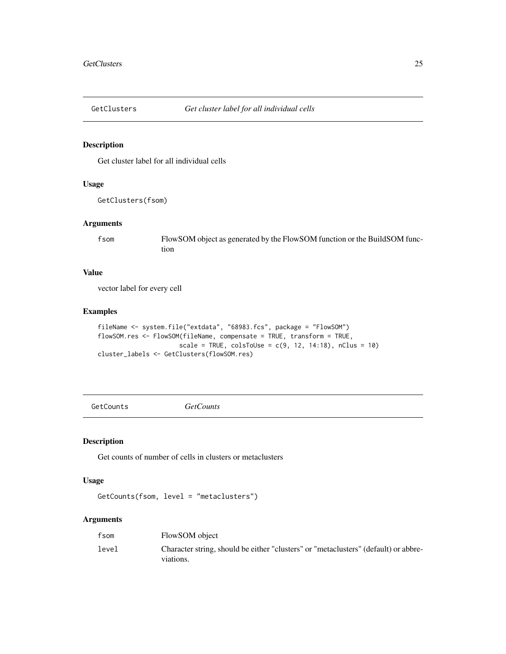<span id="page-24-0"></span>

# Description

Get cluster label for all individual cells

# Usage

```
GetClusters(fsom)
```
### Arguments

fsom FlowSOM object as generated by the FlowSOM function or the BuildSOM function

### Value

vector label for every cell

### Examples

```
fileName <- system.file("extdata", "68983.fcs", package = "FlowSOM")
flowSOM.res <- FlowSOM(fileName, compensate = TRUE, transform = TRUE,
                     scale = TRUE, colsToUse = c(9, 12, 14:18), nClus = 10)
cluster_labels <- GetClusters(flowSOM.res)
```
GetCounts *GetCounts*

# Description

Get counts of number of cells in clusters or metaclusters

#### Usage

GetCounts(fsom, level = "metaclusters")

### Arguments

| fsom  | FlowSOM object                                                                                   |
|-------|--------------------------------------------------------------------------------------------------|
| level | Character string, should be either "clusters" or "metaclusters" (default) or abbre-<br>viations. |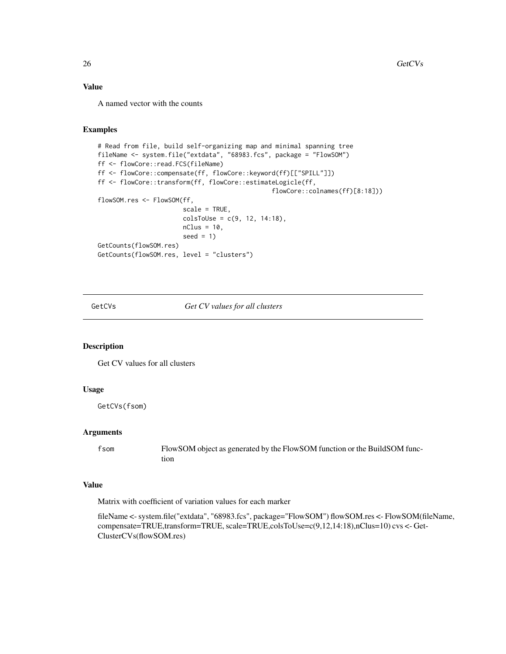# <span id="page-25-0"></span>Value

A named vector with the counts

### Examples

```
# Read from file, build self-organizing map and minimal spanning tree
fileName <- system.file("extdata", "68983.fcs", package = "FlowSOM")
ff <- flowCore::read.FCS(fileName)
ff <- flowCore::compensate(ff, flowCore::keyword(ff)[["SPILL"]])
ff <- flowCore::transform(ff, flowCore::estimateLogicle(ff,
                                               flowCore::colnames(ff)[8:18]))
flowSOM.res <- FlowSOM(ff,
                       scale = TRUE,
                       colsTolse = c(9, 12, 14:18),nClus = 10,
                       seed = 1)
GetCounts(flowSOM.res)
GetCounts(flowSOM.res, level = "clusters")
```
GetCVs *Get CV values for all clusters*

### Description

Get CV values for all clusters

### Usage

GetCVs(fsom)

# Arguments

fsom FlowSOM object as generated by the FlowSOM function or the BuildSOM function

# Value

Matrix with coefficient of variation values for each marker

fileName <- system.file("extdata", "68983.fcs", package="FlowSOM") flowSOM.res <- FlowSOM(fileName, compensate=TRUE,transform=TRUE, scale=TRUE,colsToUse=c(9,12,14:18),nClus=10) cvs <- Get-ClusterCVs(flowSOM.res)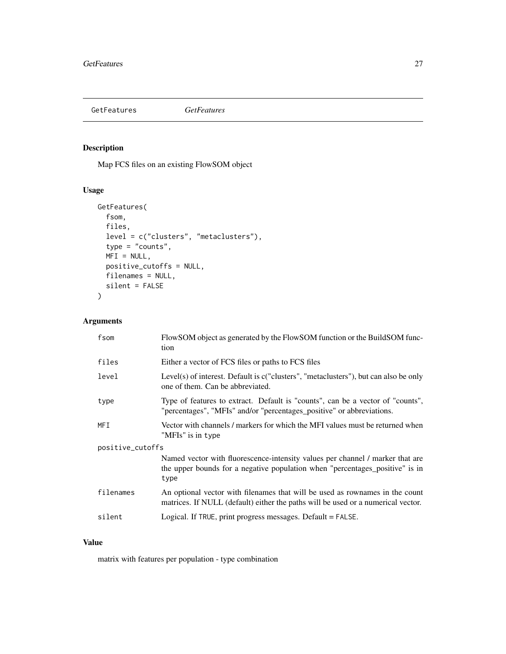# <span id="page-26-0"></span>GetFeatures *GetFeatures*

# Description

Map FCS files on an existing FlowSOM object

# Usage

```
GetFeatures(
  fsom,
  files,
  level = c("clusters", "metaclusters"),
  type = "counts",
  MFI = NULL,positive_cutoffs = NULL,
  filenames = NULL,
  silent = FALSE
\mathcal{L}
```
# Arguments

| fsom             | FlowSOM object as generated by the FlowSOM function or the BuildSOM func-<br>tion                                                                                     |  |
|------------------|-----------------------------------------------------------------------------------------------------------------------------------------------------------------------|--|
| files            | Either a vector of FCS files or paths to FCS files                                                                                                                    |  |
| level            | Level(s) of interest. Default is $c("clusters", "metaclusters"), but can also be only$<br>one of them. Can be abbreviated.                                            |  |
| type             | Type of features to extract. Default is "counts", can be a vector of "counts",<br>"percentages", "MFIs" and/or "percentages_positive" or abbreviations.               |  |
| <b>MFI</b>       | Vector with channels / markers for which the MFI values must be returned when<br>"MFIs" is in type                                                                    |  |
| positive_cutoffs |                                                                                                                                                                       |  |
|                  | Named vector with fluorescence-intensity values per channel / marker that are<br>the upper bounds for a negative population when "percentages_positive" is in<br>type |  |
| filenames        | An optional vector with filenames that will be used as rownames in the count<br>matrices. If NULL (default) either the paths will be used or a numerical vector.      |  |
| silent           | Logical. If TRUE, print progress messages. Default = FALSE.                                                                                                           |  |

# Value

matrix with features per population - type combination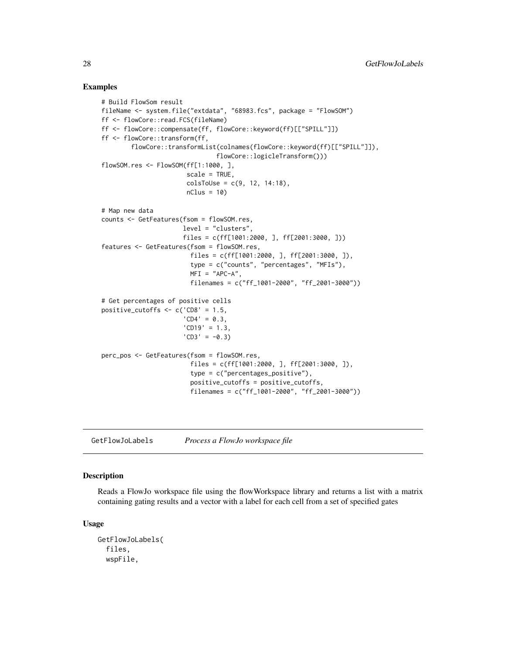### Examples

```
# Build FlowSom result
fileName <- system.file("extdata", "68983.fcs", package = "FlowSOM")
ff <- flowCore::read.FCS(fileName)
ff <- flowCore::compensate(ff, flowCore::keyword(ff)[["SPILL"]])
ff <- flowCore::transform(ff,
        flowCore::transformList(colnames(flowCore::keyword(ff)[["SPILL"]]),
                               flowCore::logicleTransform()))
flowSOM.res <- FlowSOM(ff[1:1000, ],
                       scale = TRUE,
                       colsToUse = c(9, 12, 14:18),
                       nClus = 10# Map new data
counts <- GetFeatures(fsom = flowSOM.res,
                      level = "clusters",
                      files = c(ff[1001:2000, ], ff[2001:3000, ]))
features <- GetFeatures(fsom = flowSOM.res,
                        files = c(ff[1001:2000, ], ff[2001:3000, ]),
                        type = c("counts", "percentages", "MFIs"),
                        MFI = "APC-A",filenames = c("ff_1001-2000", "ff_2001-3000"))
# Get percentages of positive cells
positive_cutoffs \leq c('CD8' = 1.5,
                      'CD4' = 0.3,
                      'CD19' = 1.3,
                      'CD3' = -0.3)perc_pos <- GetFeatures(fsom = flowSOM.res,
                        files = c(ff[1001:2000, ], ff[2001:3000, ]),
                        type = c("percentages_positive"),
                        positive_cutoffs = positive_cutoffs,
                        filenames = c("ff_1001-2000", "ff_2001-3000"))
```
GetFlowJoLabels *Process a FlowJo workspace file*

# Description

Reads a FlowJo workspace file using the flowWorkspace library and returns a list with a matrix containing gating results and a vector with a label for each cell from a set of specified gates

#### Usage

```
GetFlowJoLabels(
  files,
 wspFile,
```
<span id="page-27-0"></span>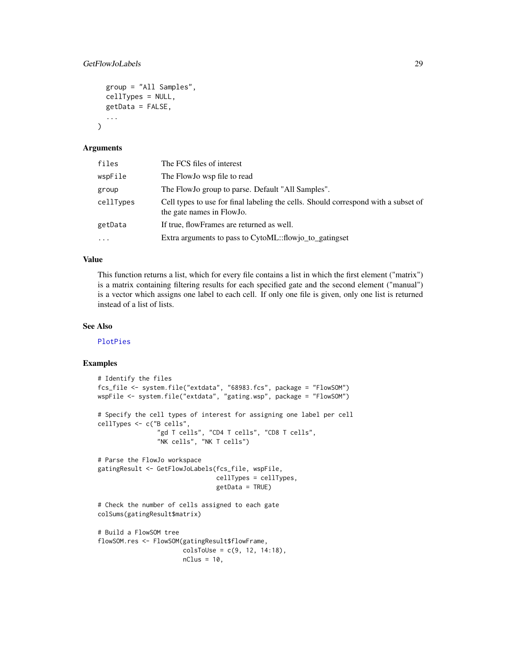### GetFlowJoLabels 29

```
group = "All Samples",
cellTypes = NULL,
getData = FALSE,
...
```
### **Arguments**

)

| files     | The FCS files of interest                                                                                       |
|-----------|-----------------------------------------------------------------------------------------------------------------|
| wspFile   | The FlowJo wsp file to read                                                                                     |
| group     | The Flow Jo group to parse. Default "All Samples".                                                              |
| cellTypes | Cell types to use for final labeling the cells. Should correspond with a subset of<br>the gate names in FlowJo. |
| getData   | If true, flowFrames are returned as well.                                                                       |
| $\cdots$  | Extra arguments to pass to CytoML::flowjo_to_gatingset                                                          |

### Value

This function returns a list, which for every file contains a list in which the first element ("matrix") is a matrix containing filtering results for each specified gate and the second element ("manual") is a vector which assigns one label to each cell. If only one file is given, only one list is returned instead of a list of lists.

### See Also

[PlotPies](#page-70-1)

```
# Identify the files
fcs_file <- system.file("extdata", "68983.fcs", package = "FlowSOM")
wspFile <- system.file("extdata", "gating.wsp", package = "FlowSOM")
# Specify the cell types of interest for assigning one label per cell
cellTypes <- c("B cells",
                "gd T cells", "CD4 T cells", "CD8 T cells",
                "NK cells", "NK T cells")
# Parse the FlowJo workspace
gatingResult <- GetFlowJoLabels(fcs_file, wspFile,
                                cellTypes = cellTypes,
                                getData = TRUE)
# Check the number of cells assigned to each gate
colSums(gatingResult$matrix)
# Build a FlowSOM tree
flowSOM.res <- FlowSOM(gatingResult$flowFrame,
                       colsToUse = c(9, 12, 14:18),
                       nClus = 10,
```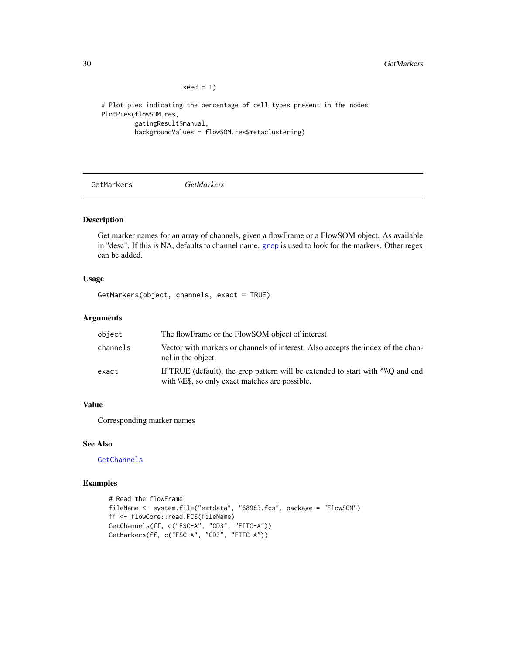seed  $= 1$ )

```
# Plot pies indicating the percentage of cell types present in the nodes
PlotPies(flowSOM.res,
         gatingResult$manual,
        backgroundValues = flowSOM.res$metaclustering)
```
<span id="page-29-1"></span>

GetMarkers *GetMarkers*

### Description

Get marker names for an array of channels, given a flowFrame or a FlowSOM object. As available in "desc". If this is NA, defaults to channel name. [grep](#page-0-0) is used to look for the markers. Other regex can be added.

#### Usage

GetMarkers(object, channels, exact = TRUE)

# Arguments

| object   | The flowFrame or the FlowSOM object of interest                                                                                        |
|----------|----------------------------------------------------------------------------------------------------------------------------------------|
| channels | Vector with markers or channels of interest. Also accepts the index of the chan-<br>nel in the object.                                 |
| exact    | If TRUE (default), the grep pattern will be extended to start with $\sim$ 0 and end<br>with \\E\$, so only exact matches are possible. |

# Value

Corresponding marker names

### See Also

**[GetChannels](#page-21-1)** 

```
# Read the flowFrame
fileName <- system.file("extdata", "68983.fcs", package = "FlowSOM")
ff <- flowCore::read.FCS(fileName)
GetChannels(ff, c("FSC-A", "CD3", "FITC-A"))
GetMarkers(ff, c("FSC-A", "CD3", "FITC-A"))
```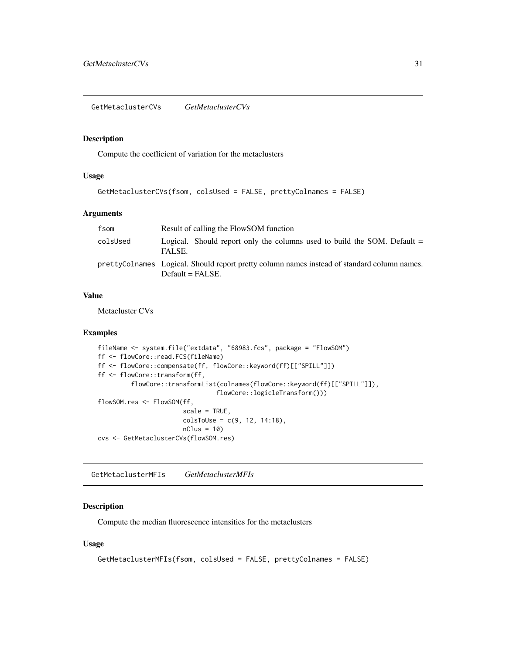<span id="page-30-0"></span>GetMetaclusterCVs *GetMetaclusterCVs*

#### Description

Compute the coefficient of variation for the metaclusters

#### Usage

```
GetMetaclusterCVs(fsom, colsUsed = FALSE, prettyColnames = FALSE)
```
### Arguments

| fsom     | Result of calling the FlowSOM function                                                                            |
|----------|-------------------------------------------------------------------------------------------------------------------|
| colsUsed | Logical. Should report only the columns used to build the SOM. Default $=$<br>FALSE.                              |
|          | prettyColnames Logical. Should report pretty column names instead of standard column names.<br>$Default = FALSE.$ |

# Value

Metacluster CVs

#### Examples

```
fileName <- system.file("extdata", "68983.fcs", package = "FlowSOM")
ff <- flowCore::read.FCS(fileName)
ff <- flowCore::compensate(ff, flowCore::keyword(ff)[["SPILL"]])
ff <- flowCore::transform(ff,
         flowCore::transformList(colnames(flowCore::keyword(ff)[["SPILL"]]),
                                flowCore::logicleTransform()))
flowSOM.res <- FlowSOM(ff,
                       scale = TRUE,
                       colsToUse = c(9, 12, 14:18),
                       nClus = 10cvs <- GetMetaclusterCVs(flowSOM.res)
```
GetMetaclusterMFIs *GetMetaclusterMFIs*

# Description

Compute the median fluorescence intensities for the metaclusters

#### Usage

```
GetMetaclusterMFIs(fsom, colsUsed = FALSE, prettyColnames = FALSE)
```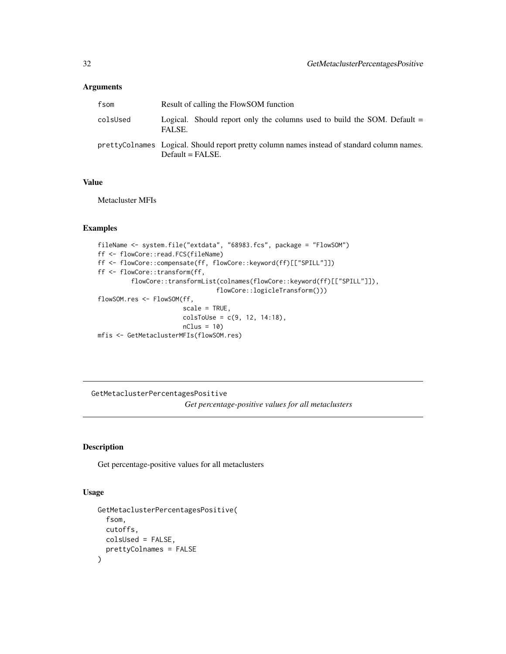# <span id="page-31-0"></span>Arguments

| fsom     | Result of calling the FlowSOM function                                                                            |
|----------|-------------------------------------------------------------------------------------------------------------------|
| colsUsed | Logical. Should report only the columns used to build the SOM. Default $=$<br>FALSE.                              |
|          | prettyColnames Logical. Should report pretty column names instead of standard column names.<br>$Default = FALSE.$ |

# Value

Metacluster MFIs

# Examples

```
fileName <- system.file("extdata", "68983.fcs", package = "FlowSOM")
ff <- flowCore::read.FCS(fileName)
ff <- flowCore::compensate(ff, flowCore::keyword(ff)[["SPILL"]])
ff <- flowCore::transform(ff,
         flowCore::transformList(colnames(flowCore::keyword(ff)[["SPILL"]]),
                                flowCore::logicleTransform()))
flowSOM.res <- FlowSOM(ff,
                       scale = TRUE,
                       colsTolse = c(9, 12, 14:18),nClus = 10mfis <- GetMetaclusterMFIs(flowSOM.res)
```
GetMetaclusterPercentagesPositive *Get percentage-positive values for all metaclusters*

### Description

Get percentage-positive values for all metaclusters

# Usage

```
GetMetaclusterPercentagesPositive(
  fsom,
  cutoffs,
  colsUsed = FALSE,
  prettyColnames = FALSE
\mathcal{E}
```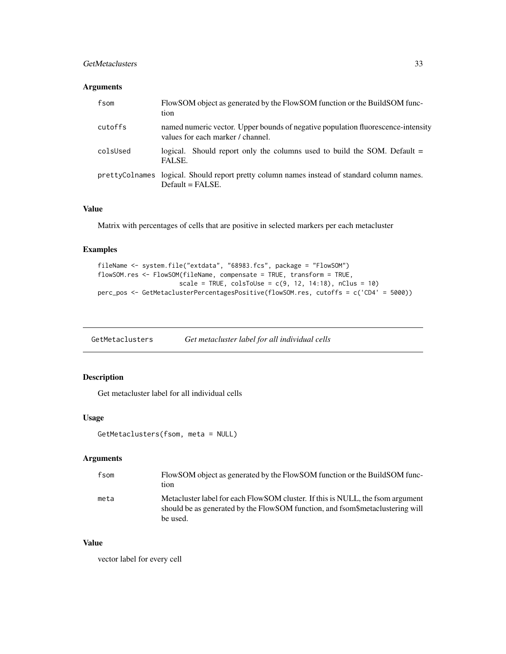### <span id="page-32-0"></span>GetMetaclusters 33

### Arguments

| fsom     | FlowSOM object as generated by the FlowSOM function or the BuildSOM func-<br>tion                                     |
|----------|-----------------------------------------------------------------------------------------------------------------------|
| cutoffs  | named numeric vector. Upper bounds of negative population fluorescence-intensity<br>values for each marker / channel. |
| colsUsed | logical. Should report only the columns used to build the SOM. Default $=$<br>FALSE.                                  |
|          | prettyColnames logical. Should report pretty column names instead of standard column names.<br>$Default = FALSE.$     |

# Value

Matrix with percentages of cells that are positive in selected markers per each metacluster

# Examples

```
fileName <- system.file("extdata", "68983.fcs", package = "FlowSOM")
flowSOM.res <- FlowSOM(fileName, compensate = TRUE, transform = TRUE,
                     scale = TRUE, colsToUse = c(9, 12, 14:18), nClus = 10)
perc_pos <- GetMetaclusterPercentagesPositive(flowSOM.res, cutoffs = c('CD4' = 5000))
```
GetMetaclusters *Get metacluster label for all individual cells*

# Description

Get metacluster label for all individual cells

### Usage

```
GetMetaclusters(fsom, meta = NULL)
```
# Arguments

| fsom | FlowSOM object as generated by the FlowSOM function or the BuildSOM func-<br>tion                                                                                          |
|------|----------------------------------------------------------------------------------------------------------------------------------------------------------------------------|
| meta | Metacluster label for each FlowSOM cluster. If this is NULL, the fsom argument<br>should be as generated by the FlowSOM function, and fsom metaclustering will<br>be used. |

#### Value

vector label for every cell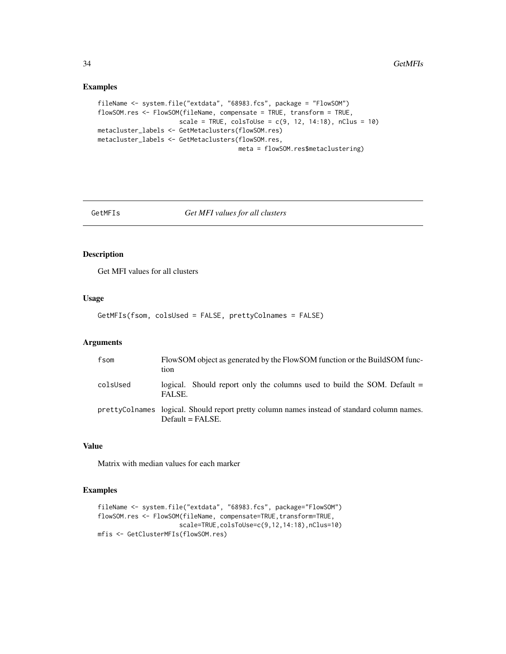### Examples

```
fileName <- system.file("extdata", "68983.fcs", package = "FlowSOM")
flowSOM.res <- FlowSOM(fileName, compensate = TRUE, transform = TRUE,
                      scale = TRUE, colsToUse = c(9, 12, 14:18), nClus = 10)
metacluster_labels <- GetMetaclusters(flowSOM.res)
metacluster_labels <- GetMetaclusters(flowSOM.res,
                                      meta = flowSOM.res$metaclustering)
```
GetMFIs *Get MFI values for all clusters*

# Description

Get MFI values for all clusters

#### Usage

GetMFIs(fsom, colsUsed = FALSE, prettyColnames = FALSE)

#### Arguments

| fsom     | FlowSOM object as generated by the FlowSOM function or the BuildSOM func-<br>tion                                 |
|----------|-------------------------------------------------------------------------------------------------------------------|
| colsUsed | logical. Should report only the columns used to build the SOM. Default $=$<br>FALSE.                              |
|          | prettyColnames logical. Should report pretty column names instead of standard column names.<br>$Default = FALSE.$ |

### Value

Matrix with median values for each marker

```
fileName <- system.file("extdata", "68983.fcs", package="FlowSOM")
flowSOM.res <- FlowSOM(fileName, compensate=TRUE, transform=TRUE,
                      scale=TRUE,colsToUse=c(9,12,14:18),nClus=10)
mfis <- GetClusterMFIs(flowSOM.res)
```
<span id="page-33-0"></span>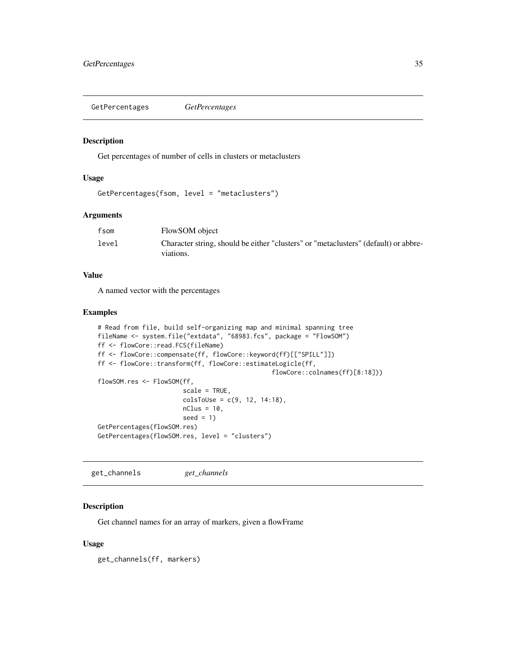<span id="page-34-0"></span>GetPercentages *GetPercentages*

# Description

Get percentages of number of cells in clusters or metaclusters

#### Usage

```
GetPercentages(fsom, level = "metaclusters")
```
### Arguments

| fsom  | FlowSOM object                                                                      |
|-------|-------------------------------------------------------------------------------------|
| level | Character string, should be either "clusters" or "metaclusters" (default) or abbre- |
|       | viations.                                                                           |

# Value

A named vector with the percentages

# Examples

```
# Read from file, build self-organizing map and minimal spanning tree
fileName <- system.file("extdata", "68983.fcs", package = "FlowSOM")
ff <- flowCore::read.FCS(fileName)
ff <- flowCore::compensate(ff, flowCore::keyword(ff)[["SPILL"]])
ff <- flowCore::transform(ff, flowCore::estimateLogicle(ff,
                                              flowCore::colnames(ff)[8:18]))
flowSOM.res <- FlowSOM(ff,
                       scale = TRUE,
                       colsToUse = c(9, 12, 14:18),nClus = 10,
                       seed = 1)GetPercentages(flowSOM.res)
GetPercentages(flowSOM.res, level = "clusters")
```
<span id="page-34-1"></span>get\_channels *get\_channels*

# Description

Get channel names for an array of markers, given a flowFrame

#### Usage

get\_channels(ff, markers)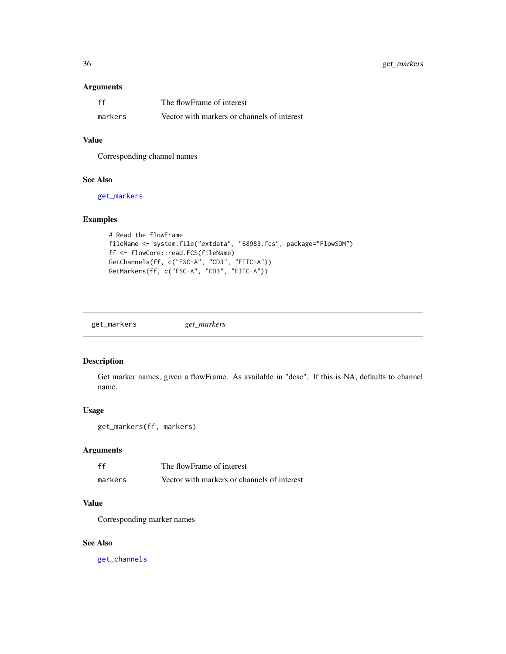### <span id="page-35-0"></span>Arguments

| ff      | The flowFrame of interest                   |
|---------|---------------------------------------------|
| markers | Vector with markers or channels of interest |

# Value

Corresponding channel names

# See Also

[get\\_markers](#page-35-1)

### Examples

```
# Read the flowFrame
fileName <- system.file("extdata", "68983.fcs", package="FlowSOM")
ff <- flowCore::read.FCS(fileName)
GetChannels(ff, c("FSC-A", "CD3", "FITC-A"))
GetMarkers(ff, c("FSC-A", "CD3", "FITC-A"))
```
<span id="page-35-1"></span>get\_markers *get\_markers*

### Description

Get marker names, given a flowFrame. As available in "desc". If this is NA, defaults to channel name.

### Usage

```
get_markers(ff, markers)
```
# Arguments

| ff      | The flowFrame of interest                   |
|---------|---------------------------------------------|
| markers | Vector with markers or channels of interest |

# Value

Corresponding marker names

#### See Also

[get\\_channels](#page-34-1)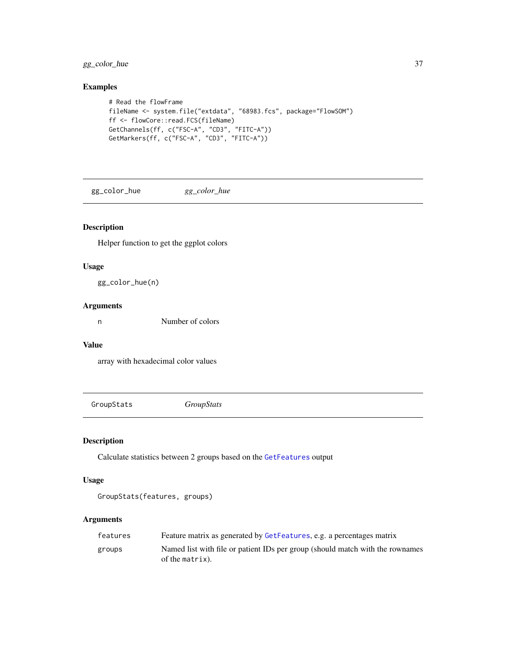gg\_color\_hue 37

# Examples

```
# Read the flowFrame
fileName <- system.file("extdata", "68983.fcs", package="FlowSOM")
ff <- flowCore::read.FCS(fileName)
GetChannels(ff, c("FSC-A", "CD3", "FITC-A"))
GetMarkers(ff, c("FSC-A", "CD3", "FITC-A"))
```
gg\_color\_hue *gg\_color\_hue*

# Description

Helper function to get the ggplot colors

## Usage

gg\_color\_hue(n)

### Arguments

n Number of colors

# Value

array with hexadecimal color values

GroupStats *GroupStats*

# Description

Calculate statistics between 2 groups based on the [GetFeatures](#page-26-0) output

# Usage

GroupStats(features, groups)

# Arguments

| features | Feature matrix as generated by GetFeatures, e.g. a percentages matrix                            |
|----------|--------------------------------------------------------------------------------------------------|
| groups   | Named list with file or patient IDs per group (should match with the rownames<br>of the matrix). |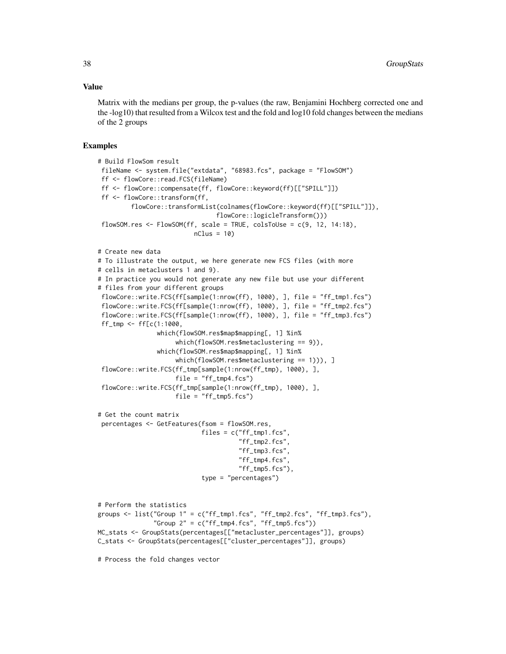#### Value

Matrix with the medians per group, the p-values (the raw, Benjamini Hochberg corrected one and the -log10) that resulted from a Wilcox test and the fold and log10 fold changes between the medians of the 2 groups

```
# Build FlowSom result
 fileName <- system.file("extdata", "68983.fcs", package = "FlowSOM")
 ff <- flowCore::read.FCS(fileName)
 ff <- flowCore::compensate(ff, flowCore::keyword(ff)[["SPILL"]])
 ff <- flowCore::transform(ff,
         flowCore::transformList(colnames(flowCore::keyword(ff)[["SPILL"]]),
                                flowCore::logicleTransform()))
 flowSOM.res \leq FlowSOM(ff, scale = TRUE, colsToUse = c(9, 12, 14:18),
                          nClus = 10# Create new data
# To illustrate the output, we here generate new FCS files (with more
# cells in metaclusters 1 and 9).
# In practice you would not generate any new file but use your different
# files from your different groups
 flowCore::write.FCS(ff[sample(1:nrow(ff), 1000), ], file = "ff_tmp1.fcs")
 flowCore::write.FCS(ff[sample(1:nrow(ff), 1000), ], file = "ff_tmp2.fcs")
 flowCore::write.FCS(ff[sample(1:nrow(ff), 1000), ], file = "ff_tmp3.fcs")
 ff_tmp <- ff[c(1:1000,
                which(flowSOM.res$map$mapping[, 1] %in%
                     which(flowSOM.res$metaclustering == 9)),
                which(flowSOM.res$map$mapping[, 1] %in%
                     which(flowSOM.res$metaclustering == 1))), ]
 flowCore::write.FCS(ff_tmp[sample(1:nrow(ff_tmp), 1000), ],
                     file = "ff_tmp4.fcs")flowCore::write.FCS(ff_tmp[sample(1:nrow(ff_tmp), 1000), ],
                     file = "ff\_tmp5.fcs")# Get the count matrix
 percentages <- GetFeatures(fsom = flowSOM.res,
                            files = c("ff_tmp1.fcs","ff_tmp2.fcs",
                                      "ff_tmp3.fcs",
                                      "ff_tmp4.fcs",
                                      "ff_tmp5.fcs"),
                            type = "percentages")
# Perform the statistics
groups <- list("Group 1" = c("ff_tmp1.fcs", "ff_tmp2.fcs", "ff_tmp3.fcs"),
               "Group 2" = c("ff_tmp4.fcs", "ff_tmp5.fcs"))MC_stats <- GroupStats(percentages[["metacluster_percentages"]], groups)
C_stats <- GroupStats(percentages[["cluster_percentages"]], groups)
# Process the fold changes vector
```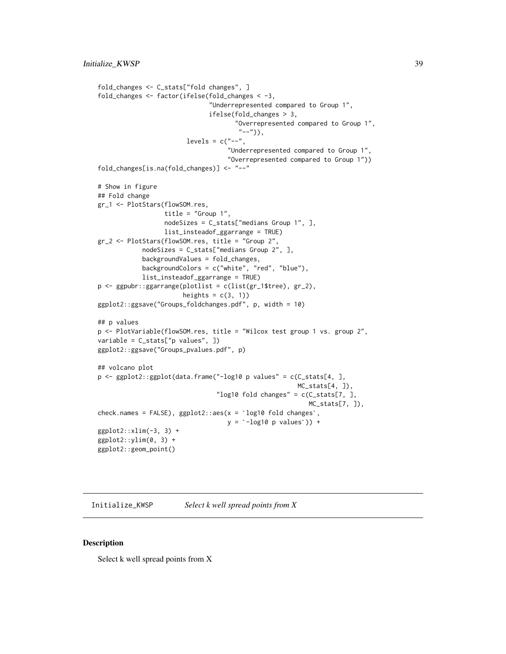```
fold_changes <- C_stats["fold changes", ]
fold_changes <- factor(ifelse(fold_changes < -3,
                                 "Underrepresented compared to Group 1",
                                ifelse(fold_changes > 3,
                                        "Overrepresented compared to Group 1",
                                         "--")),
                          levels = c("--","Underrepresented compared to Group 1",
                                      "Overrepresented compared to Group 1"))
fold_changes[is.na(fold_changes)] <- "--"
# Show in figure
## Fold change
gr_1 <- PlotStars(flowSOM.res,
                   title = "Group 1",
                   nodeSizes = C_stats["medians Group 1", ],
                   list_insteadof_ggarrange = TRUE)
gr_2 <- PlotStars(flowSOM.res, title = "Group 2",
             nodeSizes = C_stats["medians Group 2", ],
             backgroundValues = fold_changes,
             backgroundColors = c("white", "red", "blue"),
             list_insteadof_ggarrange = TRUE)
p <- ggpubr::ggarrange(plotlist = c(list(gr_1$tree), gr_2),
                        heights = c(3, 1))
ggplot2::ggsave("Groups_foldchanges.pdf", p, width = 10)
## p values
p <- PlotVariable(flowSOM.res, title = "Wilcox test group 1 vs. group 2",
variable = C_stats["p values", ])
ggplot2::ggsave("Groups_pvalues.pdf", p)
## volcano plot
p <- ggplot2::ggplot(data.frame("-log10 p values" = c(C_stats[4, ],
                                                          MC\_stats[4, ]),"log10 fold changes" = c(C_ stats[7, 1,MC_stats[7, ]),
MC_sta<br>_log10 fold changes" = c(C_s"<br>, check.names = FALSE), ggplot2::aes(x = `log10 fold changes`
                                      g10 fold changes" = c(C_s<br>x = `log10 fold changes`,<br>y = `-log10 p values`)) +
ggplot2::xlim(-3, 3) +ggplot2::ylim(0, 3) +ggplot2::geom_point()
```
Initialize\_KWSP *Select k well spread points from X*

#### Description

Select k well spread points from X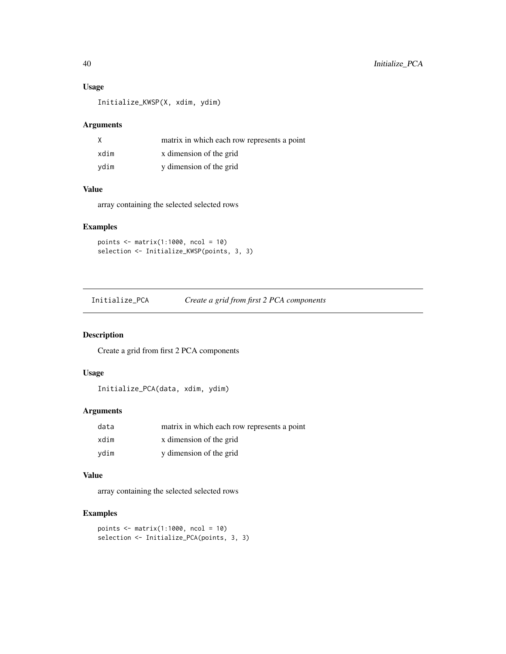## Usage

Initialize\_KWSP(X, xdim, ydim)

# Arguments

|      | matrix in which each row represents a point |
|------|---------------------------------------------|
| xdim | x dimension of the grid                     |
| vdim | y dimension of the grid                     |

#### Value

array containing the selected selected rows

# Examples

```
points <- matrix(1:1000, ncol = 10)
selection <- Initialize_KWSP(points, 3, 3)
```
Initialize\_PCA *Create a grid from first 2 PCA components*

# Description

Create a grid from first 2 PCA components

# Usage

Initialize\_PCA(data, xdim, ydim)

## Arguments

| data | matrix in which each row represents a point |
|------|---------------------------------------------|
| xdim | x dimension of the grid                     |
| ydim | y dimension of the grid                     |

#### Value

array containing the selected selected rows

```
points <- matrix(1:1000, ncol = 10)
selection <- Initialize_PCA(points, 3, 3)
```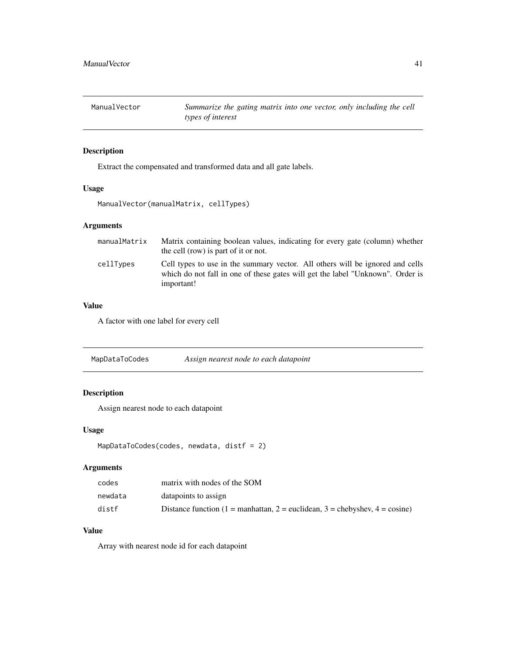ManualVector *Summarize the gating matrix into one vector, only including the cell types of interest*

# Description

Extract the compensated and transformed data and all gate labels.

## Usage

ManualVector(manualMatrix, cellTypes)

# Arguments

| manualMatrix | Matrix containing boolean values, indicating for every gate (column) whether<br>the cell (row) is part of it or not.                                                          |
|--------------|-------------------------------------------------------------------------------------------------------------------------------------------------------------------------------|
| cellTypes    | Cell types to use in the summary vector. All others will be ignored and cells<br>which do not fall in one of these gates will get the label "Unknown". Order is<br>important! |

# Value

A factor with one label for every cell

MapDataToCodes *Assign nearest node to each datapoint*

# Description

Assign nearest node to each datapoint

#### Usage

```
MapDataToCodes(codes, newdata, distf = 2)
```
# Arguments

| codes   | matrix with nodes of the SOM                                                          |
|---------|---------------------------------------------------------------------------------------|
| newdata | datapoints to assign                                                                  |
| distf   | Distance function (1 = manhattan, 2 = euclidean, 3 = chebyshev, $4 = \text{cosine}$ ) |

# Value

Array with nearest node id for each datapoint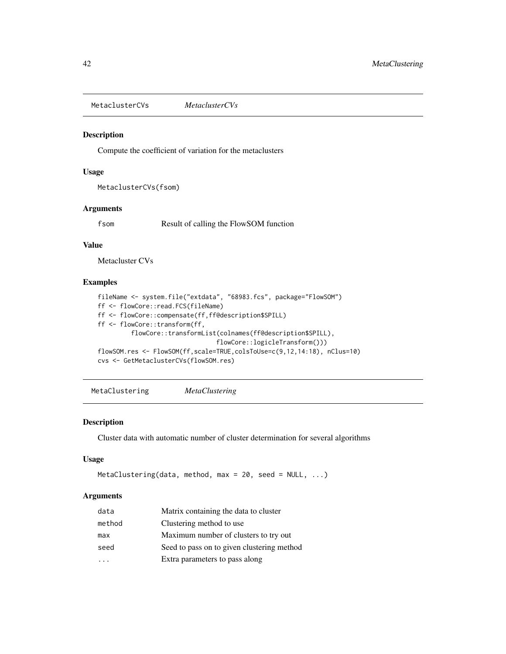MetaclusterCVs *MetaclusterCVs*

#### Description

Compute the coefficient of variation for the metaclusters

#### Usage

```
MetaclusterCVs(fsom)
```
# Arguments

fsom Result of calling the FlowSOM function

## Value

Metacluster CVs

## Examples

```
fileName <- system.file("extdata", "68983.fcs", package="FlowSOM")
ff <- flowCore::read.FCS(fileName)
ff <- flowCore::compensate(ff,ff@description$SPILL)
ff <- flowCore::transform(ff,
         flowCore::transformList(colnames(ff@description$SPILL),
                                flowCore::logicleTransform()))
flowSOM.res <- FlowSOM(ff,scale=TRUE,colsToUse=c(9,12,14:18), nClus=10)
cvs <- GetMetaclusterCVs(flowSOM.res)
```
<span id="page-41-0"></span>MetaClustering *MetaClustering*

#### Description

Cluster data with automatic number of cluster determination for several algorithms

# Usage

```
MetaClustering(data, method, max = 20, seed = NULL, ...)
```
#### Arguments

| data   | Matrix containing the data to cluster      |  |
|--------|--------------------------------------------|--|
| method | Clustering method to use.                  |  |
| max    | Maximum number of clusters to try out      |  |
| seed   | Seed to pass on to given clustering method |  |
|        | Extra parameters to pass along             |  |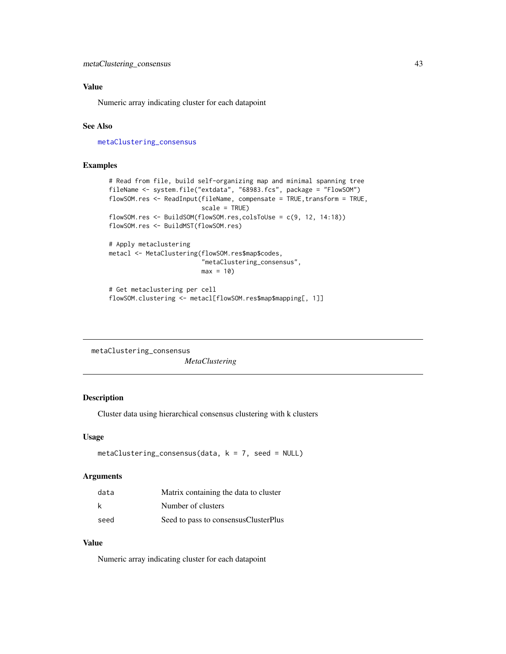## Value

Numeric array indicating cluster for each datapoint

#### See Also

[metaClustering\\_consensus](#page-42-0)

#### Examples

```
# Read from file, build self-organizing map and minimal spanning tree
fileName <- system.file("extdata", "68983.fcs", package = "FlowSOM")
flowSOM.res <- ReadInput(fileName, compensate = TRUE, transform = TRUE,
                         scale = TRUE)
flowSOM.res <- BuildSOM(flowSOM.res,colsToUse = c(9, 12, 14:18))
flowSOM.res <- BuildMST(flowSOM.res)
# Apply metaclustering
metacl <- MetaClustering(flowSOM.res$map$codes,
                         "metaClustering_consensus",
                         max = 10# Get metaclustering per cell
flowSOM.clustering <- metacl[flowSOM.res$map$mapping[, 1]]
```
<span id="page-42-0"></span>metaClustering\_consensus

#### *MetaClustering*

#### Description

Cluster data using hierarchical consensus clustering with k clusters

#### Usage

```
metaClustering_consensus(data, k = 7, seed = NULL)
```
### Arguments

| data | Matrix containing the data to cluster  |
|------|----------------------------------------|
| k    | Number of clusters                     |
| seed | Seed to pass to consensus Cluster Plus |

#### Value

Numeric array indicating cluster for each datapoint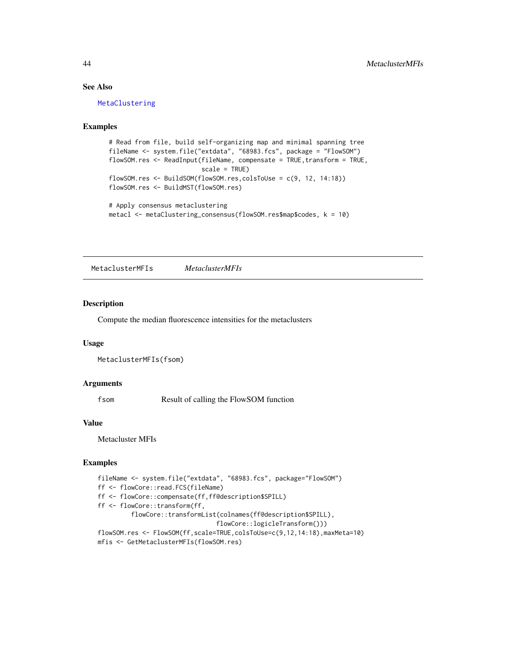## See Also

[MetaClustering](#page-41-0)

# Examples

```
# Read from file, build self-organizing map and minimal spanning tree
fileName <- system.file("extdata", "68983.fcs", package = "FlowSOM")
flowSOM.res <- ReadInput(fileName, compensate = TRUE, transform = TRUE,
                         scale = TRUE)
flowSOM.res <- BuildSOM(flowSOM.res,colsToUse = c(9, 12, 14:18))
flowSOM.res <- BuildMST(flowSOM.res)
# Apply consensus metaclustering
```
metacl <- metaClustering\_consensus(flowSOM.res\$map\$codes, k = 10)

MetaclusterMFIs *MetaclusterMFIs*

### Description

Compute the median fluorescence intensities for the metaclusters

#### Usage

```
MetaclusterMFIs(fsom)
```
#### Arguments

fsom Result of calling the FlowSOM function

#### Value

Metacluster MFIs

```
fileName <- system.file("extdata", "68983.fcs", package="FlowSOM")
ff <- flowCore::read.FCS(fileName)
ff <- flowCore::compensate(ff,ff@description$SPILL)
ff <- flowCore::transform(ff,
         flowCore::transformList(colnames(ff@description$SPILL),
                                flowCore::logicleTransform()))
flowSOM.res <- FlowSOM(ff,scale=TRUE,colsToUse=c(9,12,14:18),maxMeta=10)
mfis <- GetMetaclusterMFIs(flowSOM.res)
```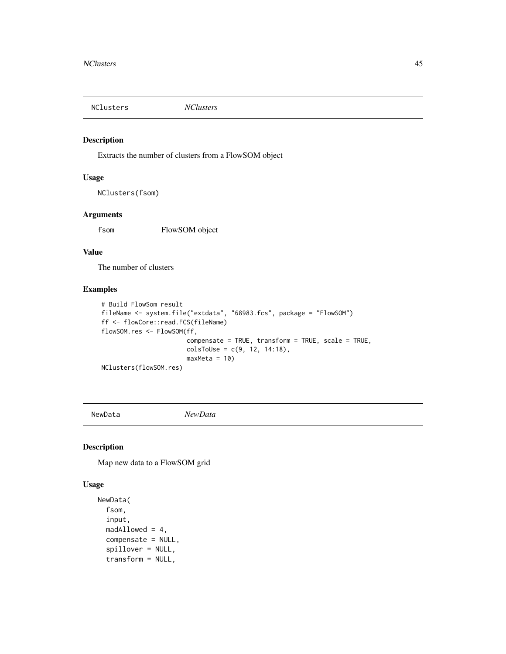NClusters *NClusters*

# Description

Extracts the number of clusters from a FlowSOM object

### Usage

NClusters(fsom)

#### Arguments

fsom FlowSOM object

# Value

The number of clusters

# Examples

```
# Build FlowSom result
fileName <- system.file("extdata", "68983.fcs", package = "FlowSOM")
ff <- flowCore::read.FCS(fileName)
flowSOM.res <- FlowSOM(ff,
                      compensate = TRUE, transform = TRUE, scale = TRUE,
                      colsTolse = c(9, 12, 14:18),maxMeta = 10NClusters(flowSOM.res)
```
<span id="page-44-0"></span>NewData *NewData*

### Description

Map new data to a FlowSOM grid

#### Usage

```
NewData(
  fsom,
  input,
  madAllowed = 4,
  compensate = NULL,
  spillover = NULL,
  transform = NULL,
```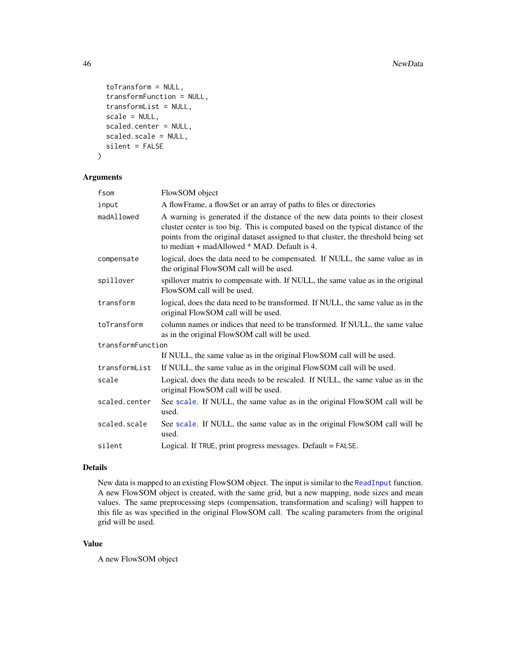```
toTransform = NULL,
  transformFunction = NULL,
  transformList = NULL,
  scale = NULL,
  scaled.center = NULL,
  scaled.scale = NULL,
  silent = FALSE
\mathcal{L}
```
# Arguments

| fsom              | FlowSOM object                                                                                                                                                                                                                                                                                              |
|-------------------|-------------------------------------------------------------------------------------------------------------------------------------------------------------------------------------------------------------------------------------------------------------------------------------------------------------|
| input             | A flowFrame, a flowSet or an array of paths to files or directories                                                                                                                                                                                                                                         |
| madAllowed        | A warning is generated if the distance of the new data points to their closest<br>cluster center is too big. This is computed based on the typical distance of the<br>points from the original dataset assigned to that cluster, the threshold being set<br>to median $+$ madAllowed $*$ MAD. Default is 4. |
| compensate        | logical, does the data need to be compensated. If NULL, the same value as in<br>the original FlowSOM call will be used.                                                                                                                                                                                     |
| spillover         | spillover matrix to compensate with. If NULL, the same value as in the original<br>FlowSOM call will be used.                                                                                                                                                                                               |
| transform         | logical, does the data need to be transformed. If NULL, the same value as in the<br>original FlowSOM call will be used.                                                                                                                                                                                     |
| toTransform       | column names or indices that need to be transformed. If NULL, the same value<br>as in the original FlowSOM call will be used.                                                                                                                                                                               |
| transformFunction |                                                                                                                                                                                                                                                                                                             |
|                   | If NULL, the same value as in the original FlowSOM call will be used.                                                                                                                                                                                                                                       |
| transformList     | If NULL, the same value as in the original FlowSOM call will be used.                                                                                                                                                                                                                                       |
| scale             | Logical, does the data needs to be rescaled. If NULL, the same value as in the<br>original FlowSOM call will be used.                                                                                                                                                                                       |
| scaled.center     | See scale. If NULL, the same value as in the original FlowSOM call will be<br>used.                                                                                                                                                                                                                         |
| scaled.scale      | See scale. If NULL, the same value as in the original FlowSOM call will be<br>used.                                                                                                                                                                                                                         |
| silent            | Logical. If TRUE, print progress messages. Default = FALSE.                                                                                                                                                                                                                                                 |

### Details

New data is mapped to an existing FlowSOM object. The input is similar to the [ReadInput](#page-80-0) function. A new FlowSOM object is created, with the same grid, but a new mapping, node sizes and mean values. The same preprocessing steps (compensation, transformation and scaling) will happen to this file as was specified in the original FlowSOM call. The scaling parameters from the original grid will be used.

## Value

A new FlowSOM object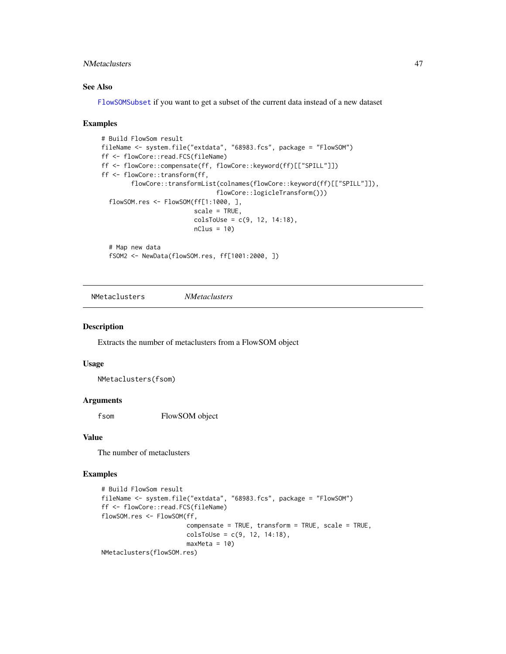## NMetaclusters 47

## See Also

[FlowSOMSubset](#page-19-0) if you want to get a subset of the current data instead of a new dataset

#### Examples

```
# Build FlowSom result
fileName <- system.file("extdata", "68983.fcs", package = "FlowSOM")
ff <- flowCore::read.FCS(fileName)
ff <- flowCore::compensate(ff, flowCore::keyword(ff)[["SPILL"]])
ff <- flowCore::transform(ff,
        flowCore::transformList(colnames(flowCore::keyword(ff)[["SPILL"]]),
                               flowCore::logicleTransform()))
  flowSOM.res <- FlowSOM(ff[1:1000, ],
                         scale = TRUE,
                         colsToUse = c(9, 12, 14:18),
                         nClus = 10# Map new data
  fSOM2 <- NewData(flowSOM.res, ff[1001:2000, ])
```
NMetaclusters *NMetaclusters*

#### Description

Extracts the number of metaclusters from a FlowSOM object

#### Usage

NMetaclusters(fsom)

#### Arguments

f som FlowSOM object

#### Value

The number of metaclusters

```
# Build FlowSom result
fileName <- system.file("extdata", "68983.fcs", package = "FlowSOM")
ff <- flowCore::read.FCS(fileName)
flowSOM.res <- FlowSOM(ff,
                       compensate = TRUE, transform = TRUE, scale = TRUE,
                       colsToUse = c(9, 12, 14:18),
                       maxMeta = 10NMetaclusters(flowSOM.res)
```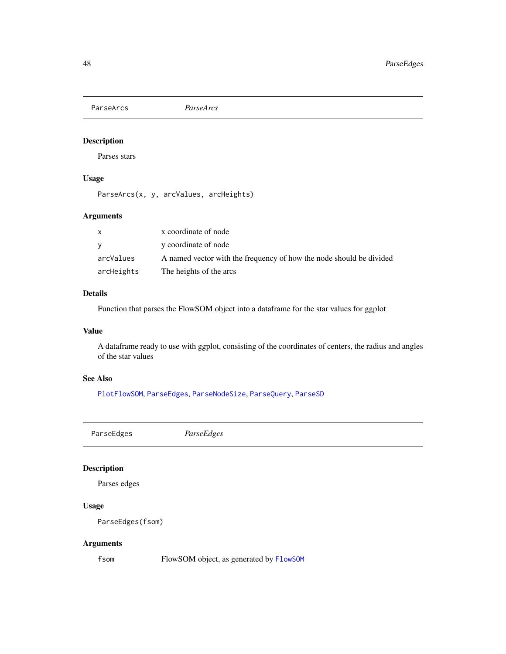<span id="page-47-1"></span>ParseArcs *ParseArcs*

# Description

Parses stars

# Usage

ParseArcs(x, y, arcValues, arcHeights)

# Arguments

| $\mathsf{x}$ | x coordinate of node                                                |
|--------------|---------------------------------------------------------------------|
| <b>V</b>     | y coordinate of node                                                |
| arcValues    | A named vector with the frequency of how the node should be divided |
| arcHeights   | The heights of the arcs                                             |

### Details

Function that parses the FlowSOM object into a dataframe for the star values for ggplot

#### Value

A dataframe ready to use with ggplot, consisting of the coordinates of centers, the radius and angles of the star values

## See Also

[PlotFlowSOM](#page-58-0), [ParseEdges](#page-47-0), [ParseNodeSize](#page-48-0), [ParseQuery](#page-49-0), [ParseSD](#page-50-0)

<span id="page-47-0"></span>ParseEdges *ParseEdges*

# Description

Parses edges

# Usage

ParseEdges(fsom)

# Arguments

fsom FlowSOM object, as generated by [FlowSOM](#page-16-0)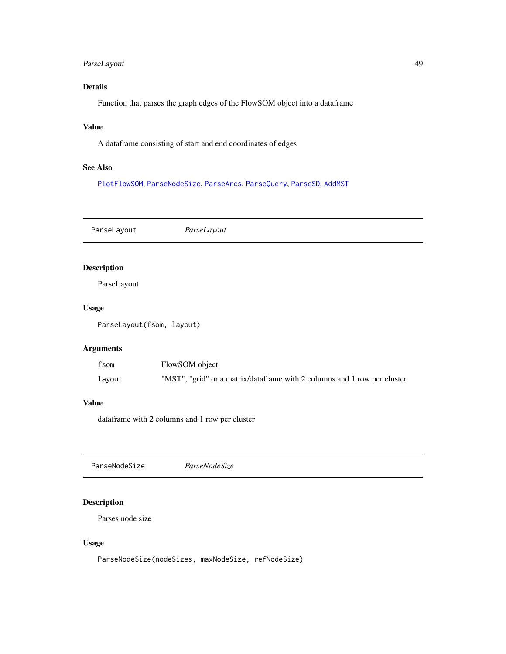# ParseLayout 49

# Details

Function that parses the graph edges of the FlowSOM object into a dataframe

# Value

A dataframe consisting of start and end coordinates of edges

### See Also

[PlotFlowSOM](#page-58-0), [ParseNodeSize](#page-48-0), [ParseArcs](#page-47-1), [ParseQuery](#page-49-0), [ParseSD](#page-50-0), [AddMST](#page-6-0)

ParseLayout *ParseLayout* Description ParseLayout Usage ParseLayout(fsom, layout) Arguments fsom FlowSOM object layout "MST", "grid" or a matrix/dataframe with 2 columns and 1 row per cluster

#### Value

dataframe with 2 columns and 1 row per cluster

<span id="page-48-0"></span>

# Description

Parses node size

#### Usage

ParseNodeSize(nodeSizes, maxNodeSize, refNodeSize)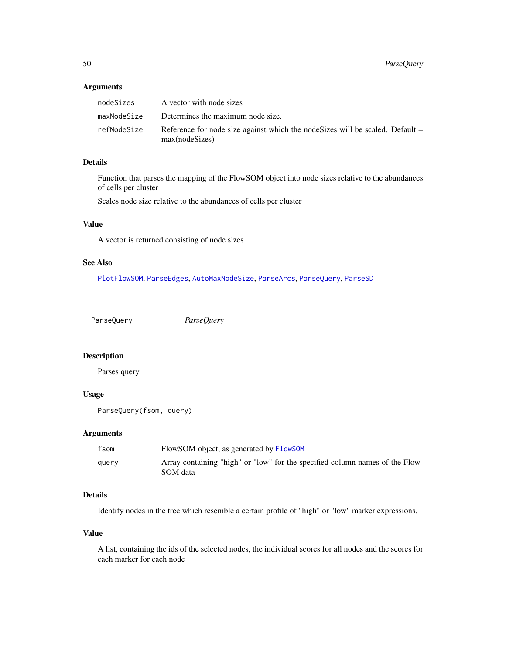### Arguments

| nodeSizes   | A vector with node sizes                                                                         |
|-------------|--------------------------------------------------------------------------------------------------|
| maxNodeSize | Determines the maximum node size.                                                                |
| refNodeSize | Reference for node size against which the node Sizes will be scaled. Default =<br>max(nodeSizes) |

# Details

Function that parses the mapping of the FlowSOM object into node sizes relative to the abundances of cells per cluster

Scales node size relative to the abundances of cells per cluster

### Value

A vector is returned consisting of node sizes

## See Also

[PlotFlowSOM](#page-58-0), [ParseEdges](#page-47-0), [AutoMaxNodeSize](#page-12-0), [ParseArcs](#page-47-1), [ParseQuery](#page-49-0), [ParseSD](#page-50-0)

<span id="page-49-0"></span>ParseQuery *ParseQuery*

#### Description

Parses query

# Usage

```
ParseQuery(fsom, query)
```
#### Arguments

| fsom  | FlowSOM object, as generated by FlowSOM                                                  |
|-------|------------------------------------------------------------------------------------------|
| query | Array containing "high" or "low" for the specified column names of the Flow-<br>SOM data |

# Details

Identify nodes in the tree which resemble a certain profile of "high" or "low" marker expressions.

#### Value

A list, containing the ids of the selected nodes, the individual scores for all nodes and the scores for each marker for each node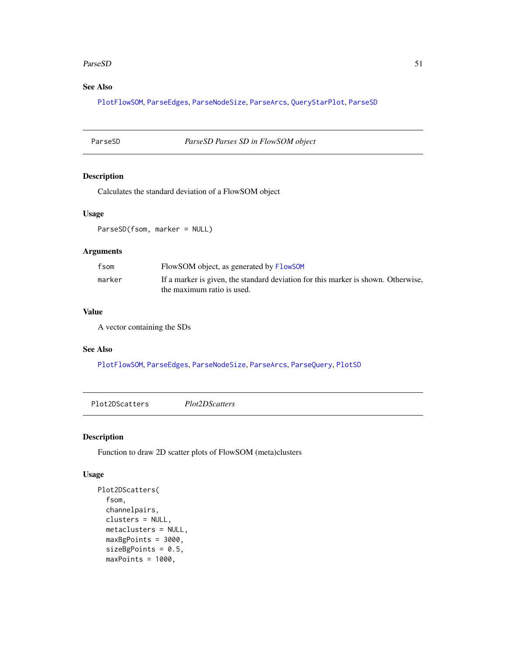#### ParseSD 51

# See Also

[PlotFlowSOM](#page-58-0), [ParseEdges](#page-47-0), [ParseNodeSize](#page-48-0), [ParseArcs](#page-47-1), [QueryStarPlot](#page-77-0), [ParseSD](#page-50-0)

### <span id="page-50-0"></span>ParseSD *ParseSD Parses SD in FlowSOM object*

# Description

Calculates the standard deviation of a FlowSOM object

# Usage

ParseSD(fsom, marker = NULL)

#### Arguments

| fsom   | FlowSOM object, as generated by FlowSOM                                                                         |
|--------|-----------------------------------------------------------------------------------------------------------------|
| marker | If a marker is given, the standard deviation for this marker is shown. Otherwise,<br>the maximum ratio is used. |

#### Value

A vector containing the SDs

## See Also

[PlotFlowSOM](#page-58-0), [ParseEdges](#page-47-0), [ParseNodeSize](#page-48-0), [ParseArcs](#page-47-1), [ParseQuery](#page-49-0), [PlotSD](#page-71-0)

Plot2DScatters *Plot2DScatters*

### Description

Function to draw 2D scatter plots of FlowSOM (meta)clusters

# Usage

```
Plot2DScatters(
  fsom,
  channelpairs,
 clusters = NULL,
 metaclusters = NULL,
 maxBgPoints = 3000,
 sizeBgPoints = 0.5,
 maxPoints = 1000,
```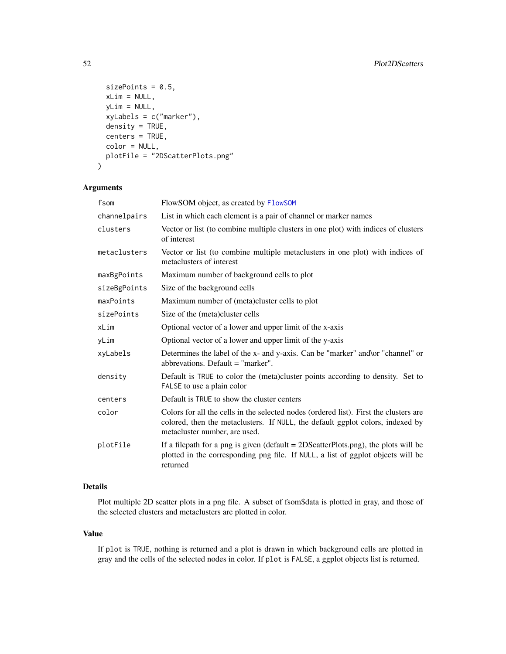```
sizePoints = 0.5,
 xLim = NULL,yLim = NULL,
 xyLabels = c("marker"),
  density = TRUE,
 centers = TRUE,
 color = NULL,
 plotFile = "2DScatterPlots.png"
)
```
#### Arguments

| FlowSOM object, as created by FlowSOM                                                                                                                                                                    |
|----------------------------------------------------------------------------------------------------------------------------------------------------------------------------------------------------------|
| List in which each element is a pair of channel or marker names                                                                                                                                          |
| Vector or list (to combine multiple clusters in one plot) with indices of clusters<br>of interest                                                                                                        |
| Vector or list (to combine multiple metaclusters in one plot) with indices of<br>metaclusters of interest                                                                                                |
| Maximum number of background cells to plot                                                                                                                                                               |
| Size of the background cells                                                                                                                                                                             |
| Maximum number of (meta)cluster cells to plot                                                                                                                                                            |
| Size of the (meta)cluster cells                                                                                                                                                                          |
| Optional vector of a lower and upper limit of the x-axis                                                                                                                                                 |
| Optional vector of a lower and upper limit of the y-axis                                                                                                                                                 |
| Determines the label of the x- and y-axis. Can be "marker" and \or "channel" or<br>abbrevations. Default $=$ "marker".                                                                                   |
| Default is TRUE to color the (meta) cluster points according to density. Set to<br>FALSE to use a plain color                                                                                            |
| Default is TRUE to show the cluster centers                                                                                                                                                              |
| Colors for all the cells in the selected nodes (ordered list). First the clusters are<br>colored, then the metaclusters. If NULL, the default ggplot colors, indexed by<br>metacluster number, are used. |
| If a filepath for a png is given (default $= 2DScatterPlots.png$ ), the plots will be<br>plotted in the corresponding png file. If NULL, a list of ggplot objects will be<br>returned                    |
|                                                                                                                                                                                                          |

# Details

Plot multiple 2D scatter plots in a png file. A subset of fsom\$data is plotted in gray, and those of the selected clusters and metaclusters are plotted in color.

#### Value

If plot is TRUE, nothing is returned and a plot is drawn in which background cells are plotted in gray and the cells of the selected nodes in color. If plot is FALSE, a ggplot objects list is returned.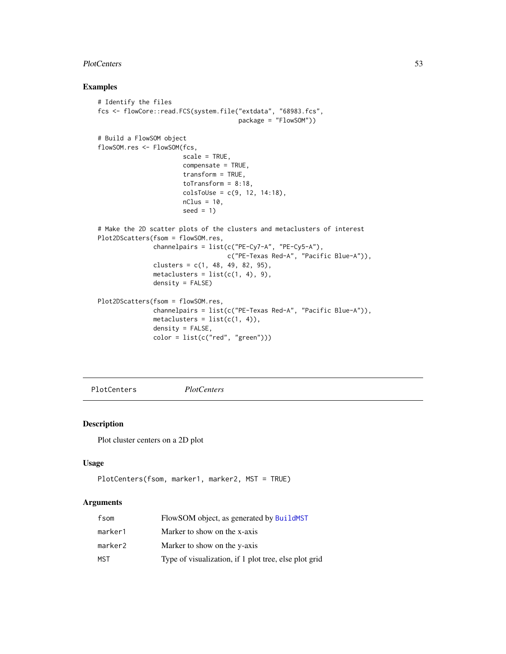#### PlotCenters 53

## Examples

```
# Identify the files
fcs <- flowCore::read.FCS(system.file("extdata", "68983.fcs",
                                      package = "FlowSOM"))
# Build a FlowSOM object
flowSOM.res <- FlowSOM(fcs,
                       scale = TRUE,
                       compensate = TRUE,
                       transform = TRUE,
                       toTransform = 8:18,
                       colsToUse = c(9, 12, 14:18),
                       nClus = 10,
                       seed = 1)
# Make the 2D scatter plots of the clusters and metaclusters of interest
Plot2DScatters(fsom = flowSOM.res,
               channelpairs = list(c("PE-Cy7-A", "PE-Cy5-A"),
                                   c("PE-Texas Red-A", "Pacific Blue-A")),
               clusters = c(1, 48, 49, 82, 95),
               metaclusters = list(c(1, 4), 9),
               density = FALSE)
Plot2DScatters(fsom = flowSOM.res,
               channelpairs = list(c("PE-Texas Red-A", "Pacific Blue-A")),
               metaclusters = list(c(1, 4)),density = FALSE,
               color = list(c("red", "green")))
```
<span id="page-52-0"></span>PlotCenters *PlotCenters*

#### Description

Plot cluster centers on a 2D plot

#### Usage

```
PlotCenters(fsom, marker1, marker2, MST = TRUE)
```
#### Arguments

| fsom    | FlowSOM object, as generated by BuildMST              |
|---------|-------------------------------------------------------|
| marker1 | Marker to show on the x-axis                          |
| marker2 | Marker to show on the y-axis                          |
| MST     | Type of visualization, if 1 plot tree, else plot grid |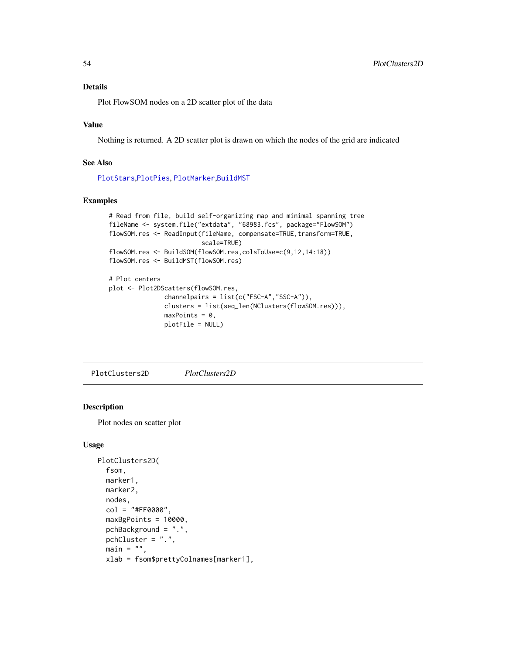#### Details

Plot FlowSOM nodes on a 2D scatter plot of the data

# Value

Nothing is returned. A 2D scatter plot is drawn on which the nodes of the grid are indicated

### See Also

[PlotStars](#page-73-0),[PlotPies](#page-70-0), [PlotMarker](#page-64-0),[BuildMST](#page-12-1)

## Examples

```
# Read from file, build self-organizing map and minimal spanning tree
fileName <- system.file("extdata", "68983.fcs", package="FlowSOM")
flowSOM.res <- ReadInput(fileName, compensate=TRUE, transform=TRUE,
                         scale=TRUE)
flowSOM.res <- BuildSOM(flowSOM.res,colsToUse=c(9,12,14:18))
flowSOM.res <- BuildMST(flowSOM.res)
# Plot centers
plot <- Plot2DScatters(flowSOM.res,
               channelpairs = list(c("FSC-A","SSC-A")),
               clusters = list(seq_len(NClusters(flowSOM.res))),
               maxPoints = 0,
               plotFile = NULL)
```
<span id="page-53-0"></span>PlotClusters2D *PlotClusters2D*

### Description

Plot nodes on scatter plot

#### Usage

```
PlotClusters2D(
  fsom,
  marker1,
  marker2,
  nodes,
  col = "#FF0000",maxBgPoints = 10000,
  pchBackground = ".",
 pchCluster = ".",
  main = "",xlab = fsom$prettyColnames[marker1],
```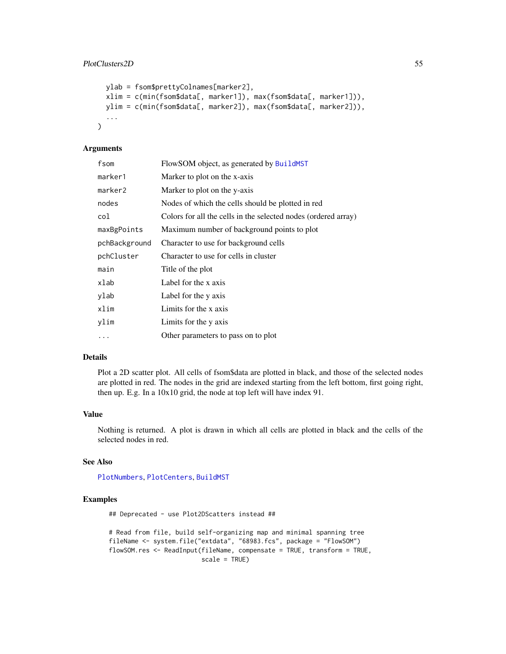```
ylab = fsom$prettyColnames[marker2],
xlim = c(min(fsom$data[, marker1]), max(fsom$data[, marker1])),
ylim = c(min(fsom$data[, marker2]), max(fsom$data[, marker2])),
...
```
#### Arguments

)

| fsom          | FlowSOM object, as generated by BuildMST                       |
|---------------|----------------------------------------------------------------|
| marker1       | Marker to plot on the x-axis                                   |
| marker2       | Marker to plot on the y-axis                                   |
| nodes         | Nodes of which the cells should be plotted in red              |
| col           | Colors for all the cells in the selected nodes (ordered array) |
| maxBgPoints   | Maximum number of background points to plot                    |
| pchBackground | Character to use for background cells                          |
| pchCluster    | Character to use for cells in cluster                          |
| main          | Title of the plot                                              |
| xlab          | Label for the x axis                                           |
| ylab          | Label for the y axis                                           |
| xlim          | Limits for the x axis                                          |
| ylim          | Limits for the y axis                                          |
| $\cdots$      | Other parameters to pass on to plot                            |

#### Details

Plot a 2D scatter plot. All cells of fsom\$data are plotted in black, and those of the selected nodes are plotted in red. The nodes in the grid are indexed starting from the left bottom, first going right, then up. E.g. In a 10x10 grid, the node at top left will have index 91.

#### Value

Nothing is returned. A plot is drawn in which all cells are plotted in black and the cells of the selected nodes in red.

#### See Also

[PlotNumbers](#page-67-0), [PlotCenters](#page-52-0), [BuildMST](#page-12-1)

#### Examples

## Deprecated - use Plot2DScatters instead ##

```
# Read from file, build self-organizing map and minimal spanning tree
fileName <- system.file("extdata", "68983.fcs", package = "FlowSOM")
flowSOM.res <- ReadInput(fileName, compensate = TRUE, transform = TRUE,
                         scale = TRUE)
```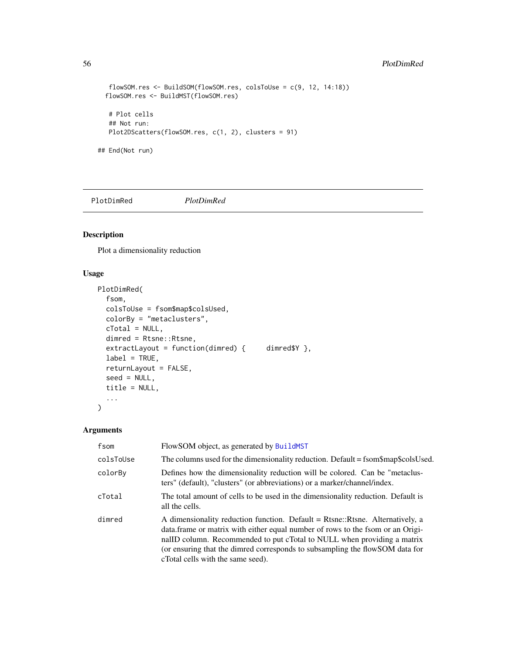# 56 PlotDimRed

```
flowSOM.res <- BuildSOM(flowSOM.res, colsToUse = c(9, 12, 14:18))
 flowSOM.res <- BuildMST(flowSOM.res)
  # Plot cells
  ## Not run:
  Plot2DScatters(flowSOM.res, c(1, 2), clusters = 91)
## End(Not run)
```
PlotDimRed *PlotDimRed*

# Description

Plot a dimensionality reduction

# Usage

```
PlotDimRed(
  fsom,
  colsToUse = fsom$map$colsUsed,
  colorBy = "metaclusters",
 cTotal = NULL,dimred = Rtsne::Rtsne,
  extractLayout = function(dimred) { dimred $Y },
  label = TRUE,returnLayout = FALSE,
  seed = NULL,
  title = NULL,
  ...
\mathcal{L}
```
# Arguments

| fsom      | FlowSOM object, as generated by BuildMST                                                                                                                                                                                                                                                                                                                         |
|-----------|------------------------------------------------------------------------------------------------------------------------------------------------------------------------------------------------------------------------------------------------------------------------------------------------------------------------------------------------------------------|
| colsToUse | The columns used for the dimensionality reduction. Default = fsom\$map\$colsUsed.                                                                                                                                                                                                                                                                                |
| colorBy   | Defines how the dimensionality reduction will be colored. Can be "metaclus-<br>ters" (default), "clusters" (or abbreviations) or a marker/channel/index.                                                                                                                                                                                                         |
| cTotal    | The total amount of cells to be used in the dimensionality reduction. Default is<br>all the cells.                                                                                                                                                                                                                                                               |
| dimred    | A dimensionality reduction function. Default = Rtsne::Rtsne. Alternatively, a<br>data. frame or matrix with either equal number of rows to the fsom or an Origi-<br>nalID column. Recommended to put cTotal to NULL when providing a matrix<br>(or ensuring that the dimred corresponds to subsampling the flowSOM data for<br>cTotal cells with the same seed). |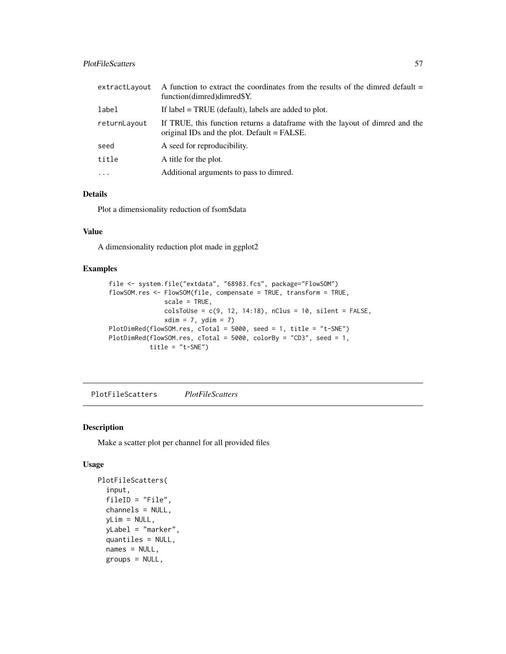### PlotFileScatters 57

| extractLayout | A function to extract the coordinates from the results of the dimred default $=$<br>function(dimred)dimred\$Y.               |
|---------------|------------------------------------------------------------------------------------------------------------------------------|
| label         | If $label = TRUE$ (default), labels are added to plot.                                                                       |
| returnLayout  | If TRUE, this function returns a data frame with the layout of dimred and the<br>original IDs and the plot. Default = FALSE. |
| seed          | A seed for reproducibility.                                                                                                  |
| title         | A title for the plot.                                                                                                        |
| $\cdot$       | Additional arguments to pass to dimred.                                                                                      |

#### Details

Plot a dimensionality reduction of fsom\$data

# Value

A dimensionality reduction plot made in ggplot2

# Examples

```
file <- system.file("extdata", "68983.fcs", package="FlowSOM")
flowSOM.res <- FlowSOM(file, compensate = TRUE, transform = TRUE,
              scale = TRUE,
              colsTolUse = c(9, 12, 14:18), nClus = 10, silent = FALSE,xdim = 7, ydim = 7PlotDimRed(flowSOM.res, cTotal = 5000, seed = 1, title = "t-SNE")
PlotDimRed(flowSOM.res, cTotal = 5000, colorBy = "CD3", seed = 1,
          title = "t-SNE")
```
PlotFileScatters *PlotFileScatters*

### Description

Make a scatter plot per channel for all provided files

#### Usage

```
PlotFileScatters(
  input,
  fileID = "File",
  channels = NULL,
  yLim = NULL,
  yLabel = "marker",
  quantiles = NULL,
  names = NULL,groups = NULL,
```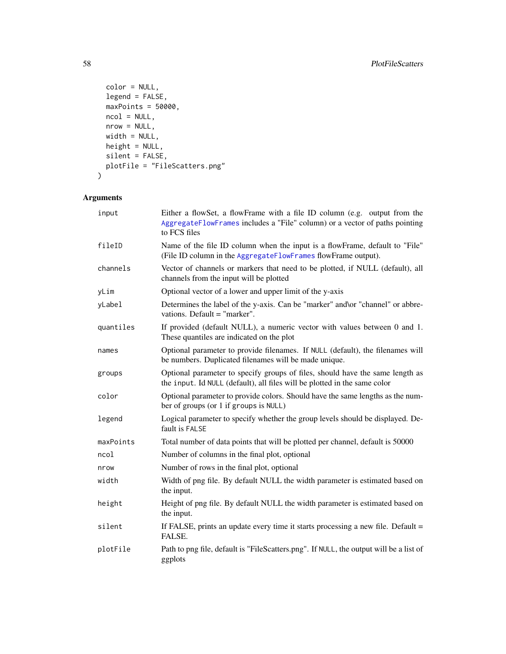```
color = NULL,
  legend = FALSE,
  maxPoints = 50000,ncol = NULL,nrow = NULL,width = NULL,
 height = NULL,
  silent = FALSE,
 plotFile = "FileScatters.png"
\mathcal{L}
```
# Arguments

| input     | Either a flowSet, a flowFrame with a file ID column (e.g. output from the<br>AggregateFlowFrames includes a "File" column) or a vector of paths pointing<br>to FCS files |
|-----------|--------------------------------------------------------------------------------------------------------------------------------------------------------------------------|
| fileID    | Name of the file ID column when the input is a flowFrame, default to "File"<br>(File ID column in the AggregateFlowFrames flowFrame output).                             |
| channels  | Vector of channels or markers that need to be plotted, if NULL (default), all<br>channels from the input will be plotted                                                 |
| yLim      | Optional vector of a lower and upper limit of the y-axis                                                                                                                 |
| yLabel    | Determines the label of the y-axis. Can be "marker" and \or "channel" or abbre-<br>vations. Default = "marker".                                                          |
| quantiles | If provided (default NULL), a numeric vector with values between 0 and 1.<br>These quantiles are indicated on the plot                                                   |
| names     | Optional parameter to provide filenames. If NULL (default), the filenames will<br>be numbers. Duplicated filenames will be made unique.                                  |
| groups    | Optional parameter to specify groups of files, should have the same length as<br>the input. Id NULL (default), all files will be plotted in the same color               |
| color     | Optional parameter to provide colors. Should have the same lengths as the num-<br>ber of groups (or 1 if groups is NULL)                                                 |
| legend    | Logical parameter to specify whether the group levels should be displayed. De-<br>fault is FALSE                                                                         |
| maxPoints | Total number of data points that will be plotted per channel, default is 50000                                                                                           |
| ncol      | Number of columns in the final plot, optional                                                                                                                            |
| nrow      | Number of rows in the final plot, optional                                                                                                                               |
| width     | Width of png file. By default NULL the width parameter is estimated based on<br>the input.                                                                               |
| height    | Height of png file. By default NULL the width parameter is estimated based on<br>the input.                                                                              |
| silent    | If FALSE, prints an update every time it starts processing a new file. Default =<br>FALSE.                                                                               |
| plotFile  | Path to png file, default is "FileScatters.png". If NULL, the output will be a list of<br>ggplots                                                                        |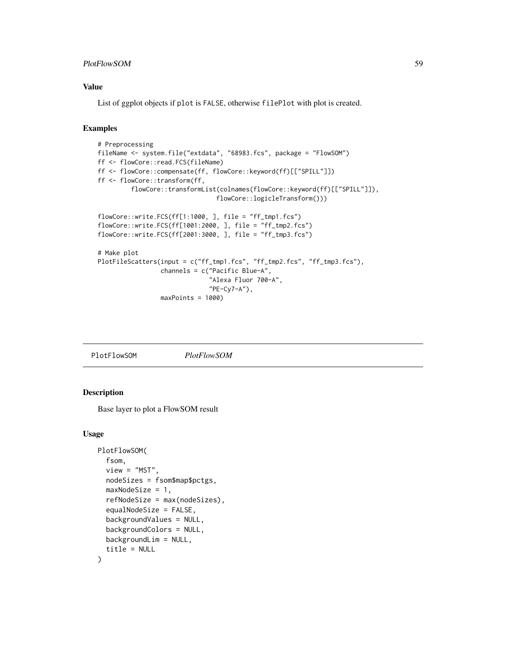## PlotFlowSOM 59

#### Value

List of ggplot objects if plot is FALSE, otherwise filePlot with plot is created.

# Examples

```
# Preprocessing
fileName <- system.file("extdata", "68983.fcs", package = "FlowSOM")
ff <- flowCore::read.FCS(fileName)
ff <- flowCore::compensate(ff, flowCore::keyword(ff)[["SPILL"]])
ff <- flowCore::transform(ff,
         flowCore::transformList(colnames(flowCore::keyword(ff)[["SPILL"]]),
                                flowCore::logicleTransform()))
flowCore::write.FCS(ff[1:1000, ], file = "ff_tmp1.fcs")
flowCore::write.FCS(ff[1001:2000, ], file = "ff_tmp2.fcs")
flowCore::write.FCS(ff[2001:3000, ], file = "ff_tmp3.fcs")
# Make plot
PlotFileScatters(input = c("ff_tmp1.fcs", "ff_tmp2.fcs", "ff_tmp3.fcs"),
                 channels = c("Pacific Blue-A",
                              "Alexa Fluor 700-A",
                              "PE-Cy7-A"),
                 maxPoints = 1000)
```
<span id="page-58-0"></span>PlotFlowSOM *PlotFlowSOM*

#### Description

Base layer to plot a FlowSOM result

#### Usage

```
PlotFlowSOM(
  fsom,
  view = "MST",
  nodeSizes = fsom$map$pctgs,
  maxNodeSize = 1,
  refNodeSize = max(nodeSizes),
  equalNodeSize = FALSE,
  backgroundValues = NULL,
  backgroundColors = NULL,
  backgroundLim = NULL,
  title = NULL
)
```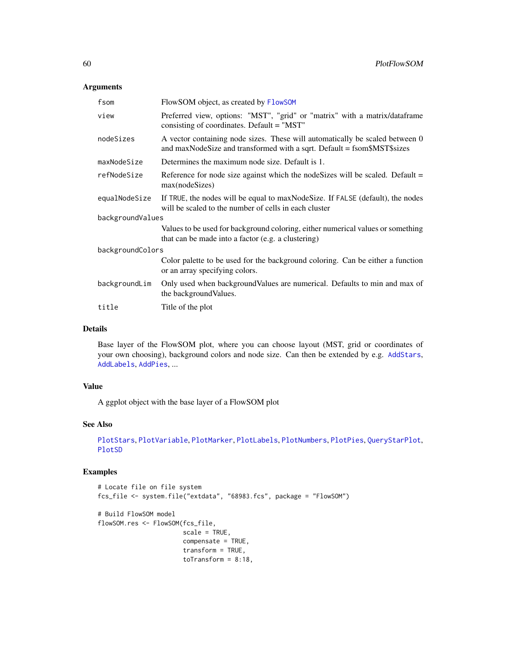## Arguments

| fsom             | FlowSOM object, as created by FlowSOM                                                                                                                   |  |
|------------------|---------------------------------------------------------------------------------------------------------------------------------------------------------|--|
| view             | Preferred view, options: "MST", "grid" or "matrix" with a matrix/dataframe<br>consisting of coordinates. Default = "MST"                                |  |
| nodeSizes        | A vector containing node sizes. These will automatically be scaled between 0<br>and maxNodeSize and transformed with a sqrt. Default = fsom\$MST\$sizes |  |
| maxNodeSize      | Determines the maximum node size. Default is 1.                                                                                                         |  |
| refNodeSize      | Reference for node size against which the node Sizes will be scaled. Default $=$<br>max(nodeSizes)                                                      |  |
| equalNodeSize    | If TRUE, the nodes will be equal to max Node Size. If FALSE (default), the nodes<br>will be scaled to the number of cells in each cluster               |  |
| backgroundValues |                                                                                                                                                         |  |
|                  | Values to be used for background coloring, either numerical values or something<br>that can be made into a factor (e.g. a clustering)                   |  |
| backgroundColors |                                                                                                                                                         |  |
|                  | Color palette to be used for the background coloring. Can be either a function<br>or an array specifying colors.                                        |  |
| backgroundLim    | Only used when backgroundValues are numerical. Defaults to min and max of<br>the background Values.                                                     |  |
| title            | Title of the plot                                                                                                                                       |  |
|                  |                                                                                                                                                         |  |

## Details

Base layer of the FlowSOM plot, where you can choose layout (MST, grid or coordinates of your own choosing), background colors and node size. Can then be extended by e.g. [AddStars](#page-9-0), [AddLabels](#page-5-0), [AddPies](#page-8-0), ...

# Value

A ggplot object with the base layer of a FlowSOM plot

#### See Also

```
PlotStars, PlotVariable, PlotMarker, PlotLabels, PlotNumbers, PlotPies, QueryStarPlot,
PlotSD
```

```
# Locate file on file system
fcs_file <- system.file("extdata", "68983.fcs", package = "FlowSOM")
# Build FlowSOM model
flowSOM.res <- FlowSOM(fcs_file,
                       scale = TRUE,
                       compensate = TRUE,
                       transform = TRUE,
                       toTransform = 8:18,
```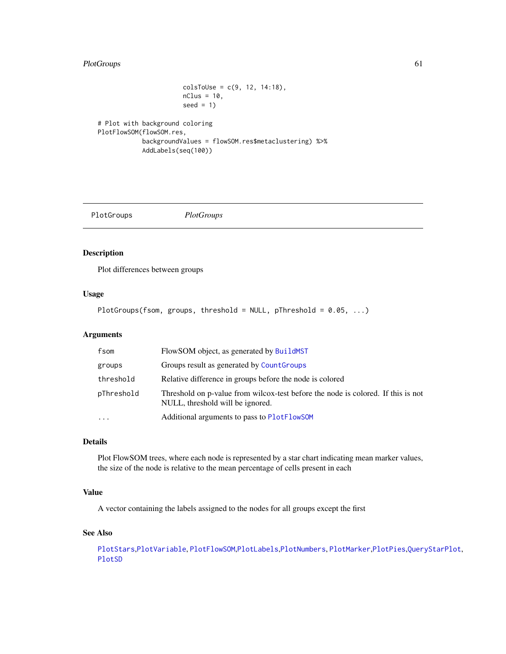# PlotGroups 61

```
colsToUse = c(9, 12, 14:18),
                       nClus = 10,
                       seed = 1)
# Plot with background coloring
PlotFlowSOM(flowSOM.res,
```

```
backgroundValues = flowSOM.res$metaclustering) %>%
AddLabels(seq(100))
```
PlotGroups *PlotGroups*

# Description

Plot differences between groups

#### Usage

```
PlotGroups(fsom, groups, threshold = NULL, pThreshold = 0.05, ...)
```
### Arguments

| fsom       | FlowSOM object, as generated by BuildMST                                                                             |
|------------|----------------------------------------------------------------------------------------------------------------------|
| groups     | Groups result as generated by Count Groups                                                                           |
| threshold  | Relative difference in groups before the node is colored                                                             |
| pThreshold | Threshold on p-value from wilcox-test before the node is colored. If this is not<br>NULL, threshold will be ignored. |
| $\cdots$   | Additional arguments to pass to PlotFlowSOM                                                                          |

# Details

Plot FlowSOM trees, where each node is represented by a star chart indicating mean marker values, the size of the node is relative to the mean percentage of cells present in each

# Value

A vector containing the labels assigned to the nodes for all groups except the first

## See Also

```
PlotStars,PlotVariable, PlotFlowSOM,PlotLabels,PlotNumbers, PlotMarker,PlotPies,QueryStarPlot,
PlotSD
```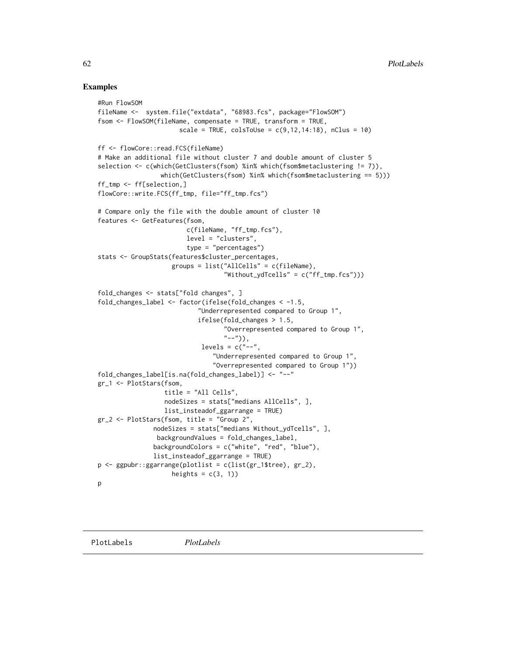```
#Run FlowSOM
fileName <- system.file("extdata", "68983.fcs", package="FlowSOM")
fsom <- FlowSOM(fileName, compensate = TRUE, transform = TRUE,
                      scale = TRUE, colsToUse = c(9, 12, 14:18), nClus = 10)
ff <- flowCore::read.FCS(fileName)
# Make an additional file without cluster 7 and double amount of cluster 5
selection <- c(which(GetClusters(fsom) %in% which(fsom$metaclustering != 7)),
                 which(GetClusters(fsom) %in% which(fsom$metaclustering == 5)))
ff_tmp <- ff[selection,]
flowCore::write.FCS(ff_tmp, file="ff_tmp.fcs")
# Compare only the file with the double amount of cluster 10
features <- GetFeatures(fsom,
                        c(fileName, "ff_tmp.fcs"),
                        level = "clusters",
                        type = "percentages")
stats <- GroupStats(features$cluster_percentages,
                    groups = list("AllCells" = c(fileName),
                                   "Without_ydTcells" = c("ff_tmp.fcs")))
fold_changes <- stats["fold changes", ]
fold_changes_label <- factor(ifelse(fold_changes < -1.5,
                           "Underrepresented compared to Group 1",
                           ifelse(fold_changes > 1.5,
                                   "Overrepresented compared to Group 1",
                                  "--")),
                            levels = c("--","Underrepresented compared to Group 1",
                               "Overrepresented compared to Group 1"))
fold_changes_label[is.na(fold_changes_label)] <- "--"
gr_1 <- PlotStars(fsom,
                  title = "All Cells",
                  nodeSizes = stats["medians AllCells", ],
                  list_insteadof_ggarrange = TRUE)
gr_2 <- PlotStars(fsom, title = "Group 2",
               nodeSizes = stats["medians Without_ydTcells", ],
                backgroundValues = fold_changes_label,
               backgroundColors = c("white", "red", "blue"),
               list_insteadof_ggarrange = TRUE)
p <- ggpubr::ggarrange(plotlist = c(list(gr_1$tree), gr_2),
                    heights = c(3, 1))
p
```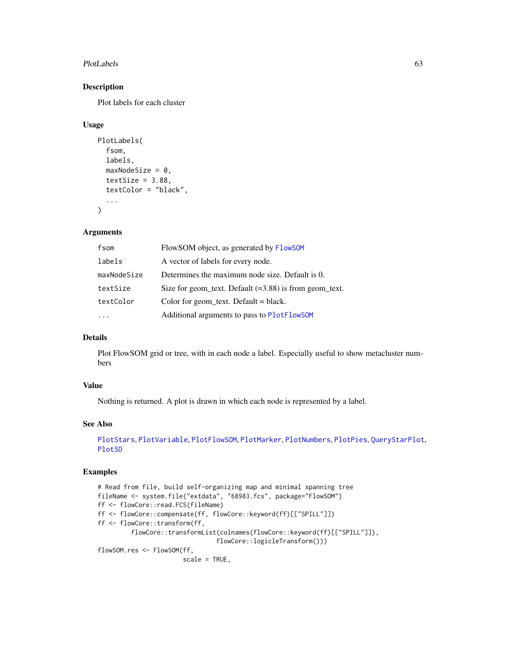#### PlotLabels 63

# Description

Plot labels for each cluster

#### Usage

```
PlotLabels(
  fsom,
  labels,
  maxNodeSize = 0,
  textSize = 3.88,
  textColor = "black",
  ...
)
```
### Arguments

| fsom        | FlowSOM object, as generated by FlowSOM                  |
|-------------|----------------------------------------------------------|
| labels      | A vector of labels for every node.                       |
| maxNodeSize | Determines the maximum node size. Default is 0.          |
| textSize    | Size for geom_text. Default $(=3.88)$ is from geom_text. |
| textColor   | Color for geom_text. Default = $black$ .                 |
|             | Additional arguments to pass to PlotFlowSOM              |

# Details

Plot FlowSOM grid or tree, with in each node a label. Especially useful to show metacluster numbers

# Value

Nothing is returned. A plot is drawn in which each node is represented by a label.

#### See Also

```
PlotStars, PlotVariable, PlotFlowSOM, PlotMarker, PlotNumbers, PlotPies, QueryStarPlot,
PlotSD
```

```
# Read from file, build self-organizing map and minimal spanning tree
fileName <- system.file("extdata", "68983.fcs", package="FlowSOM")
ff <- flowCore::read.FCS(fileName)
ff <- flowCore::compensate(ff, flowCore::keyword(ff)[["SPILL"]])
ff <- flowCore::transform(ff,
         flowCore::transformList(colnames(flowCore::keyword(ff)[["SPILL"]]),
                                flowCore::logicleTransform()))
flowSOM.res <- FlowSOM(ff,
                       scale = TRUE,
```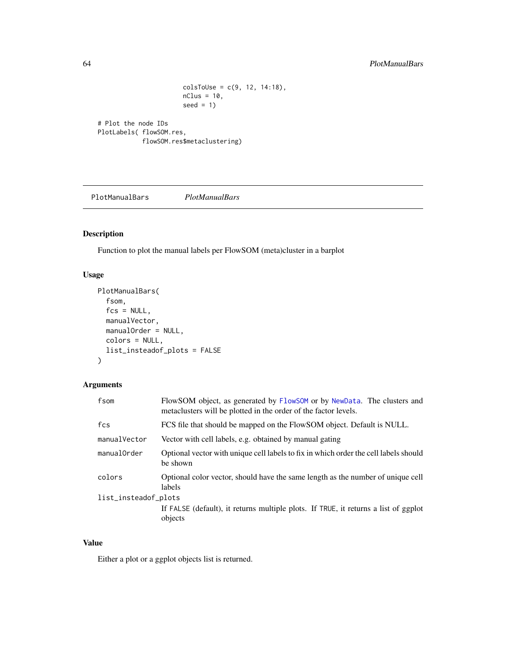```
colsToUse = c(9, 12, 14:18),
nClus = 10,
seed = 1
```

```
# Plot the node IDs
PlotLabels( flowSOM.res,
            flowSOM.res$metaclustering)
```
PlotManualBars *PlotManualBars*

# Description

Function to plot the manual labels per FlowSOM (meta)cluster in a barplot

# Usage

```
PlotManualBars(
  fsom,
  fcs = NULL,manualVector,
  manualOrder = NULL,
  colors = NULL,
  list_insteadof_plots = FALSE
\mathcal{L}
```
# Arguments

| fsom                 | FlowSOM object, as generated by FlowSOM or by NewData. The clusters and<br>metaclusters will be plotted in the order of the factor levels. |  |
|----------------------|--------------------------------------------------------------------------------------------------------------------------------------------|--|
| fcs                  | FCS file that should be mapped on the FlowSOM object. Default is NULL.                                                                     |  |
| manualVector         | Vector with cell labels, e.g. obtained by manual gating                                                                                    |  |
| manualOrder          | Optional vector with unique cell labels to fix in which order the cell labels should<br>be shown                                           |  |
| colors               | Optional color vector, should have the same length as the number of unique cell<br>labels                                                  |  |
| list_insteadof_plots |                                                                                                                                            |  |
|                      | If FALSE (default), it returns multiple plots. If TRUE, it returns a list of ggplot<br>objects                                             |  |
|                      |                                                                                                                                            |  |

## Value

Either a plot or a ggplot objects list is returned.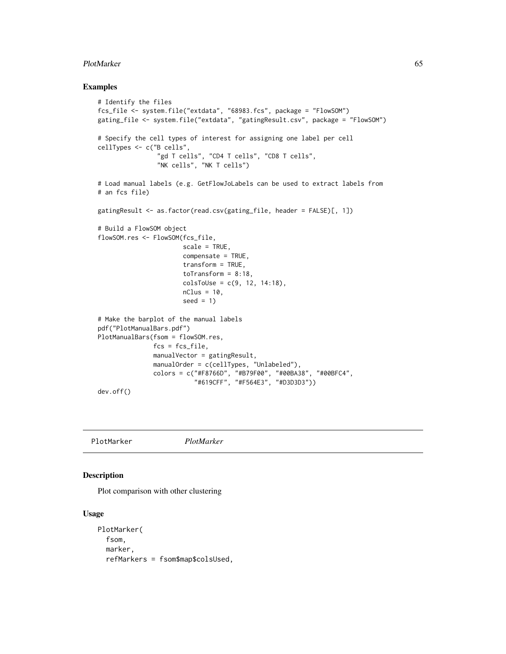#### PlotMarker 65

#### Examples

```
# Identify the files
fcs_file <- system.file("extdata", "68983.fcs", package = "FlowSOM")
gating_file <- system.file("extdata", "gatingResult.csv", package = "FlowSOM")
# Specify the cell types of interest for assigning one label per cell
cellTypes <- c("B cells",
                "gd T cells", "CD4 T cells", "CD8 T cells",
                "NK cells", "NK T cells")
# Load manual labels (e.g. GetFlowJoLabels can be used to extract labels from
# an fcs file)
gatingResult <- as.factor(read.csv(gating_file, header = FALSE)[, 1])
# Build a FlowSOM object
flowSOM.res <- FlowSOM(fcs_file,
                       scale = TRUE,
                       compensate = TRUE,
                       transform = TRUE,
                       toTransform = 8:18,
                       colsToUse = c(9, 12, 14:18),
                       nClus = 10,
                       seed = 1# Make the barplot of the manual labels
pdf("PlotManualBars.pdf")
PlotManualBars(fsom = flowSOM.res,
               fcs = fcs_file,
               manualVector = gatingResult,
               manualOrder = c(cellTypes, "Unlabeled"),
               colors = c("#F8766D", "#B79F00", "#00BA38", "#00BFC4",
                          "#619CFF", "#F564E3", "#D3D3D3"))
dev.off()
```
<span id="page-64-0"></span>PlotMarker *PlotMarker*

#### Description

Plot comparison with other clustering

#### Usage

```
PlotMarker(
  fsom,
  marker,
  refMarkers = fsom$map$colsUsed,
```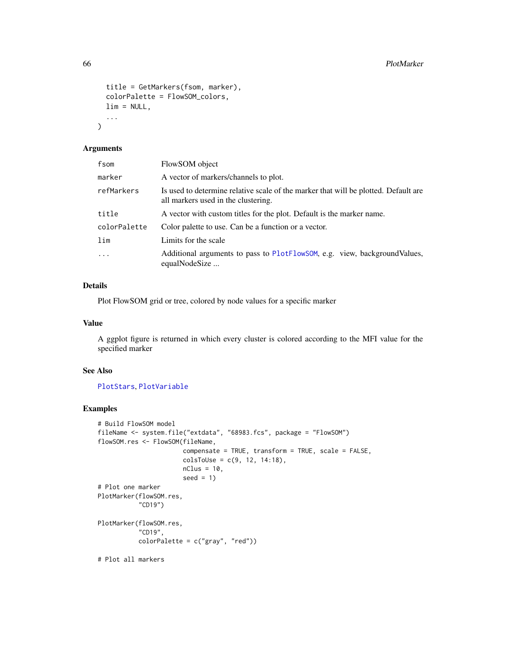```
title = GetMarkers(fsom, marker),
  colorPalette = FlowSOM_colors,
  \lim = NULL,
  ...
\mathcal{L}
```
#### Arguments

| fsom         | FlowSOM object                                                                                                             |
|--------------|----------------------------------------------------------------------------------------------------------------------------|
| marker       | A vector of markers/channels to plot.                                                                                      |
| refMarkers   | Is used to determine relative scale of the marker that will be plotted. Default are<br>all markers used in the clustering. |
| title        | A vector with custom titles for the plot. Default is the marker name.                                                      |
| colorPalette | Color palette to use. Can be a function or a vector.                                                                       |
| lim          | Limits for the scale                                                                                                       |
| .            | Additional arguments to pass to PlotFlowSOM, e.g. view, background Values,<br>equalNodeSize                                |

# Details

Plot FlowSOM grid or tree, colored by node values for a specific marker

### Value

A ggplot figure is returned in which every cluster is colored according to the MFI value for the specified marker

#### See Also

# [PlotStars](#page-73-0), [PlotVariable](#page-74-0)

```
# Build FlowSOM model
fileName <- system.file("extdata", "68983.fcs", package = "FlowSOM")
flowSOM.res <- FlowSOM(fileName,
                      compensate = TRUE, transform = TRUE, scale = FALSE,
                      colsToUse = c(9, 12, 14:18),
                      nClus = 10,
                      seed = 1)# Plot one marker
PlotMarker(flowSOM.res,
           "CD19")
PlotMarker(flowSOM.res,
           "CD19",
           color^\text{red}{\text{color}}# Plot all markers
```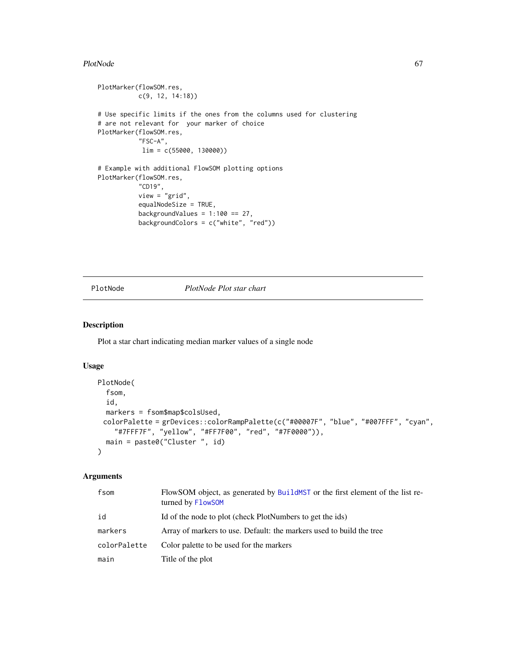#### PlotNode 67

```
PlotMarker(flowSOM.res,
           c(9, 12, 14:18))
# Use specific limits if the ones from the columns used for clustering
# are not relevant for your marker of choice
PlotMarker(flowSOM.res,
           "FSC-A",
           lim = c(55000, 130000))
# Example with additional FlowSOM plotting options
PlotMarker(flowSOM.res,
           "CD19",
           view = "grid",
           equalNodeSize = TRUE,
           backgroundValues = 1:100 == 27,
           backgroundColors = c("white", "red"))
```
# PlotNode *PlotNode Plot star chart*

#### Description

Plot a star chart indicating median marker values of a single node

#### Usage

```
PlotNode(
  fsom,
  id,
  markers = fsom$map$colsUsed,
 colorPalette = grDevices::colorRampPalette(c("#00007F", "blue", "#007FFF", "cyan",
    "#7FFF7F", "yellow", "#FF7F00", "red", "#7F0000")),
 main = paste0("Cluster ", id)
\lambda
```
# Arguments

| fsom         | FlowSOM object, as generated by BuildMST or the first element of the list re-<br>turned by FlowSOM |
|--------------|----------------------------------------------------------------------------------------------------|
| id           | Id of the node to plot (check PlotNumbers to get the ids)                                          |
| markers      | Array of markers to use. Default: the markers used to build the tree                               |
| colorPalette | Color palette to be used for the markers                                                           |
| main         | Title of the plot                                                                                  |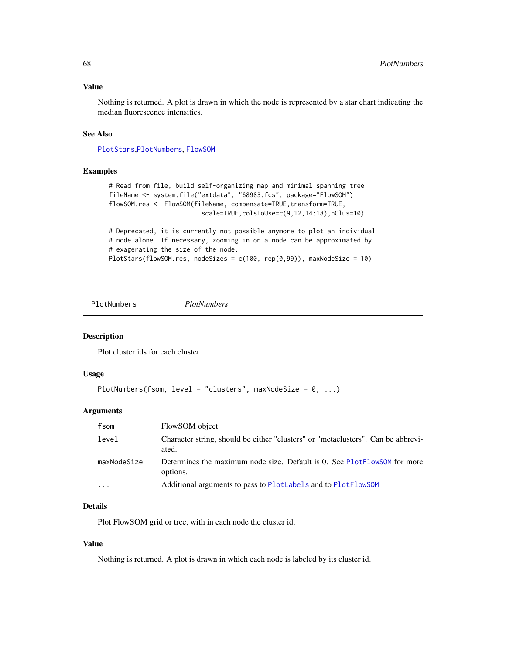#### Value

Nothing is returned. A plot is drawn in which the node is represented by a star chart indicating the median fluorescence intensities.

### See Also

[PlotStars](#page-73-0),[PlotNumbers](#page-67-0), [FlowSOM](#page-16-0)

#### Examples

```
# Read from file, build self-organizing map and minimal spanning tree
fileName <- system.file("extdata", "68983.fcs", package="FlowSOM")
flowSOM.res <- FlowSOM(fileName, compensate=TRUE, transform=TRUE,
                         scale=TRUE,colsToUse=c(9,12,14:18),nClus=10)
# Deprecated, it is currently not possible anymore to plot an individual
# node alone. If necessary, zooming in on a node can be approximated by
```
# exagerating the size of the node.

```
PlotStars(flowSOM.res, nodeSizes = c(100, rep(0,99)), maxNodeSize = 10)
```
<span id="page-67-0"></span>PlotNumbers *PlotNumbers*

#### Description

Plot cluster ids for each cluster

#### Usage

```
PlotNumbers(fsom, level = "clusters", maxNodeSize = 0, ...)
```
#### Arguments

| fsom                    | FlowSOM object                                                                            |
|-------------------------|-------------------------------------------------------------------------------------------|
| level                   | Character string, should be either "clusters" or "metaclusters". Can be abbrevi-<br>ated. |
| maxNodeSize             | Determines the maximum node size. Default is 0. See PlotFlowSOM for more<br>options.      |
| $\cdot$ $\cdot$ $\cdot$ | Additional arguments to pass to PlotLabels and to PlotFlowSOM                             |

# Details

Plot FlowSOM grid or tree, with in each node the cluster id.

#### Value

Nothing is returned. A plot is drawn in which each node is labeled by its cluster id.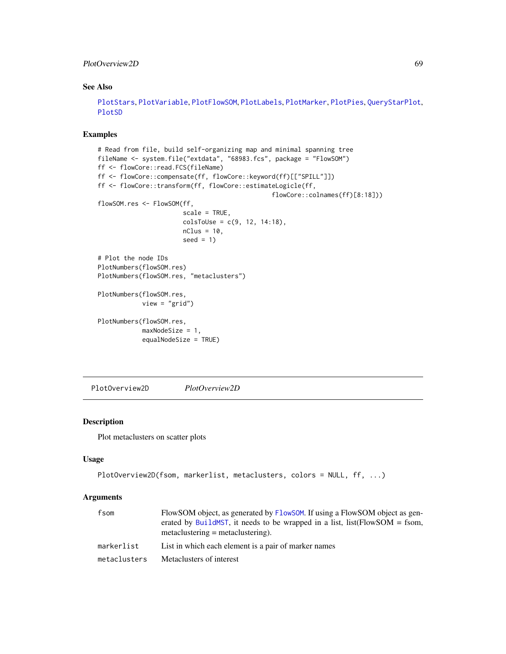#### PlotOverview2D 69

# See Also

```
PlotStars, PlotVariable, PlotFlowSOM, PlotLabels, PlotMarker, PlotPies, QueryStarPlot,
PlotSD
```
#### Examples

```
# Read from file, build self-organizing map and minimal spanning tree
fileName <- system.file("extdata", "68983.fcs", package = "FlowSOM")
ff <- flowCore::read.FCS(fileName)
ff <- flowCore::compensate(ff, flowCore::keyword(ff)[["SPILL"]])
ff <- flowCore::transform(ff, flowCore::estimateLogicle(ff,
                                               flowCore::colnames(ff)[8:18]))
flowSOM.res <- FlowSOM(ff,
                       scale = TRUE,
                       colsTolse = c(9, 12, 14:18),nClus = 10,
                       seed = 1)
# Plot the node IDs
PlotNumbers(flowSOM.res)
PlotNumbers(flowSOM.res, "metaclusters")
PlotNumbers(flowSOM.res,
            view = "grid")
PlotNumbers(flowSOM.res,
            maxNodeSize = 1,
            equalNodeSize = TRUE)
```
PlotOverview2D *PlotOverview2D*

# Description

Plot metaclusters on scatter plots

## Usage

```
PlotOverview2D(fsom, markerlist, metaclusters, colors = NULL, ff, ...)
```
#### Arguments

| fsom         | FlowSOM object, as generated by FlowSOM. If using a FlowSOM object as gen-<br>erated by BuildMST, it needs to be wrapped in a list, list $[Flow SOM = fsom$ ,<br>$metaclustering = metaclustering.$ |
|--------------|-----------------------------------------------------------------------------------------------------------------------------------------------------------------------------------------------------|
| markerlist   | List in which each element is a pair of marker names                                                                                                                                                |
| metaclusters | Metaclusters of interest                                                                                                                                                                            |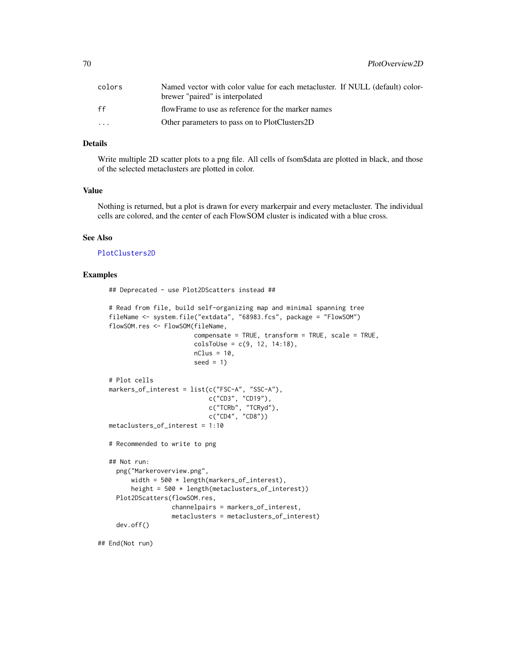70 PlotOverview2D

| colors                  | Named vector with color value for each metacluster. If NULL (default) color-<br>brewer "paired" is interpolated |
|-------------------------|-----------------------------------------------------------------------------------------------------------------|
| ff                      | flowFrame to use as reference for the marker names                                                              |
| $\cdot$ $\cdot$ $\cdot$ | Other parameters to pass on to PlotClusters2D                                                                   |

### Details

Write multiple 2D scatter plots to a png file. All cells of fsom\$data are plotted in black, and those of the selected metaclusters are plotted in color.

## Value

Nothing is returned, but a plot is drawn for every markerpair and every metacluster. The individual cells are colored, and the center of each FlowSOM cluster is indicated with a blue cross.

#### See Also

[PlotClusters2D](#page-53-0)

#### Examples

## Deprecated - use Plot2DScatters instead ## # Read from file, build self-organizing map and minimal spanning tree fileName <- system.file("extdata", "68983.fcs", package = "FlowSOM") flowSOM.res <- FlowSOM(fileName, compensate = TRUE, transform = TRUE, scale = TRUE,  $colsTolse = c(9, 12, 14:18),$  $nClus = 10$ ,  $seed = 1$ # Plot cells markers\_of\_interest = list(c("FSC-A", "SSC-A"), c("CD3", "CD19"), c("TCRb", "TCRyd"), c("CD4", "CD8")) metaclusters\_of\_interest = 1:10 # Recommended to write to png ## Not run: png("Markeroverview.png", width = 500 \* length(markers\_of\_interest), height = 500 \* length(metaclusters\_of\_interest)) Plot2DScatters(flowSOM.res, channelpairs = markers\_of\_interest, metaclusters = metaclusters\_of\_interest) dev.off()

## End(Not run)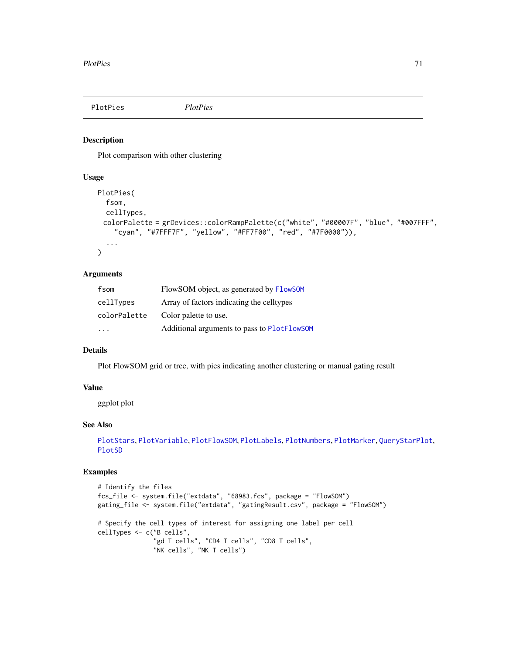<span id="page-70-0"></span>PlotPies *PlotPies*

#### Description

Plot comparison with other clustering

# Usage

```
PlotPies(
  fsom,
  cellTypes,
 colorPalette = grDevices::colorRampPalette(c("white", "#00007F", "blue", "#007FFF",
    "cyan", "#7FFF7F", "yellow", "#FF7F00", "red", "#7F0000")),
  ...
\mathcal{L}
```
#### Arguments

| fsom                    | FlowSOM object, as generated by FlowSOM     |
|-------------------------|---------------------------------------------|
| cellTypes               | Array of factors indicating the celltypes   |
| colorPalette            | Color palette to use.                       |
| $\cdot$ $\cdot$ $\cdot$ | Additional arguments to pass to PlotFlowSOM |

# Details

Plot FlowSOM grid or tree, with pies indicating another clustering or manual gating result

### Value

ggplot plot

# See Also

```
PlotStars, PlotVariable, PlotFlowSOM, PlotLabels, PlotNumbers, PlotMarker, QueryStarPlot,
PlotSD
```

```
# Identify the files
fcs_file <- system.file("extdata", "68983.fcs", package = "FlowSOM")
gating_file <- system.file("extdata", "gatingResult.csv", package = "FlowSOM")
# Specify the cell types of interest for assigning one label per cell
cellTypes <- c("B cells",
               "gd T cells", "CD4 T cells", "CD8 T cells",
               "NK cells", "NK T cells")
```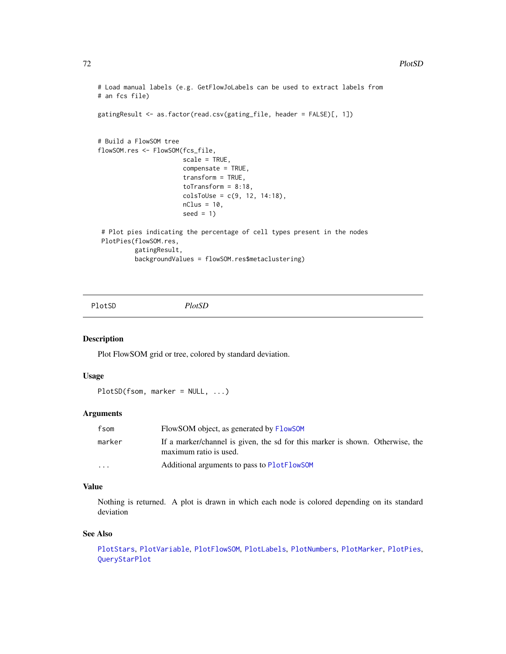```
# Load manual labels (e.g. GetFlowJoLabels can be used to extract labels from
# an fcs file)
gatingResult <- as.factor(read.csv(gating_file, header = FALSE)[, 1])
# Build a FlowSOM tree
flowSOM.res <- FlowSOM(fcs_file,
                       scale = TRUE,
                       compensate = TRUE,
                       transform = TRUE,
                       toTransform = 8:18,
                       colsToUse = c(9, 12, 14:18),nClus = 10,
                       seed = 1)
# Plot pies indicating the percentage of cell types present in the nodes
PlotPies(flowSOM.res,
          gatingResult,
         backgroundValues = flowSOM.res$metaclustering)
```
<span id="page-71-0"></span>PlotSD *PlotSD*

## Description

Plot FlowSOM grid or tree, colored by standard deviation.

#### Usage

```
PlotSD(fsom, marker = NULL, ...)
```
#### Arguments

| fsom    | FlowSOM object, as generated by FlowSOM                                                                 |
|---------|---------------------------------------------------------------------------------------------------------|
| marker  | If a marker/channel is given, the sd for this marker is shown. Otherwise, the<br>maximum ratio is used. |
| $\cdot$ | Additional arguments to pass to PlotFlowSOM                                                             |

# Value

Nothing is returned. A plot is drawn in which each node is colored depending on its standard deviation

#### See Also

```
PlotStars, PlotVariable, PlotFlowSOM, PlotLabels, PlotNumbers, PlotMarker, PlotPies,
QueryStarPlot
```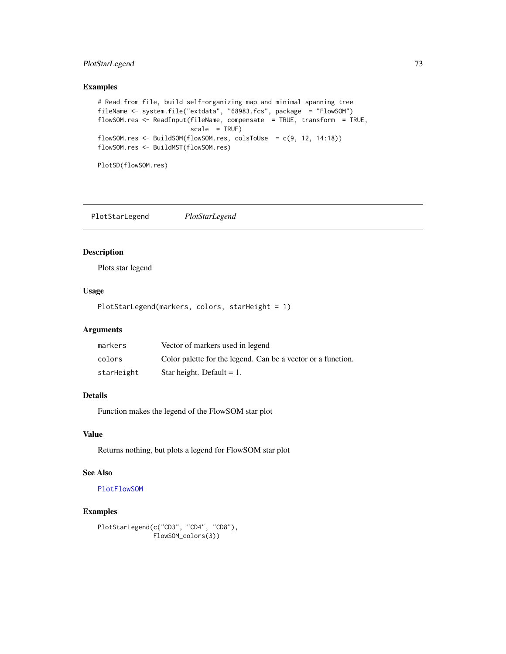# <span id="page-72-0"></span>PlotStarLegend 73

# Examples

```
# Read from file, build self-organizing map and minimal spanning tree
fileName <- system.file("extdata", "68983.fcs", package = "FlowSOM")
flowSOM.res <- ReadInput(fileName, compensate = TRUE, transform = TRUE,
                        scale = TRUEflowSOM.res <- BuildSOM(flowSOM.res, colsToUse = c(9, 12, 14:18))
flowSOM.res <- BuildMST(flowSOM.res)
```

```
PlotSD(flowSOM.res)
```
# Description

Plots star legend

# Usage

```
PlotStarLegend(markers, colors, starHeight = 1)
```
### Arguments

| markers    | Vector of markers used in legend                             |
|------------|--------------------------------------------------------------|
| colors     | Color palette for the legend. Can be a vector or a function. |
| starHeight | Star height. Default $= 1$ .                                 |

# Details

Function makes the legend of the FlowSOM star plot

#### Value

Returns nothing, but plots a legend for FlowSOM star plot

# See Also

#### [PlotFlowSOM](#page-58-0)

```
PlotStarLegend(c("CD3", "CD4", "CD8"),
               FlowSOM_colors(3))
```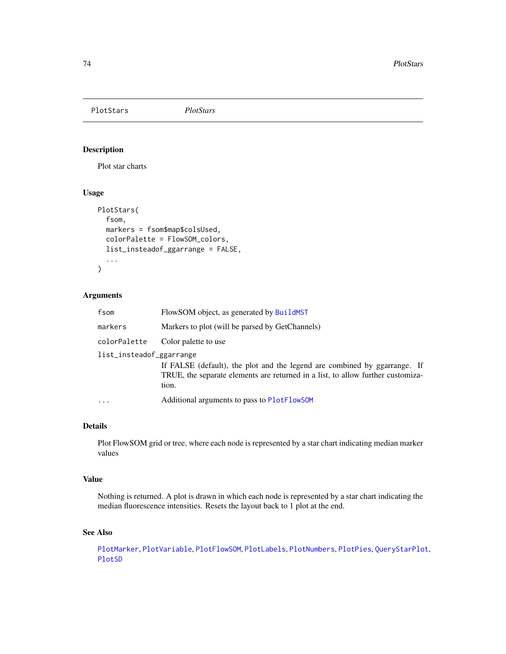<span id="page-73-1"></span><span id="page-73-0"></span>PlotStars *PlotStars*

# Description

Plot star charts

# Usage

```
PlotStars(
  fsom,
 markers = fsom$map$colsUsed,
  colorPalette = FlowSOM_colors,
  list_insteadof_ggarrange = FALSE,
  ...
)
```
# Arguments

| fsom                     | FlowSOM object, as generated by BuildMST                                                                                                                              |
|--------------------------|-----------------------------------------------------------------------------------------------------------------------------------------------------------------------|
| markers                  | Markers to plot (will be parsed by GetChannels)                                                                                                                       |
| colorPalette             | Color palette to use                                                                                                                                                  |
| list_insteadof_ggarrange | If FALSE (default), the plot and the legend are combined by ggarrange. If<br>TRUE, the separate elements are returned in a list, to allow further customiza-<br>tion. |
| $\cdots$                 | Additional arguments to pass to PlotFlowSOM                                                                                                                           |

# Details

Plot FlowSOM grid or tree, where each node is represented by a star chart indicating median marker values

# Value

Nothing is returned. A plot is drawn in which each node is represented by a star chart indicating the median fluorescence intensities. Resets the layout back to 1 plot at the end.

#### See Also

[PlotMarker](#page-64-0), [PlotVariable](#page-74-0), [PlotFlowSOM](#page-58-0), [PlotLabels](#page-61-0), [PlotNumbers](#page-67-0), [PlotPies](#page-70-0), [QueryStarPlot](#page-77-0), [PlotSD](#page-71-0)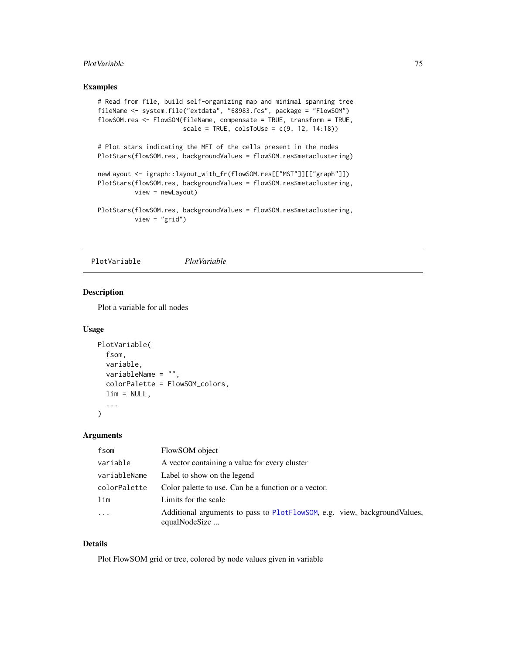#### <span id="page-74-1"></span>PlotVariable 75

# Examples

```
# Read from file, build self-organizing map and minimal spanning tree
fileName <- system.file("extdata", "68983.fcs", package = "FlowSOM")
flowSOM.res <- FlowSOM(fileName, compensate = TRUE, transform = TRUE,
                      scale = TRUE, colsToUse = c(9, 12, 14:18)
```
# Plot stars indicating the MFI of the cells present in the nodes PlotStars(flowSOM.res, backgroundValues = flowSOM.res\$metaclustering)

```
newLayout <- igraph::layout_with_fr(flowSOM.res[["MST"]][["graph"]])
PlotStars(flowSOM.res, backgroundValues = flowSOM.res$metaclustering,
         view = newLayout)
```
PlotStars(flowSOM.res, backgroundValues = flowSOM.res\$metaclustering, view = "grid")

<span id="page-74-0"></span>PlotVariable *PlotVariable*

# Description

Plot a variable for all nodes

#### Usage

```
PlotVariable(
  fsom,
  variable,
  variableName = "",
  colorPalette = FlowSOM_colors,
  lim = NULL,
  ...
\mathcal{L}
```
#### Arguments

| fsom         | FlowSOM object                                                                             |
|--------------|--------------------------------------------------------------------------------------------|
| variable     | A vector containing a value for every cluster                                              |
| variableName | Label to show on the legend                                                                |
| colorPalette | Color palette to use. Can be a function or a vector.                                       |
| lim          | Limits for the scale                                                                       |
| $\ddots$     | Additional arguments to pass to PlotFlowSOM, e.g. view, backgroundValues,<br>equalNodeSize |

# Details

Plot FlowSOM grid or tree, colored by node values given in variable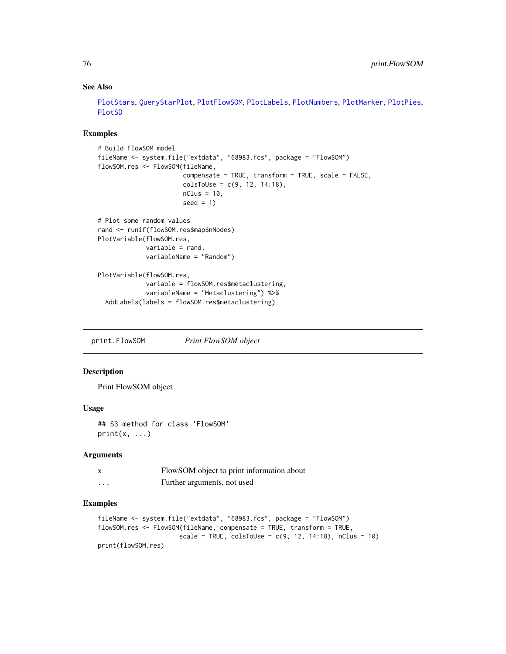# See Also

[PlotStars](#page-73-0), [QueryStarPlot](#page-77-0), [PlotFlowSOM](#page-58-0), [PlotLabels](#page-61-0), [PlotNumbers](#page-67-0), [PlotMarker](#page-64-0), [PlotPies](#page-70-0), [PlotSD](#page-71-0)

### Examples

```
# Build FlowSOM model
fileName <- system.file("extdata", "68983.fcs", package = "FlowSOM")
flowSOM.res <- FlowSOM(fileName,
                       compensate = TRUE, transform = TRUE, scale = FALSE,
                       colsToUse = c(9, 12, 14:18),
                       nClus = 10,
                       seed = 1# Plot some random values
rand <- runif(flowSOM.res$map$nNodes)
PlotVariable(flowSOM.res,
             variable = rand,
             variableName = "Random")
PlotVariable(flowSOM.res,
             variable = flowSOM.res$metaclustering,
             variableName = "Metaclustering") %>%
```

```
AddLabels(labels = flowSOM.res$metaclustering)
```
print.FlowSOM *Print FlowSOM object*

#### Description

Print FlowSOM object

# Usage

## S3 method for class 'FlowSOM'  $print(x, \ldots)$ 

#### Arguments

| x | FlowSOM object to print information about |
|---|-------------------------------------------|
| . | Further arguments, not used               |

```
fileName <- system.file("extdata", "68983.fcs", package = "FlowSOM")
flowSOM.res <- FlowSOM(fileName, compensate = TRUE, transform = TRUE,
                     scale = TRUE, colsToUse = c(9, 12, 14:18), nClus = 10)
print(flowSOM.res)
```
<span id="page-75-0"></span>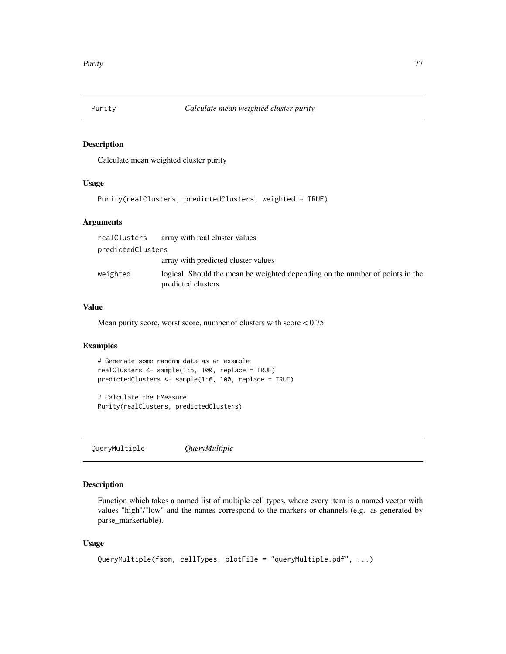<span id="page-76-0"></span>

#### Description

Calculate mean weighted cluster purity

#### Usage

```
Purity(realClusters, predictedClusters, weighted = TRUE)
```
# Arguments

| realClusters      | array with real cluster values                                                                      |
|-------------------|-----------------------------------------------------------------------------------------------------|
| predictedClusters |                                                                                                     |
|                   | array with predicted cluster values                                                                 |
| weighted          | logical. Should the mean be weighted depending on the number of points in the<br>predicted clusters |

#### Value

Mean purity score, worst score, number of clusters with score < 0.75

# Examples

```
# Generate some random data as an example
realClusters <- sample(1:5, 100, replace = TRUE)
predictedClusters <- sample(1:6, 100, replace = TRUE)
```
# Calculate the FMeasure Purity(realClusters, predictedClusters)

QueryMultiple *QueryMultiple*

# Description

Function which takes a named list of multiple cell types, where every item is a named vector with values "high"/"low" and the names correspond to the markers or channels (e.g. as generated by parse\_markertable).

#### Usage

```
QueryMultiple(fsom, cellTypes, plotFile = "queryMultiple.pdf", ...)
```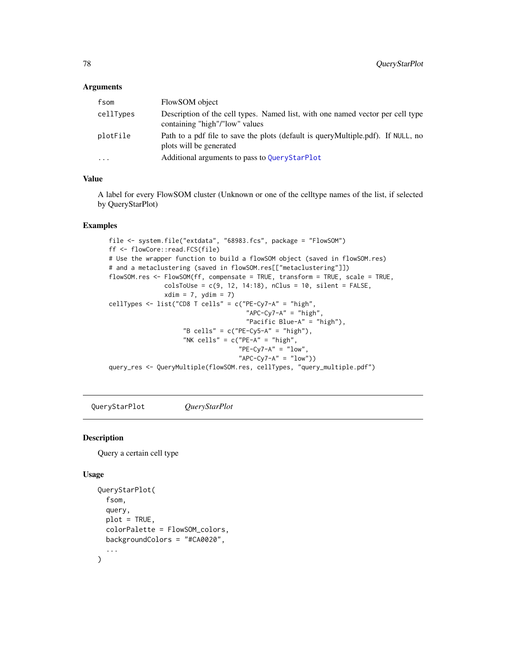#### <span id="page-77-1"></span>**Arguments**

| fsom      | FlowSOM object                                                                                                   |
|-----------|------------------------------------------------------------------------------------------------------------------|
| cellTypes | Description of the cell types. Named list, with one named vector per cell type<br>containing "high"/"low" values |
| plotFile  | Path to a pdf file to save the plots (default is query Multiple.pdf). If NULL, no<br>plots will be generated     |
| $\ddotsc$ | Additional arguments to pass to QueryStarPlot                                                                    |

#### Value

A label for every FlowSOM cluster (Unknown or one of the celltype names of the list, if selected by QueryStarPlot)

#### Examples

```
file <- system.file("extdata", "68983.fcs", package = "FlowSOM")
ff <- flowCore::read.FCS(file)
# Use the wrapper function to build a flowSOM object (saved in flowSOM.res)
# and a metaclustering (saved in flowSOM.res[["metaclustering"]])
flowSOM.res <- FlowSOM(ff, compensate = TRUE, transform = TRUE, scale = TRUE,
              colsTolUse = c(9, 12, 14:18), nClus = 10, silent = FALSE,
              xdim = 7, ydim = 7cellTypes <- list("CD8 T cells" = c("PE-Cy7-A" = "high",
                                     "APC-Cy7-A" = "high","Pacific Blue-A" = "high"),
                    "B cells" = c("PE-Cy5-A" = "high"),
                    "NK cells" = c("PE-A" = "high","PE-Cy7-A" = "low""APC-Cy7-A" = "low"))
query_res <- QueryMultiple(flowSOM.res, cellTypes, "query_multiple.pdf")
```
<span id="page-77-0"></span>QueryStarPlot *QueryStarPlot*

#### Description

Query a certain cell type

# Usage

```
QueryStarPlot(
  fsom,
  query,
 plot = TRUE,
  colorPalette = FlowSOM_colors,
 backgroundColors = "#CA0020",
  ...
)
```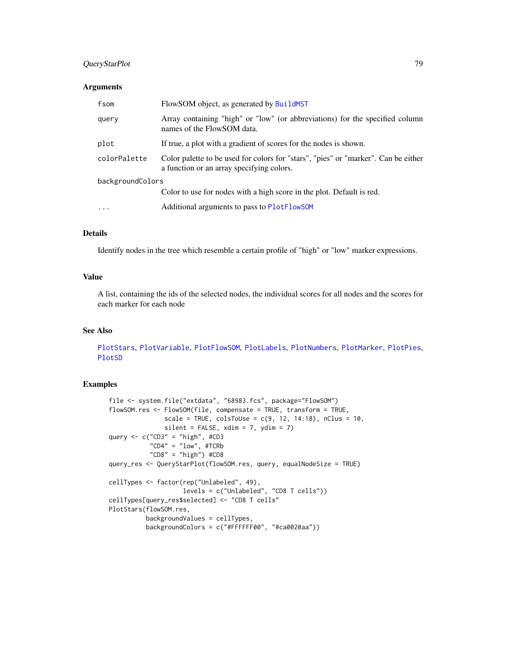# <span id="page-78-0"></span>QueryStarPlot 79

#### Arguments

| fsom             | FlowSOM object, as generated by BuildMST                                                                                        |  |
|------------------|---------------------------------------------------------------------------------------------------------------------------------|--|
| query            | Array containing "high" or "low" (or abbreviations) for the specified column<br>names of the FlowSOM data.                      |  |
| plot             | If true, a plot with a gradient of scores for the nodes is shown.                                                               |  |
| colorPalette     | Color palette to be used for colors for "stars", "pies" or "marker". Can be either<br>a function or an array specifying colors. |  |
| backgroundColors |                                                                                                                                 |  |
|                  | Color to use for nodes with a high score in the plot. Default is red.                                                           |  |
| $\ddots$ .       | Additional arguments to pass to PlotFlowSOM                                                                                     |  |

### Details

Identify nodes in the tree which resemble a certain profile of "high" or "low" marker expressions.

# Value

A list, containing the ids of the selected nodes, the individual scores for all nodes and the scores for each marker for each node

# See Also

[PlotStars](#page-73-0), [PlotVariable](#page-74-0), [PlotFlowSOM](#page-58-0), [PlotLabels](#page-61-0), [PlotNumbers](#page-67-0), [PlotMarker](#page-64-0), [PlotPies](#page-70-0), [PlotSD](#page-71-0)

```
file <- system.file("extdata", "68983.fcs", package="FlowSOM")
flowSOM.res <- FlowSOM(file, compensate = TRUE, transform = TRUE,
               scale = TRUE, colsToUse = c(9, 12, 14:18), nClus = 10,
               silent = FALSE, xdim = 7, ydim = 7)query \leq c("CD3" = "high", #CD3
           "CD4" = "low", #TCRb
           "CD8" = "high") #CD8query_res <- QueryStarPlot(flowSOM.res, query, equalNodeSize = TRUE)
cellTypes <- factor(rep("Unlabeled", 49),
                    levels = c("Unlabeled", "CD8 T cells"))
cellTypes[query_res$selected] <- "CD8 T cells"
PlotStars(flowSOM.res,
          backgroundValues = cellTypes,
          backgroundColors = c("#FFFFFF00", "#ca0020aa"))
```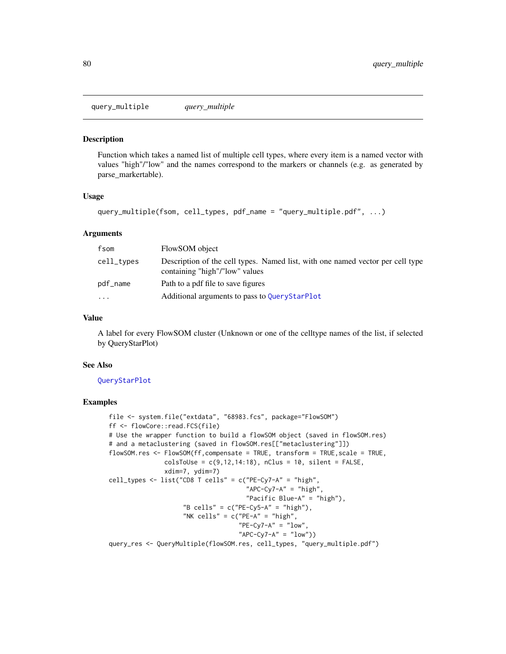<span id="page-79-0"></span>query\_multiple *query\_multiple*

#### Description

Function which takes a named list of multiple cell types, where every item is a named vector with values "high"/"low" and the names correspond to the markers or channels (e.g. as generated by parse\_markertable).

#### Usage

```
query_multiple(fsom, cell_types, pdf_name = "query_multiple.pdf", ...)
```
#### Arguments

| fsom       | FlowSOM object                                                                                                   |
|------------|------------------------------------------------------------------------------------------------------------------|
| cell_types | Description of the cell types. Named list, with one named vector per cell type<br>containing "high"/"low" values |
| pdf_name   | Path to a pdf file to save figures                                                                               |
| $\ddotsc$  | Additional arguments to pass to QueryStarPlot                                                                    |

#### Value

A label for every FlowSOM cluster (Unknown or one of the celltype names of the list, if selected by QueryStarPlot)

# See Also

### [QueryStarPlot](#page-77-0)

```
file <- system.file("extdata", "68983.fcs", package="FlowSOM")
ff <- flowCore::read.FCS(file)
# Use the wrapper function to build a flowSOM object (saved in flowSOM.res)
# and a metaclustering (saved in flowSOM.res[["metaclustering"]])
flowSOM.res <- FlowSOM(ff,compensate = TRUE, transform = TRUE, scale = TRUE,
               colsTolUse = c(9, 12, 14:18), nClus = 10, silent = FALSE,
               xdim=7, ydim=7)
cell_types <- list("CD8 T cells" = c("PE-Cy7-A" = "high",
                                     "APC-Cy7-A" = "high","Pacific Blue-A" = "high"),
                    "B cells" = c("PE-Cy5-A" = "high"),
                    "NK cells" = c("PE-A" = "high","PE-Cy7-A" = "low","APC-Cy7-A" = "low")query_res <- QueryMultiple(flowSOM.res, cell_types, "query_multiple.pdf")
```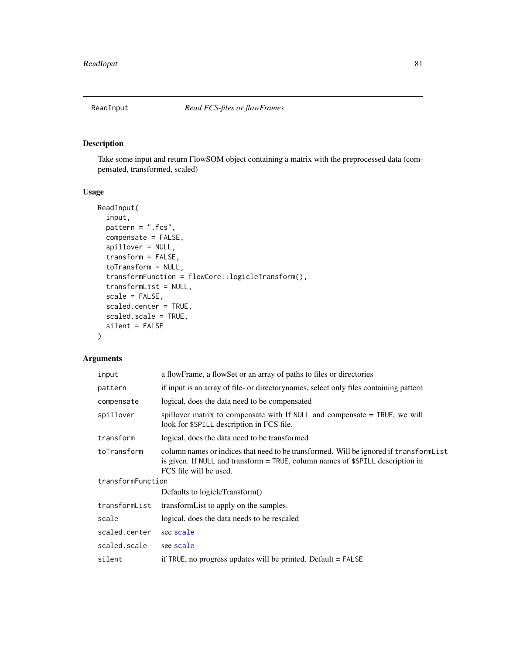<span id="page-80-0"></span>

# Description

Take some input and return FlowSOM object containing a matrix with the preprocessed data (compensated, transformed, scaled)

# Usage

```
ReadInput(
  input,
 pattern = ".fcs",
  compensate = FALSE,
  spillover = NULL,
  transform = FALSE,
  toTransform = NULL,
  transformFunction = flowCore::logicleTransform(),
  transformList = NULL,
  scale = FALSE,
  scaled.center = TRUE,
  scaled.scale = TRUE,
  silent = FALSE
)
```

| input             | a flowFrame, a flowSet or an array of paths to files or directories                                                                                                                                |  |
|-------------------|----------------------------------------------------------------------------------------------------------------------------------------------------------------------------------------------------|--|
| pattern           | if input is an array of file- or directorynames, select only files containing pattern                                                                                                              |  |
| compensate        | logical, does the data need to be compensated                                                                                                                                                      |  |
| spillover         | spillover matrix to compensate with If NULL and compensate = TRUE, we will<br>look for \$SPILL description in FCS file.                                                                            |  |
| transform         | logical, does the data need to be transformed                                                                                                                                                      |  |
| toTransform       | column names or indices that need to be transformed. Will be ignored if transform List<br>is given. If NULL and transform = TRUE, column names of \$SPILL description in<br>FCS file will be used. |  |
| transformFunction |                                                                                                                                                                                                    |  |
|                   | Defaults to logicleTransform()                                                                                                                                                                     |  |
| transformList     | transform List to apply on the samples.                                                                                                                                                            |  |
| scale             | logical, does the data needs to be rescaled                                                                                                                                                        |  |
| scaled.center     | see scale                                                                                                                                                                                          |  |
| scaled.scale      | see scale                                                                                                                                                                                          |  |
| silent            | if TRUE, no progress updates will be printed. Default $=$ FALSE                                                                                                                                    |  |
|                   |                                                                                                                                                                                                    |  |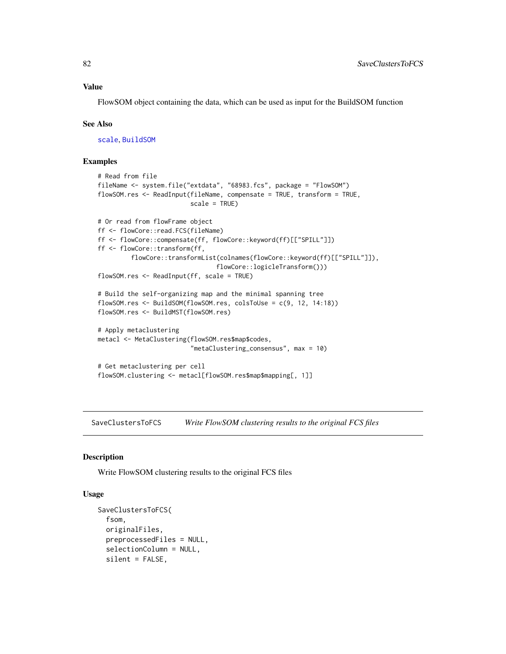#### <span id="page-81-0"></span>Value

FlowSOM object containing the data, which can be used as input for the BuildSOM function

#### See Also

[scale](#page-0-0), [BuildSOM](#page-13-0)

#### Examples

```
# Read from file
fileName <- system.file("extdata", "68983.fcs", package = "FlowSOM")
flowSOM.res <- ReadInput(fileName, compensate = TRUE, transform = TRUE,
                         scale = TRUE)
# Or read from flowFrame object
ff <- flowCore::read.FCS(fileName)
ff <- flowCore::compensate(ff, flowCore::keyword(ff)[["SPILL"]])
ff <- flowCore::transform(ff,
         flowCore::transformList(colnames(flowCore::keyword(ff)[["SPILL"]]),
                                flowCore::logicleTransform()))
flowSOM.res <- ReadInput(ff, scale = TRUE)
# Build the self-organizing map and the minimal spanning tree
flowSOM.res <- BuildSOM(flowSOM.res, colsToUse = c(9, 12, 14:18))
flowSOM.res <- BuildMST(flowSOM.res)
# Apply metaclustering
metacl <- MetaClustering(flowSOM.res$map$codes,
                         "metaClustering_consensus", max = 10)
# Get metaclustering per cell
flowSOM.clustering <- metacl[flowSOM.res$map$mapping[, 1]]
```
SaveClustersToFCS *Write FlowSOM clustering results to the original FCS files*

#### **Description**

Write FlowSOM clustering results to the original FCS files

## Usage

```
SaveClustersToFCS(
  fsom,
  originalFiles,
 preprocessedFiles = NULL,
  selectionColumn = NULL,
  silent = FALSE,
```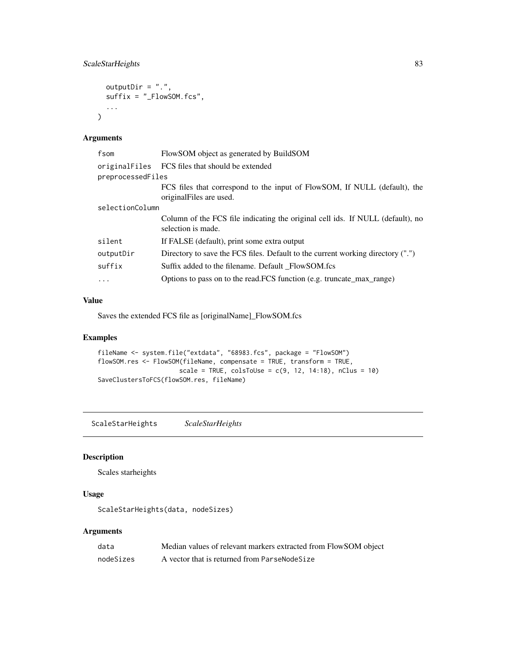# <span id="page-82-0"></span>ScaleStarHeights 83

```
outputDir = ".",
  suffix = "_FlowSOM.fcs",
  ...
\mathcal{L}
```
# Arguments

| fsom              | FlowSOM object as generated by BuildSOM                                                               |
|-------------------|-------------------------------------------------------------------------------------------------------|
| originalFiles     | FCS files that should be extended                                                                     |
| preprocessedFiles |                                                                                                       |
|                   | FCS files that correspond to the input of FlowSOM, If NULL (default), the<br>original Files are used. |
| selectionColumn   |                                                                                                       |
|                   | Column of the FCS file indicating the original cell ids. If NULL (default), no<br>selection is made.  |
| silent            | If FALSE (default), print some extra output                                                           |
| outputDir         | Directory to save the FCS files. Default to the current working directory (".")                       |
| suffix            | Suffix added to the filename. Default FlowSOM.fcs                                                     |
| $\ddots$ .        | Options to pass on to the read. FCS function (e.g. truncate_max_range)                                |
|                   |                                                                                                       |

# Value

Saves the extended FCS file as [originalName]\_FlowSOM.fcs

# Examples

```
fileName <- system.file("extdata", "68983.fcs", package = "FlowSOM")
flowSOM.res <- FlowSOM(fileName, compensate = TRUE, transform = TRUE,
                      scale = TRUE, colspan60s = c(9, 12, 14:18), nClus = 10)
SaveClustersToFCS(flowSOM.res, fileName)
```
ScaleStarHeights *ScaleStarHeights*

# Description

Scales starheights

# Usage

ScaleStarHeights(data, nodeSizes)

| data      | Median values of relevant markers extracted from FlowSOM object |
|-----------|-----------------------------------------------------------------|
| nodeSizes | A vector that is returned from ParseNodeSize                    |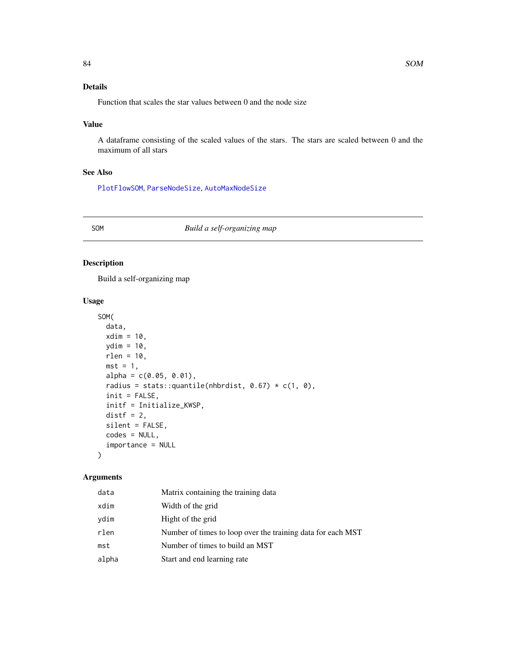# <span id="page-83-0"></span>Details

Function that scales the star values between 0 and the node size

# Value

A dataframe consisting of the scaled values of the stars. The stars are scaled between 0 and the maximum of all stars

# See Also

[PlotFlowSOM](#page-58-0), [ParseNodeSize](#page-48-0), [AutoMaxNodeSize](#page-12-1)

#### SOM *Build a self-organizing map*

# Description

Build a self-organizing map

# Usage

```
SOM(
  data,
 xdim = 10,
 ydim = 10,
 rlen = 10,
 mst = 1,
  alpha = c(0.05, 0.01),
  radius = stats::quantile(nhbrdist, 0.67) * c(1, 0),
  init = FALSE,
  initf = Initialize_KWSP,
  distf = 2,
  silent = FALSE,
  codes = NULL,
  importance = NULL
```
# Arguments

 $\mathcal{L}$ 

| data  | Matrix containing the training data                         |
|-------|-------------------------------------------------------------|
| xdim  | Width of the grid                                           |
| vdim  | Hight of the grid                                           |
| rlen  | Number of times to loop over the training data for each MST |
| mst   | Number of times to build an MST                             |
| alpha | Start and end learning rate                                 |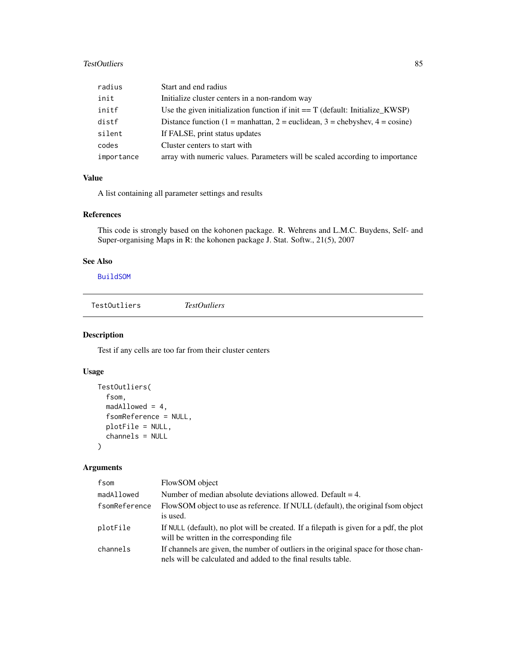# <span id="page-84-0"></span>TestOutliers 85

| radius     | Start and end radius                                                           |
|------------|--------------------------------------------------------------------------------|
| init       | Initialize cluster centers in a non-random way                                 |
| initf      | Use the given initialization function if init $=$ T (default: Initialize_KWSP) |
| distf      | Distance function (1 = manhattan, 2 = euclidean, 3 = chebyshev, $4 = \cosh$ )  |
| silent     | If FALSE, print status updates                                                 |
| codes      | Cluster centers to start with                                                  |
| importance | array with numeric values. Parameters will be scaled according to importance   |

# Value

A list containing all parameter settings and results

# References

This code is strongly based on the kohonen package. R. Wehrens and L.M.C. Buydens, Self- and Super-organising Maps in R: the kohonen package J. Stat. Softw., 21(5), 2007

# See Also

[BuildSOM](#page-13-0)

TestOutliers *TestOutliers*

# Description

Test if any cells are too far from their cluster centers

# Usage

```
TestOutliers(
  fsom,
  madAllowed = 4,
  fsomReference = NULL,
  plotFile = NULL,
  channels = NULL
\mathcal{L}
```

| fsom          | FlowSOM object                                                                                                                                       |
|---------------|------------------------------------------------------------------------------------------------------------------------------------------------------|
| madAllowed    | Number of median absolute deviations allowed. Default $=$ 4.                                                                                         |
| fsomReference | FlowSOM object to use as reference. If NULL (default), the original fsom object<br>is used.                                                          |
| plotFile      | If NULL (default), no plot will be created. If a filepath is given for a pdf, the plot<br>will be written in the corresponding file.                 |
| channels      | If channels are given, the number of outliers in the original space for those chan-<br>nels will be calculated and added to the final results table. |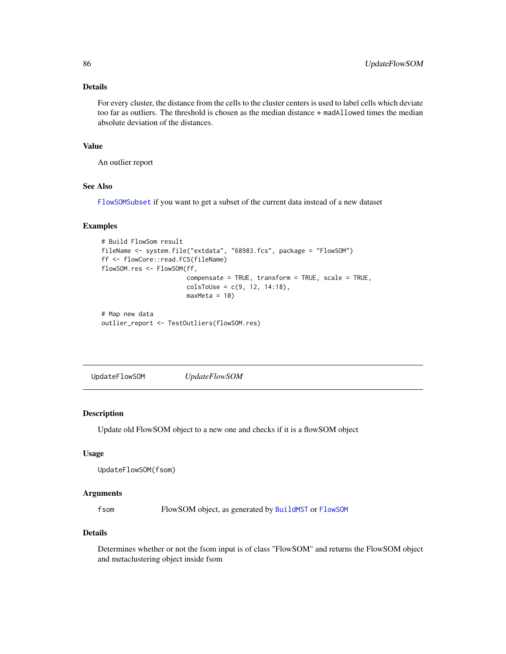# <span id="page-85-0"></span>Details

For every cluster, the distance from the cells to the cluster centers is used to label cells which deviate too far as outliers. The threshold is chosen as the median distance + madAllowed times the median absolute deviation of the distances.

#### Value

An outlier report

# See Also

[FlowSOMSubset](#page-19-0) if you want to get a subset of the current data instead of a new dataset

#### Examples

```
# Build FlowSom result
fileName <- system.file("extdata", "68983.fcs", package = "FlowSOM")
ff <- flowCore::read.FCS(fileName)
flowSOM.res <- FlowSOM(ff,
                       compensate = TRUE, transform = TRUE, scale = TRUE,
                       colsToUse = c(9, 12, 14:18),
                       maxMeta = 10# Map new data
outlier_report <- TestOutliers(flowSOM.res)
```
UpdateFlowSOM *UpdateFlowSOM*

# Description

Update old FlowSOM object to a new one and checks if it is a flowSOM object

## Usage

```
UpdateFlowSOM(fsom)
```
#### Arguments

fsom FlowSOM object, as generated by [BuildMST](#page-12-0) or [FlowSOM](#page-16-0)

#### Details

Determines whether or not the fsom input is of class "FlowSOM" and returns the FlowSOM object and metaclustering object inside fsom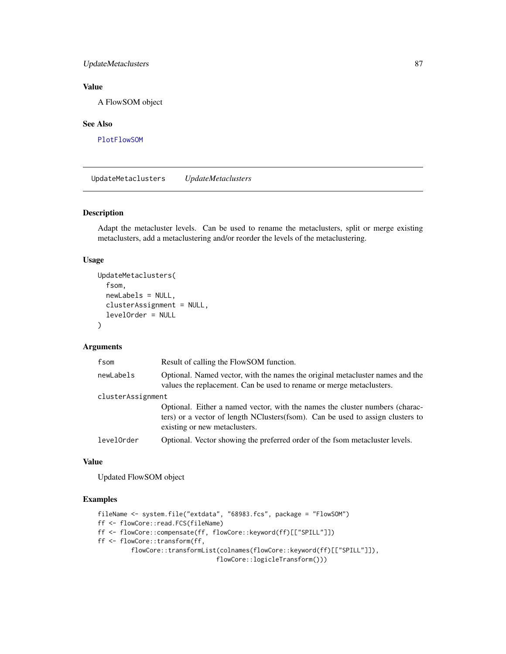# <span id="page-86-0"></span>UpdateMetaclusters 87

# Value

A FlowSOM object

#### See Also

[PlotFlowSOM](#page-58-0)

UpdateMetaclusters *UpdateMetaclusters*

# Description

Adapt the metacluster levels. Can be used to rename the metaclusters, split or merge existing metaclusters, add a metaclustering and/or reorder the levels of the metaclustering.

# Usage

```
UpdateMetaclusters(
  fsom,
  newLabels = NULL,
  clusterAssignment = NULL,
  levelOrder = NULL
\mathcal{L}
```
#### Arguments

| fsom              | Result of calling the FlowSOM function.                                                                                                                                                         |
|-------------------|-------------------------------------------------------------------------------------------------------------------------------------------------------------------------------------------------|
| newLabels         | Optional. Named vector, with the names the original metacluster names and the<br>values the replacement. Can be used to rename or merge metaclusters.                                           |
| clusterAssignment |                                                                                                                                                                                                 |
|                   | Optional. Either a named vector, with the names the cluster numbers (charac-<br>ters) or a vector of length NClusters(fsom). Can be used to assign clusters to<br>existing or new metaclusters. |
| levelOrder        | Optional. Vector showing the preferred order of the fsom metacluster levels.                                                                                                                    |

#### Value

Updated FlowSOM object

```
fileName <- system.file("extdata", "68983.fcs", package = "FlowSOM")
ff <- flowCore::read.FCS(fileName)
ff <- flowCore::compensate(ff, flowCore::keyword(ff)[["SPILL"]])
ff <- flowCore::transform(ff,
         flowCore::transformList(colnames(flowCore::keyword(ff)[["SPILL"]]),
                                flowCore::logicleTransform()))
```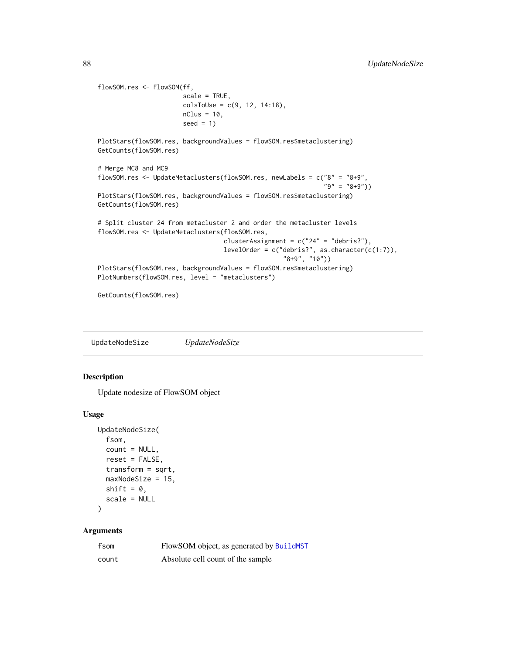```
flowSOM.res <- FlowSOM(ff,
                       scale = TRUE,
                       colsTolse = c(9, 12, 14:18),nClus = 10,
                       seed = 1PlotStars(flowSOM.res, backgroundValues = flowSOM.res$metaclustering)
GetCounts(flowSOM.res)
# Merge MC8 and MC9
flowSOM.res <- UpdateMetaclusters(flowSOM.res, newLabels = c("8" = "8+9",
                                                             "9" = "8+9")PlotStars(flowSOM.res, backgroundValues = flowSOM.res$metaclustering)
GetCounts(flowSOM.res)
# Split cluster 24 from metacluster 2 and order the metacluster levels
flowSOM.res <- UpdateMetaclusters(flowSOM.res,
                                  clusterAssignment = c("24" = "debris?"),
                                  levelOrder = c("debris?", as.character(c(1:7)),
                                                  "8+9", "10"))
PlotStars(flowSOM.res, backgroundValues = flowSOM.res$metaclustering)
PlotNumbers(flowSOM.res, level = "metaclusters")
```

```
GetCounts(flowSOM.res)
```
UpdateNodeSize *UpdateNodeSize*

#### Description

Update nodesize of FlowSOM object

#### Usage

```
UpdateNodeSize(
  fsom,
  count = NULL,
  reset = FALSE,
  transform = sqrt,
  maxNodeSize = 15,
  shift = 0,scale = NULL
)
```

| fsom  | FlowSOM object, as generated by BuildMST |
|-------|------------------------------------------|
| count | Absolute cell count of the sample        |

<span id="page-87-0"></span>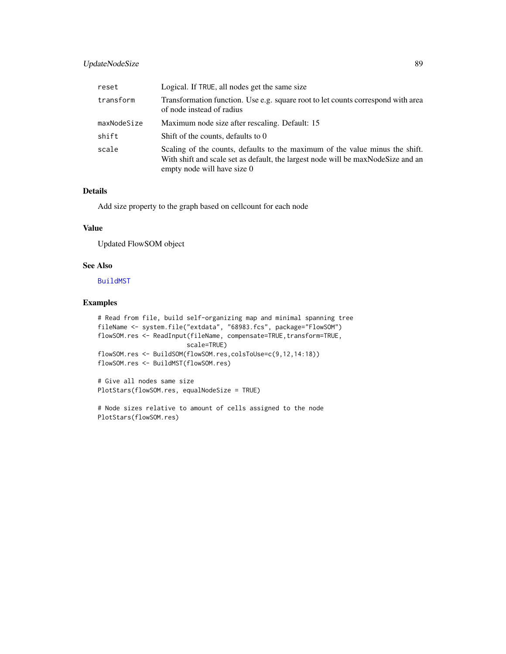# <span id="page-88-0"></span>UpdateNodeSize 89

| reset       | Logical. If TRUE, all nodes get the same size                                                                                                                                                     |
|-------------|---------------------------------------------------------------------------------------------------------------------------------------------------------------------------------------------------|
| transform   | Transformation function. Use e.g. square root to let counts correspond with area<br>of node instead of radius                                                                                     |
| maxNodeSize | Maximum node size after rescaling. Default: 15                                                                                                                                                    |
| shift       | Shift of the counts, defaults to 0                                                                                                                                                                |
| scale       | Scaling of the counts, defaults to the maximum of the value minus the shift.<br>With shift and scale set as default, the largest node will be max Node Size and an<br>empty node will have size 0 |

# Details

Add size property to the graph based on cellcount for each node

# Value

Updated FlowSOM object

# See Also

[BuildMST](#page-12-0)

```
# Read from file, build self-organizing map and minimal spanning tree
fileName <- system.file("extdata", "68983.fcs", package="FlowSOM")
flowSOM.res <- ReadInput(fileName, compensate=TRUE, transform=TRUE,
                        scale=TRUE)
flowSOM.res <- BuildSOM(flowSOM.res,colsToUse=c(9,12,14:18))
flowSOM.res <- BuildMST(flowSOM.res)
```

```
# Give all nodes same size
PlotStars(flowSOM.res, equalNodeSize = TRUE)
```

```
# Node sizes relative to amount of cells assigned to the node
PlotStars(flowSOM.res)
```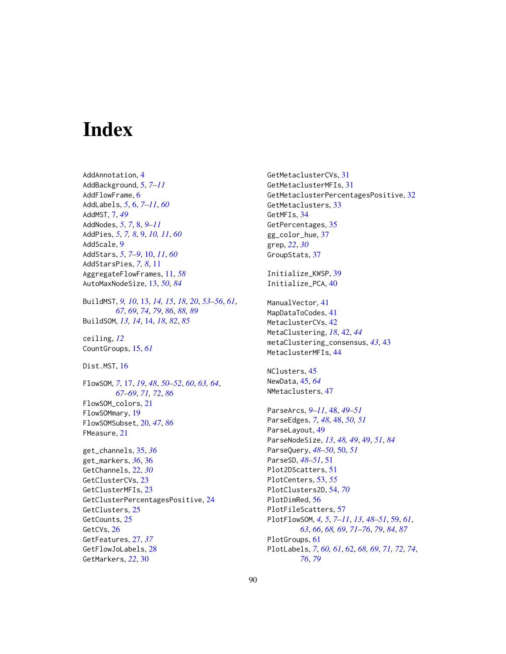# **Index**

AddAnnotation, [4](#page-3-0) AddBackground, [5,](#page-4-0) *[7](#page-6-0)[–11](#page-10-0)* AddFlowFrame, [6](#page-5-0) AddLabels, *[5](#page-4-0)*, [6,](#page-5-0) *[7](#page-6-0)[–11](#page-10-0)*, *[60](#page-59-0)* AddMST, [7,](#page-6-0) *[49](#page-48-1)* AddNodes, *[5](#page-4-0)*, *[7](#page-6-0)*, [8,](#page-7-0) *[9](#page-8-0)[–11](#page-10-0)* AddPies, *[5](#page-4-0)*, *[7,](#page-6-0) [8](#page-7-0)*, [9,](#page-8-0) *[10,](#page-9-0) [11](#page-10-0)*, *[60](#page-59-0)* AddScale, [9](#page-8-0) AddStars, *[5](#page-4-0)*, *[7](#page-6-0)[–9](#page-8-0)*, [10,](#page-9-0) *[11](#page-10-0)*, *[60](#page-59-0)* AddStarsPies, *[7,](#page-6-0) [8](#page-7-0)*, [11](#page-10-0) AggregateFlowFrames, [11,](#page-10-0) *[58](#page-57-0)* AutoMaxNodeSize, [13,](#page-12-2) *[50](#page-49-0)*, *[84](#page-83-0)* BuildMST, *[9,](#page-8-0) [10](#page-9-0)*, [13,](#page-12-2) *[14,](#page-13-1) [15](#page-14-0)*, *[18](#page-17-0)*, *[20](#page-19-1)*, *[53–](#page-52-0)[56](#page-55-0)*, *[61](#page-60-0)*, *[67](#page-66-0)*, *[69](#page-68-0)*, *[74](#page-73-1)*, *[79](#page-78-0)*, *[86](#page-85-0)*, *[88,](#page-87-0) [89](#page-88-0)* BuildSOM, *[13,](#page-12-2) [14](#page-13-1)*, [14,](#page-13-1) *[18](#page-17-0)*, *[82](#page-81-0)*, *[85](#page-84-0)* ceiling, *[12](#page-11-0)* CountGroups, [15,](#page-14-0) *[61](#page-60-0)* Dist.MST, [16](#page-15-0) FlowSOM, *[7](#page-6-0)*, [17,](#page-16-1) *[19](#page-18-0)*, *[48](#page-47-0)*, *[50–](#page-49-0)[52](#page-51-0)*, *[60](#page-59-0)*, *[63,](#page-62-0) [64](#page-63-0)*, *[67](#page-66-0)[–69](#page-68-0)*, *[71,](#page-70-1) [72](#page-71-1)*, *[86](#page-85-0)* FlowSOM\_colors, [21](#page-20-0) FlowSOMmary, [19](#page-18-0) FlowSOMSubset, [20,](#page-19-1) *[47](#page-46-0)*, *[86](#page-85-0)* FMeasure, [21](#page-20-0) get\_channels, [35,](#page-34-0) *[36](#page-35-0)* get\_markers, *[36](#page-35-0)*, [36](#page-35-0) GetChannels, [22,](#page-21-0) *[30](#page-29-0)* GetClusterCVs, [23](#page-22-0) GetClusterMFIs, [23](#page-22-0) GetClusterPercentagesPositive, [24](#page-23-0) GetClusters, [25](#page-24-0) GetCounts, [25](#page-24-0) GetCVs, [26](#page-25-0) GetFeatures, [27,](#page-26-0) *[37](#page-36-0)* GetFlowJoLabels, [28](#page-27-0) GetMarkers, *[22](#page-21-0)*, [30](#page-29-0)

GetMetaclusterCVs, [31](#page-30-0) GetMetaclusterMFIs, [31](#page-30-0) GetMetaclusterPercentagesPositive, [32](#page-31-0) GetMetaclusters, [33](#page-32-0) GetMFIs, [34](#page-33-0) GetPercentages, [35](#page-34-0) gg\_color\_hue, [37](#page-36-0) grep, *[22](#page-21-0)*, *[30](#page-29-0)* GroupStats, [37](#page-36-0) Initialize\_KWSP, [39](#page-38-0) Initialize\_PCA, [40](#page-39-0) ManualVector, [41](#page-40-0) MapDataToCodes, [41](#page-40-0) MetaclusterCVs, [42](#page-41-0) MetaClustering, *[18](#page-17-0)*, [42,](#page-41-0) *[44](#page-43-0)* metaClustering\_consensus, *[43](#page-42-0)*, [43](#page-42-0) MetaclusterMFIs, [44](#page-43-0) NClusters, [45](#page-44-0) NewData, [45,](#page-44-0) *[64](#page-63-0)* NMetaclusters, [47](#page-46-0) ParseArcs, *[9](#page-8-0)[–11](#page-10-0)*, [48,](#page-47-0) *[49](#page-48-1)[–51](#page-50-0)* ParseEdges, *[7](#page-6-0)*, *[48](#page-47-0)*, [48,](#page-47-0) *[50,](#page-49-0) [51](#page-50-0)* ParseLayout, [49](#page-48-1) ParseNodeSize, *[13](#page-12-2)*, *[48,](#page-47-0) [49](#page-48-1)*, [49,](#page-48-1) *[51](#page-50-0)*, *[84](#page-83-0)* ParseQuery, *[48](#page-47-0)[–50](#page-49-0)*, [50,](#page-49-0) *[51](#page-50-0)* ParseSD, *[48](#page-47-0)[–51](#page-50-0)*, [51](#page-50-0) Plot2DScatters, [51](#page-50-0) PlotCenters, [53,](#page-52-0) *[55](#page-54-0)* PlotClusters2D, [54,](#page-53-0) *[70](#page-69-0)* PlotDimRed, [56](#page-55-0) PlotFileScatters, [57](#page-56-0) PlotFlowSOM, *[4,](#page-3-0) [5](#page-4-0)*, *[7](#page-6-0)[–11](#page-10-0)*, *[13](#page-12-2)*, *[48](#page-47-0)[–51](#page-50-0)*, [59,](#page-58-1) *[61](#page-60-0)*, *[63](#page-62-0)*, *[66](#page-65-0)*, *[68,](#page-67-1) [69](#page-68-0)*, *[71](#page-70-1)[–76](#page-75-0)*, *[79](#page-78-0)*, *[84](#page-83-0)*, *[87](#page-86-0)* PlotGroups, [61](#page-60-0) PlotLabels, *[7](#page-6-0)*, *[60,](#page-59-0) [61](#page-60-0)*, [62,](#page-61-1) *[68,](#page-67-1) [69](#page-68-0)*, *[71,](#page-70-1) [72](#page-71-1)*, *[74](#page-73-1)*,

*[76](#page-75-0)*, *[79](#page-78-0)*